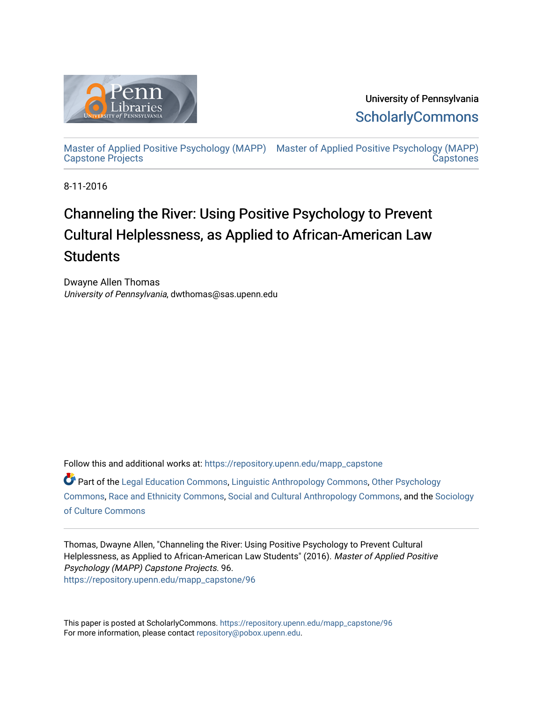

University of Pennsylvania **ScholarlyCommons** 

[Master of Applied Positive Psychology \(MAPP\)](https://repository.upenn.edu/mapp_capstone) [Master of Applied Positive Psychology \(MAPP\)](https://repository.upenn.edu/mapp_capstones)  [Capstone Projects](https://repository.upenn.edu/mapp_capstone)  **Capstones** 

8-11-2016

# Channeling the River: Using Positive Psychology to Prevent Cultural Helplessness, as Applied to African-American Law **Students**

Dwayne Allen Thomas University of Pennsylvania, dwthomas@sas.upenn.edu

Follow this and additional works at: [https://repository.upenn.edu/mapp\\_capstone](https://repository.upenn.edu/mapp_capstone?utm_source=repository.upenn.edu%2Fmapp_capstone%2F96&utm_medium=PDF&utm_campaign=PDFCoverPages) 

Part of the [Legal Education Commons,](http://network.bepress.com/hgg/discipline/857?utm_source=repository.upenn.edu%2Fmapp_capstone%2F96&utm_medium=PDF&utm_campaign=PDFCoverPages) [Linguistic Anthropology Commons,](http://network.bepress.com/hgg/discipline/322?utm_source=repository.upenn.edu%2Fmapp_capstone%2F96&utm_medium=PDF&utm_campaign=PDFCoverPages) [Other Psychology](http://network.bepress.com/hgg/discipline/415?utm_source=repository.upenn.edu%2Fmapp_capstone%2F96&utm_medium=PDF&utm_campaign=PDFCoverPages) [Commons](http://network.bepress.com/hgg/discipline/415?utm_source=repository.upenn.edu%2Fmapp_capstone%2F96&utm_medium=PDF&utm_campaign=PDFCoverPages), [Race and Ethnicity Commons,](http://network.bepress.com/hgg/discipline/426?utm_source=repository.upenn.edu%2Fmapp_capstone%2F96&utm_medium=PDF&utm_campaign=PDFCoverPages) [Social and Cultural Anthropology Commons,](http://network.bepress.com/hgg/discipline/323?utm_source=repository.upenn.edu%2Fmapp_capstone%2F96&utm_medium=PDF&utm_campaign=PDFCoverPages) and the [Sociology](http://network.bepress.com/hgg/discipline/431?utm_source=repository.upenn.edu%2Fmapp_capstone%2F96&utm_medium=PDF&utm_campaign=PDFCoverPages)  [of Culture Commons](http://network.bepress.com/hgg/discipline/431?utm_source=repository.upenn.edu%2Fmapp_capstone%2F96&utm_medium=PDF&utm_campaign=PDFCoverPages)

Thomas, Dwayne Allen, "Channeling the River: Using Positive Psychology to Prevent Cultural Helplessness, as Applied to African-American Law Students" (2016). Master of Applied Positive Psychology (MAPP) Capstone Projects. 96. [https://repository.upenn.edu/mapp\\_capstone/96](https://repository.upenn.edu/mapp_capstone/96?utm_source=repository.upenn.edu%2Fmapp_capstone%2F96&utm_medium=PDF&utm_campaign=PDFCoverPages)

This paper is posted at ScholarlyCommons. [https://repository.upenn.edu/mapp\\_capstone/96](https://repository.upenn.edu/mapp_capstone/96)  For more information, please contact [repository@pobox.upenn.edu.](mailto:repository@pobox.upenn.edu)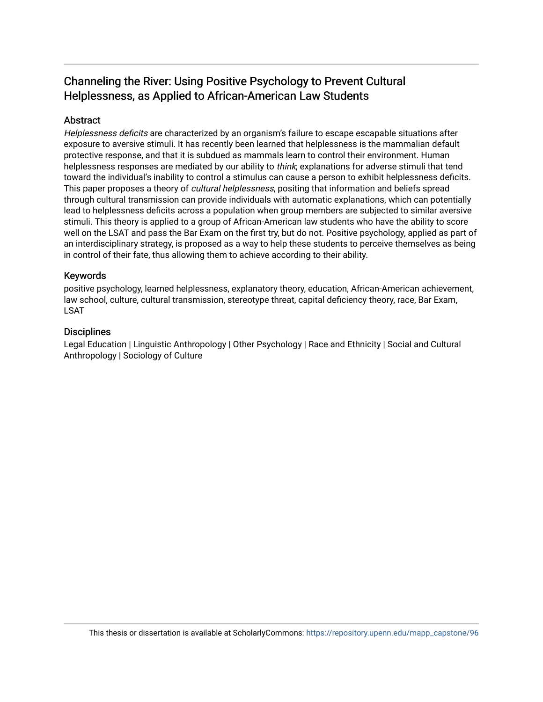# Channeling the River: Using Positive Psychology to Prevent Cultural Helplessness, as Applied to African-American Law Students

# Abstract

Helplessness deficits are characterized by an organism's failure to escape escapable situations after exposure to aversive stimuli. It has recently been learned that helplessness is the mammalian default protective response, and that it is subdued as mammals learn to control their environment. Human helplessness responses are mediated by our ability to *think*; explanations for adverse stimuli that tend toward the individual's inability to control a stimulus can cause a person to exhibit helplessness deficits. This paper proposes a theory of *cultural helplessness*, positing that information and beliefs spread through cultural transmission can provide individuals with automatic explanations, which can potentially lead to helplessness deficits across a population when group members are subjected to similar aversive stimuli. This theory is applied to a group of African-American law students who have the ability to score well on the LSAT and pass the Bar Exam on the first try, but do not. Positive psychology, applied as part of an interdisciplinary strategy, is proposed as a way to help these students to perceive themselves as being in control of their fate, thus allowing them to achieve according to their ability.

# Keywords

positive psychology, learned helplessness, explanatory theory, education, African-American achievement, law school, culture, cultural transmission, stereotype threat, capital deficiency theory, race, Bar Exam, LSAT

## **Disciplines**

Legal Education | Linguistic Anthropology | Other Psychology | Race and Ethnicity | Social and Cultural Anthropology | Sociology of Culture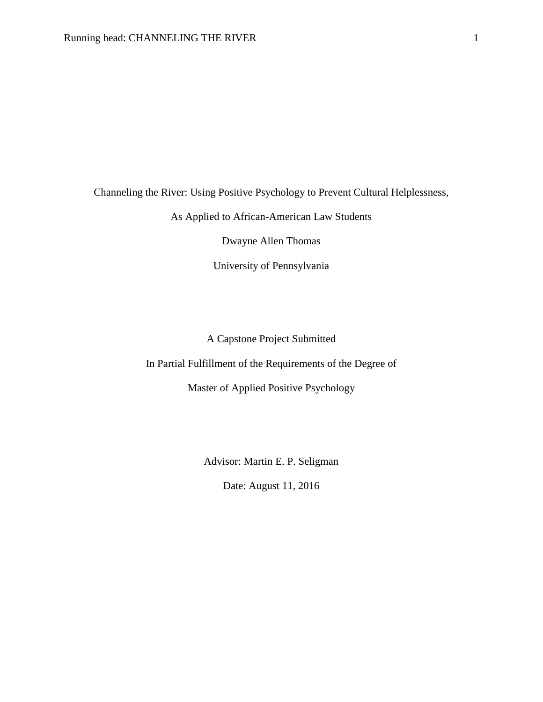Channeling the River: Using Positive Psychology to Prevent Cultural Helplessness,

As Applied to African-American Law Students

Dwayne Allen Thomas

University of Pennsylvania

A Capstone Project Submitted

In Partial Fulfillment of the Requirements of the Degree of

Master of Applied Positive Psychology

Advisor: Martin E. P. Seligman

Date: August 11, 2016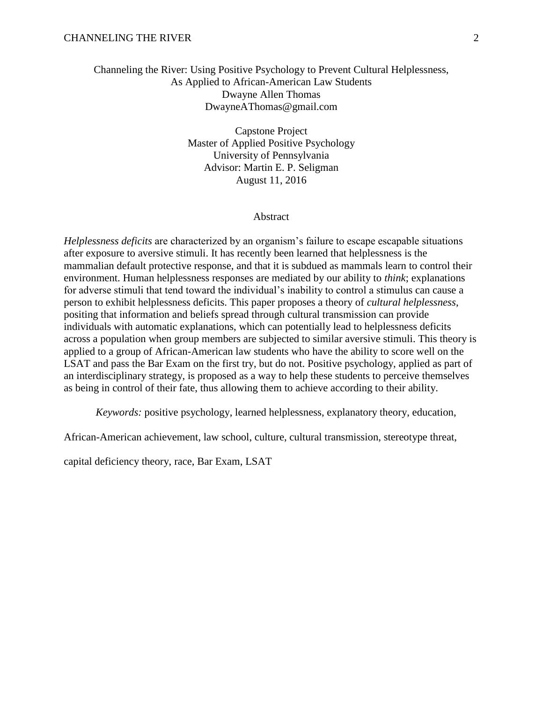# Channeling the River: Using Positive Psychology to Prevent Cultural Helplessness, As Applied to African-American Law Students Dwayne Allen Thomas DwayneAThomas@gmail.com

Capstone Project Master of Applied Positive Psychology University of Pennsylvania Advisor: Martin E. P. Seligman August 11, 2016

#### Abstract

*Helplessness deficits* are characterized by an organism's failure to escape escapable situations after exposure to aversive stimuli. It has recently been learned that helplessness is the mammalian default protective response, and that it is subdued as mammals learn to control their environment. Human helplessness responses are mediated by our ability to *think*; explanations for adverse stimuli that tend toward the individual's inability to control a stimulus can cause a person to exhibit helplessness deficits. This paper proposes a theory of *cultural helplessness*, positing that information and beliefs spread through cultural transmission can provide individuals with automatic explanations, which can potentially lead to helplessness deficits across a population when group members are subjected to similar aversive stimuli. This theory is applied to a group of African-American law students who have the ability to score well on the LSAT and pass the Bar Exam on the first try, but do not. Positive psychology, applied as part of an interdisciplinary strategy, is proposed as a way to help these students to perceive themselves as being in control of their fate, thus allowing them to achieve according to their ability.

*Keywords:* positive psychology, learned helplessness, explanatory theory, education,

African-American achievement, law school, culture, cultural transmission, stereotype threat,

capital deficiency theory, race, Bar Exam, LSAT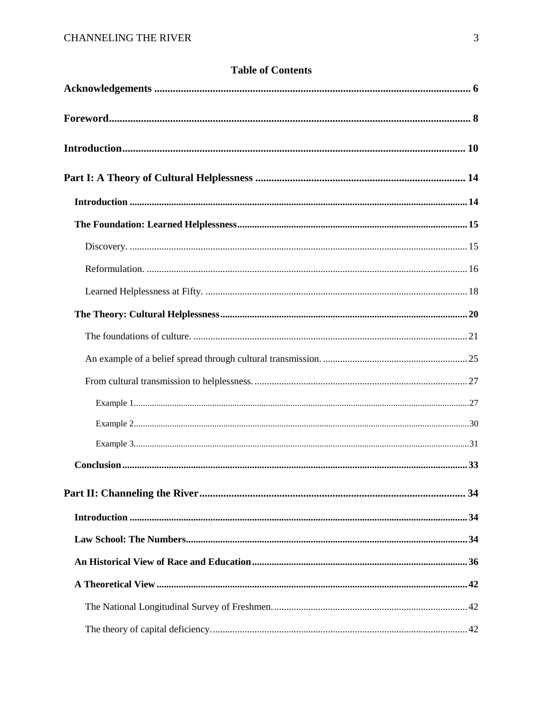# **Table of Contents**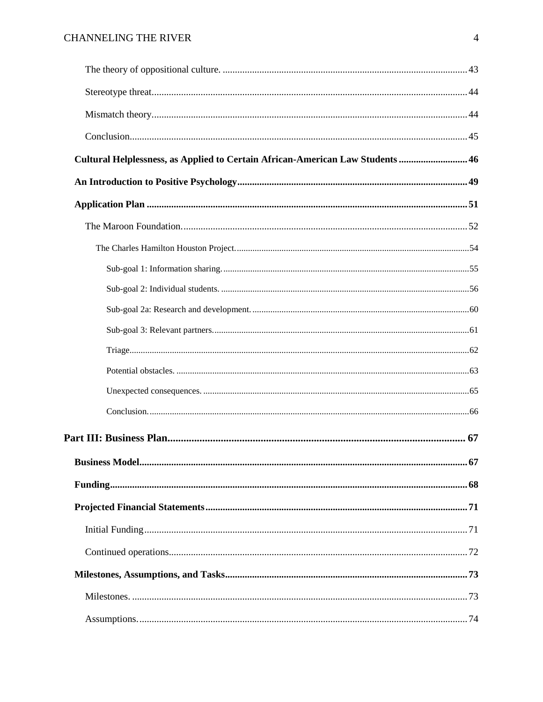| Cultural Helplessness, as Applied to Certain African-American Law Students  46 |    |
|--------------------------------------------------------------------------------|----|
|                                                                                |    |
|                                                                                |    |
|                                                                                |    |
|                                                                                |    |
|                                                                                |    |
|                                                                                |    |
|                                                                                |    |
|                                                                                |    |
|                                                                                |    |
|                                                                                |    |
|                                                                                |    |
|                                                                                |    |
|                                                                                |    |
|                                                                                | 67 |
|                                                                                |    |
|                                                                                |    |
|                                                                                |    |
|                                                                                |    |
|                                                                                |    |
|                                                                                |    |
|                                                                                |    |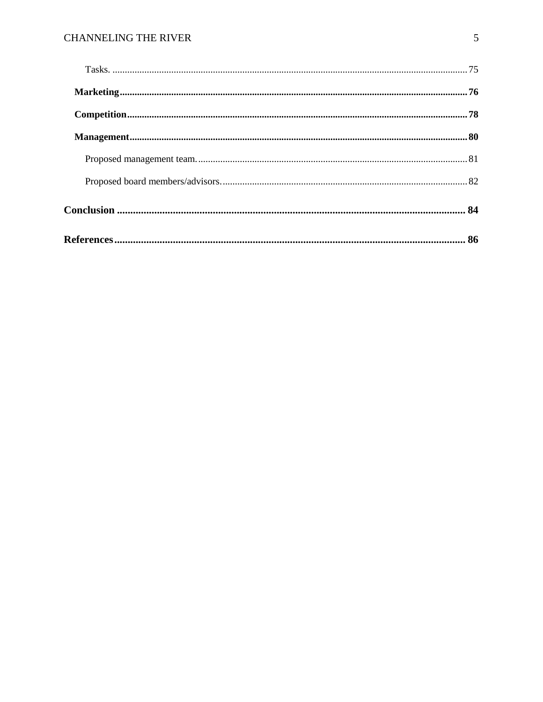# **CHANNELING THE RIVER**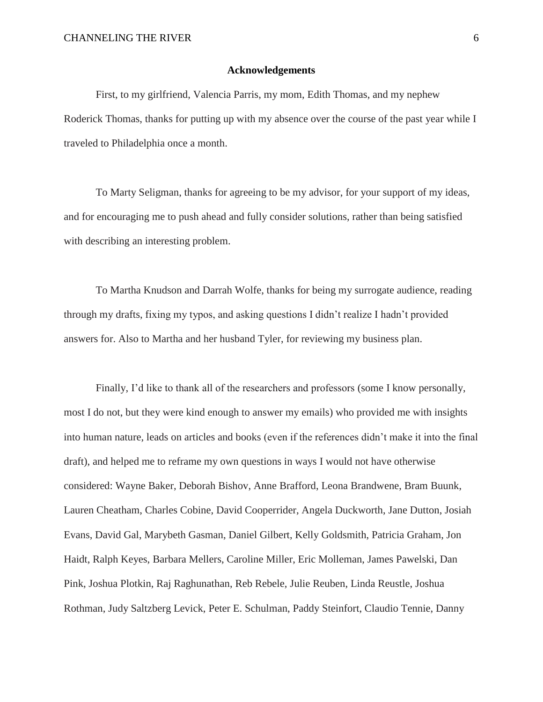#### **Acknowledgements**

First, to my girlfriend, Valencia Parris, my mom, Edith Thomas, and my nephew Roderick Thomas, thanks for putting up with my absence over the course of the past year while I traveled to Philadelphia once a month.

To Marty Seligman, thanks for agreeing to be my advisor, for your support of my ideas, and for encouraging me to push ahead and fully consider solutions, rather than being satisfied with describing an interesting problem.

To Martha Knudson and Darrah Wolfe, thanks for being my surrogate audience, reading through my drafts, fixing my typos, and asking questions I didn't realize I hadn't provided answers for. Also to Martha and her husband Tyler, for reviewing my business plan.

Finally, I'd like to thank all of the researchers and professors (some I know personally, most I do not, but they were kind enough to answer my emails) who provided me with insights into human nature, leads on articles and books (even if the references didn't make it into the final draft), and helped me to reframe my own questions in ways I would not have otherwise considered: Wayne Baker, Deborah Bishov, Anne Brafford, Leona Brandwene, Bram Buunk, Lauren Cheatham, Charles Cobine, David Cooperrider, Angela Duckworth, Jane Dutton, Josiah Evans, David Gal, Marybeth Gasman, Daniel Gilbert, Kelly Goldsmith, Patricia Graham, Jon Haidt, Ralph Keyes, Barbara Mellers, Caroline Miller, Eric Molleman, James Pawelski, Dan Pink, Joshua Plotkin, Raj Raghunathan, Reb Rebele, Julie Reuben, Linda Reustle, Joshua Rothman, Judy Saltzberg Levick, Peter E. Schulman, Paddy Steinfort, Claudio Tennie, Danny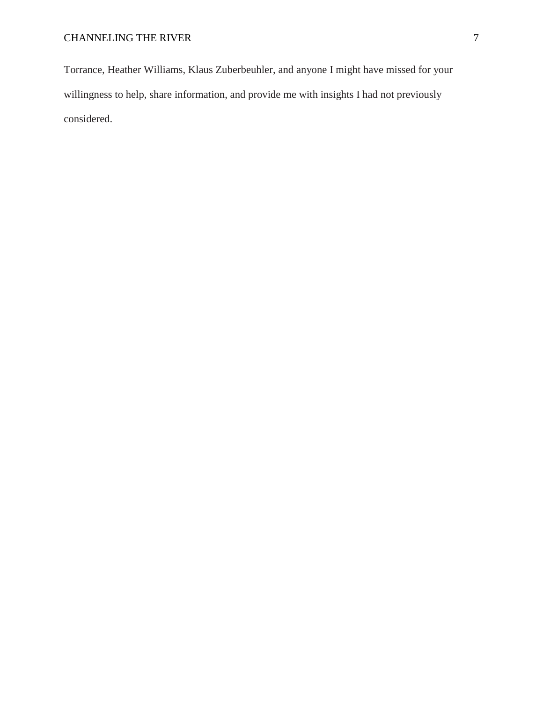Torrance, Heather Williams, Klaus Zuberbeuhler, and anyone I might have missed for your willingness to help, share information, and provide me with insights I had not previously considered.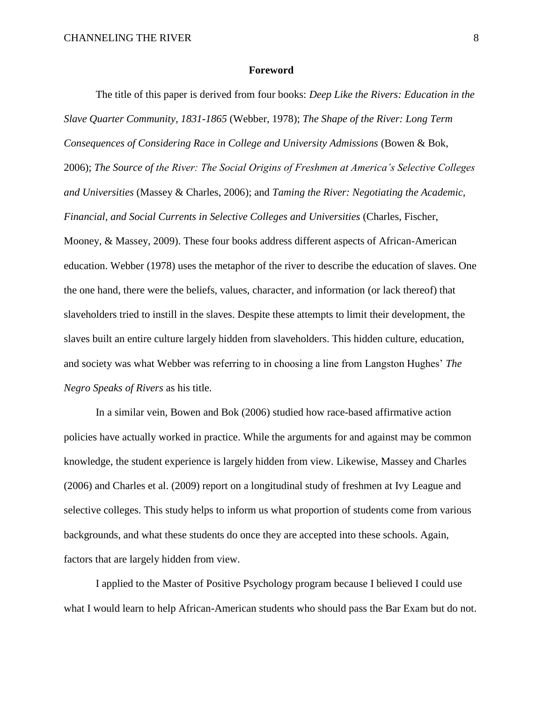#### **Foreword**

The title of this paper is derived from four books: *Deep Like the Rivers: Education in the Slave Quarter Community, 1831-1865* (Webber, 1978); *The Shape of the River: Long Term Consequences of Considering Race in College and University Admissions* (Bowen & Bok, 2006); *The Source of the River: The Social Origins of Freshmen at America's Selective Colleges and Universities* (Massey & Charles, 2006); and *Taming the River: Negotiating the Academic, Financial, and Social Currents in Selective Colleges and Universities* (Charles, Fischer, Mooney, & Massey, 2009). These four books address different aspects of African-American education. Webber (1978) uses the metaphor of the river to describe the education of slaves. One the one hand, there were the beliefs, values, character, and information (or lack thereof) that slaveholders tried to instill in the slaves. Despite these attempts to limit their development, the slaves built an entire culture largely hidden from slaveholders. This hidden culture, education, and society was what Webber was referring to in choosing a line from Langston Hughes' *The Negro Speaks of Rivers* as his title.

In a similar vein, Bowen and Bok (2006) studied how race-based affirmative action policies have actually worked in practice. While the arguments for and against may be common knowledge, the student experience is largely hidden from view. Likewise, Massey and Charles (2006) and Charles et al. (2009) report on a longitudinal study of freshmen at Ivy League and selective colleges. This study helps to inform us what proportion of students come from various backgrounds, and what these students do once they are accepted into these schools. Again, factors that are largely hidden from view.

I applied to the Master of Positive Psychology program because I believed I could use what I would learn to help African-American students who should pass the Bar Exam but do not.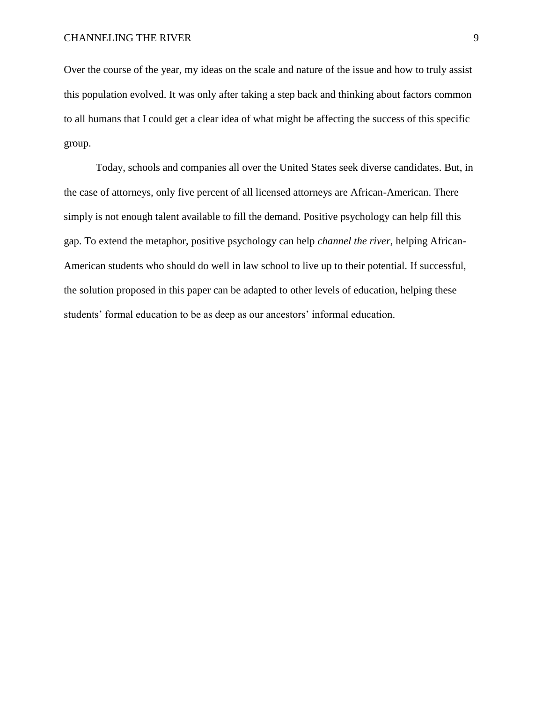Over the course of the year, my ideas on the scale and nature of the issue and how to truly assist this population evolved. It was only after taking a step back and thinking about factors common to all humans that I could get a clear idea of what might be affecting the success of this specific group.

Today, schools and companies all over the United States seek diverse candidates. But, in the case of attorneys, only five percent of all licensed attorneys are African-American. There simply is not enough talent available to fill the demand. Positive psychology can help fill this gap. To extend the metaphor, positive psychology can help *channel the river*, helping African-American students who should do well in law school to live up to their potential. If successful, the solution proposed in this paper can be adapted to other levels of education, helping these students' formal education to be as deep as our ancestors' informal education.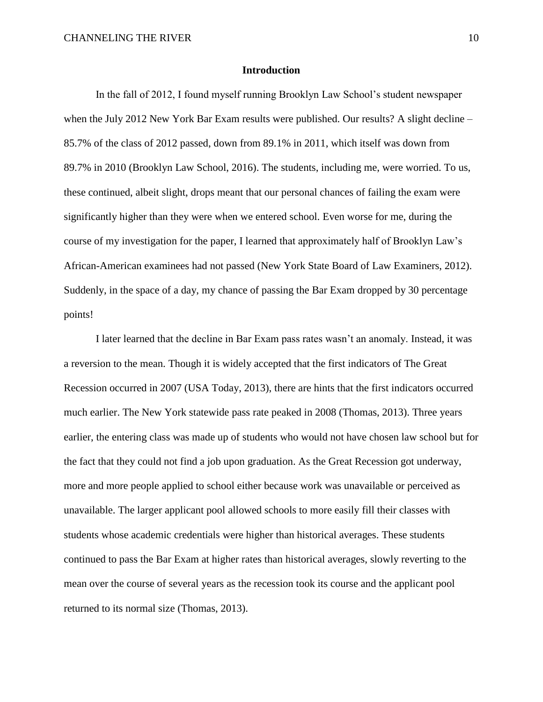#### **Introduction**

In the fall of 2012, I found myself running Brooklyn Law School's student newspaper when the July 2012 New York Bar Exam results were published. Our results? A slight decline – 85.7% of the class of 2012 passed, down from 89.1% in 2011, which itself was down from 89.7% in 2010 (Brooklyn Law School, 2016). The students, including me, were worried. To us, these continued, albeit slight, drops meant that our personal chances of failing the exam were significantly higher than they were when we entered school. Even worse for me, during the course of my investigation for the paper, I learned that approximately half of Brooklyn Law's African-American examinees had not passed (New York State Board of Law Examiners, 2012). Suddenly, in the space of a day, my chance of passing the Bar Exam dropped by 30 percentage points!

I later learned that the decline in Bar Exam pass rates wasn't an anomaly. Instead, it was a reversion to the mean. Though it is widely accepted that the first indicators of The Great Recession occurred in 2007 (USA Today, 2013), there are hints that the first indicators occurred much earlier. The New York statewide pass rate peaked in 2008 (Thomas, 2013). Three years earlier, the entering class was made up of students who would not have chosen law school but for the fact that they could not find a job upon graduation. As the Great Recession got underway, more and more people applied to school either because work was unavailable or perceived as unavailable. The larger applicant pool allowed schools to more easily fill their classes with students whose academic credentials were higher than historical averages. These students continued to pass the Bar Exam at higher rates than historical averages, slowly reverting to the mean over the course of several years as the recession took its course and the applicant pool returned to its normal size (Thomas, 2013).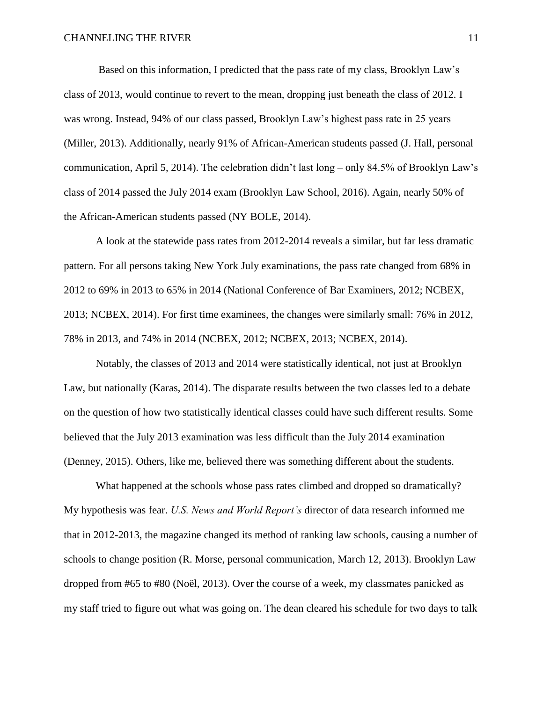Based on this information, I predicted that the pass rate of my class, Brooklyn Law's class of 2013, would continue to revert to the mean, dropping just beneath the class of 2012. I was wrong. Instead, 94% of our class passed, Brooklyn Law's highest pass rate in 25 years (Miller, 2013). Additionally, nearly 91% of African-American students passed (J. Hall, personal communication, April 5, 2014). The celebration didn't last long – only 84.5% of Brooklyn Law's class of 2014 passed the July 2014 exam (Brooklyn Law School, 2016). Again, nearly 50% of the African-American students passed (NY BOLE, 2014).

A look at the statewide pass rates from 2012-2014 reveals a similar, but far less dramatic pattern. For all persons taking New York July examinations, the pass rate changed from 68% in 2012 to 69% in 2013 to 65% in 2014 (National Conference of Bar Examiners, 2012; NCBEX, 2013; NCBEX, 2014). For first time examinees, the changes were similarly small: 76% in 2012, 78% in 2013, and 74% in 2014 (NCBEX, 2012; NCBEX, 2013; NCBEX, 2014).

Notably, the classes of 2013 and 2014 were statistically identical, not just at Brooklyn Law, but nationally (Karas, 2014). The disparate results between the two classes led to a debate on the question of how two statistically identical classes could have such different results. Some believed that the July 2013 examination was less difficult than the July 2014 examination (Denney, 2015). Others, like me, believed there was something different about the students.

What happened at the schools whose pass rates climbed and dropped so dramatically? My hypothesis was fear. *U.S. News and World Report's* director of data research informed me that in 2012-2013, the magazine changed its method of ranking law schools, causing a number of schools to change position (R. Morse, personal communication, March 12, 2013). Brooklyn Law dropped from #65 to #80 (Noël, 2013). Over the course of a week, my classmates panicked as my staff tried to figure out what was going on. The dean cleared his schedule for two days to talk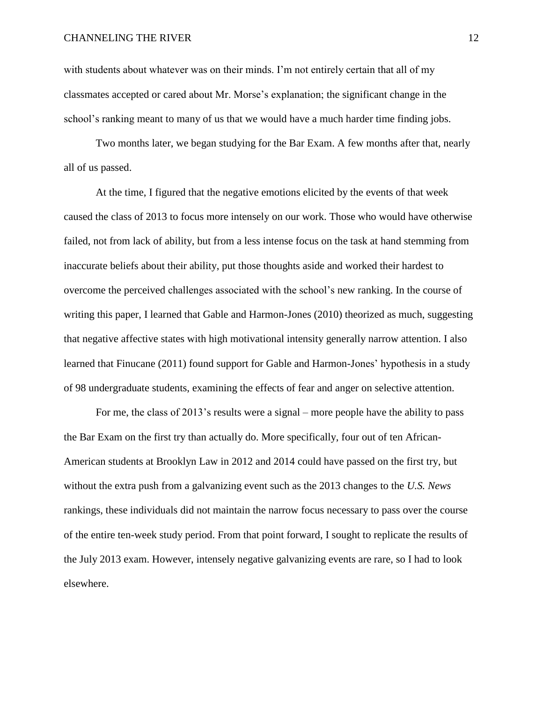with students about whatever was on their minds. I'm not entirely certain that all of my classmates accepted or cared about Mr. Morse's explanation; the significant change in the school's ranking meant to many of us that we would have a much harder time finding jobs.

Two months later, we began studying for the Bar Exam. A few months after that, nearly all of us passed.

At the time, I figured that the negative emotions elicited by the events of that week caused the class of 2013 to focus more intensely on our work. Those who would have otherwise failed, not from lack of ability, but from a less intense focus on the task at hand stemming from inaccurate beliefs about their ability, put those thoughts aside and worked their hardest to overcome the perceived challenges associated with the school's new ranking. In the course of writing this paper, I learned that Gable and Harmon-Jones (2010) theorized as much, suggesting that negative affective states with high motivational intensity generally narrow attention. I also learned that Finucane (2011) found support for Gable and Harmon-Jones' hypothesis in a study of 98 undergraduate students, examining the effects of fear and anger on selective attention.

For me, the class of 2013's results were a signal – more people have the ability to pass the Bar Exam on the first try than actually do. More specifically, four out of ten African-American students at Brooklyn Law in 2012 and 2014 could have passed on the first try, but without the extra push from a galvanizing event such as the 2013 changes to the *U.S. News* rankings, these individuals did not maintain the narrow focus necessary to pass over the course of the entire ten-week study period. From that point forward, I sought to replicate the results of the July 2013 exam. However, intensely negative galvanizing events are rare, so I had to look elsewhere.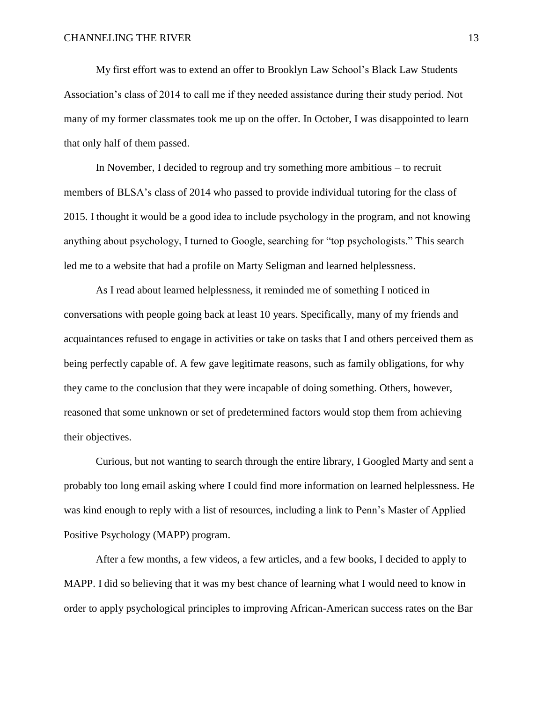My first effort was to extend an offer to Brooklyn Law School's Black Law Students Association's class of 2014 to call me if they needed assistance during their study period. Not many of my former classmates took me up on the offer. In October, I was disappointed to learn that only half of them passed.

In November, I decided to regroup and try something more ambitious – to recruit members of BLSA's class of 2014 who passed to provide individual tutoring for the class of 2015. I thought it would be a good idea to include psychology in the program, and not knowing anything about psychology, I turned to Google, searching for "top psychologists." This search led me to a website that had a profile on Marty Seligman and learned helplessness.

As I read about learned helplessness, it reminded me of something I noticed in conversations with people going back at least 10 years. Specifically, many of my friends and acquaintances refused to engage in activities or take on tasks that I and others perceived them as being perfectly capable of. A few gave legitimate reasons, such as family obligations, for why they came to the conclusion that they were incapable of doing something. Others, however, reasoned that some unknown or set of predetermined factors would stop them from achieving their objectives.

Curious, but not wanting to search through the entire library, I Googled Marty and sent a probably too long email asking where I could find more information on learned helplessness. He was kind enough to reply with a list of resources, including a link to Penn's Master of Applied Positive Psychology (MAPP) program.

After a few months, a few videos, a few articles, and a few books, I decided to apply to MAPP. I did so believing that it was my best chance of learning what I would need to know in order to apply psychological principles to improving African-American success rates on the Bar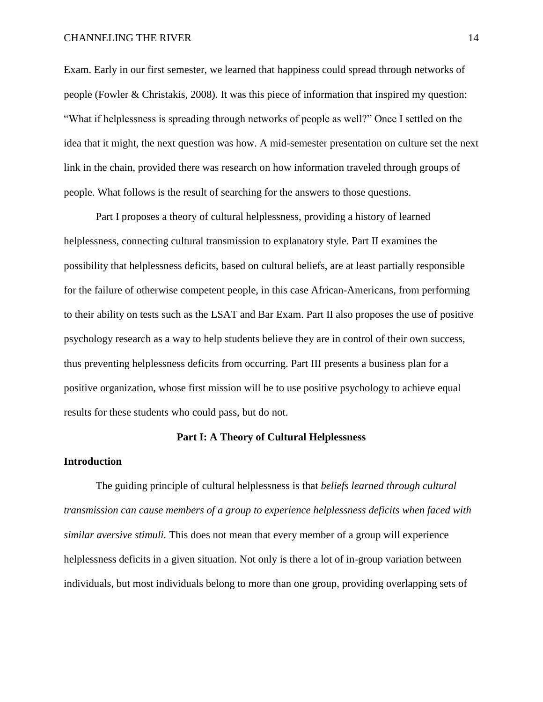#### CHANNELING THE RIVER 14

Exam. Early in our first semester, we learned that happiness could spread through networks of people (Fowler & Christakis, 2008). It was this piece of information that inspired my question: "What if helplessness is spreading through networks of people as well?" Once I settled on the idea that it might, the next question was how. A mid-semester presentation on culture set the next link in the chain, provided there was research on how information traveled through groups of people. What follows is the result of searching for the answers to those questions.

Part I proposes a theory of cultural helplessness, providing a history of learned helplessness, connecting cultural transmission to explanatory style. Part II examines the possibility that helplessness deficits, based on cultural beliefs, are at least partially responsible for the failure of otherwise competent people, in this case African-Americans, from performing to their ability on tests such as the LSAT and Bar Exam. Part II also proposes the use of positive psychology research as a way to help students believe they are in control of their own success, thus preventing helplessness deficits from occurring. Part III presents a business plan for a positive organization, whose first mission will be to use positive psychology to achieve equal results for these students who could pass, but do not.

#### **Part I: A Theory of Cultural Helplessness**

#### **Introduction**

The guiding principle of cultural helplessness is that *beliefs learned through cultural transmission can cause members of a group to experience helplessness deficits when faced with similar aversive stimuli.* This does not mean that every member of a group will experience helplessness deficits in a given situation. Not only is there a lot of in-group variation between individuals, but most individuals belong to more than one group, providing overlapping sets of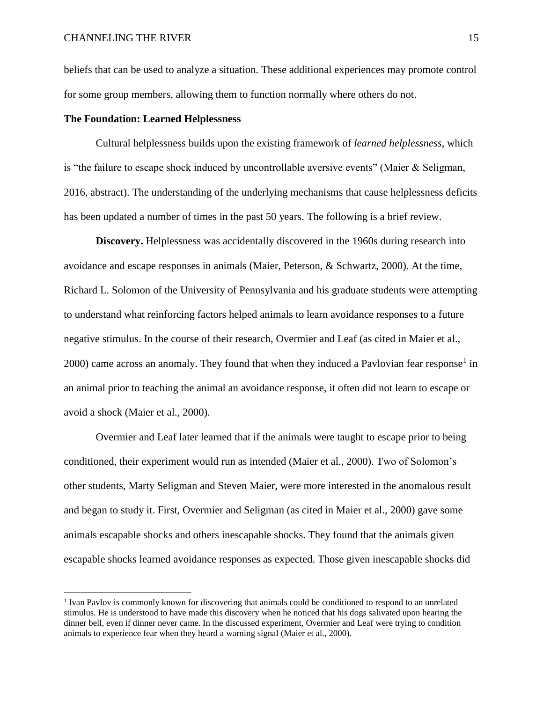$\overline{a}$ 

beliefs that can be used to analyze a situation. These additional experiences may promote control for some group members, allowing them to function normally where others do not.

#### **The Foundation: Learned Helplessness**

Cultural helplessness builds upon the existing framework of *learned helplessness*, which is "the failure to escape shock induced by uncontrollable aversive events" (Maier & Seligman, 2016, abstract). The understanding of the underlying mechanisms that cause helplessness deficits has been updated a number of times in the past 50 years. The following is a brief review.

**Discovery.** Helplessness was accidentally discovered in the 1960s during research into avoidance and escape responses in animals (Maier, Peterson, & Schwartz, 2000). At the time, Richard L. Solomon of the University of Pennsylvania and his graduate students were attempting to understand what reinforcing factors helped animals to learn avoidance responses to a future negative stimulus. In the course of their research, Overmier and Leaf (as cited in Maier et al.,  $2000$ ) came across an anomaly. They found that when they induced a Pavlovian fear response<sup>1</sup> in an animal prior to teaching the animal an avoidance response, it often did not learn to escape or avoid a shock (Maier et al., 2000).

Overmier and Leaf later learned that if the animals were taught to escape prior to being conditioned, their experiment would run as intended (Maier et al., 2000). Two of Solomon's other students, Marty Seligman and Steven Maier, were more interested in the anomalous result and began to study it. First, Overmier and Seligman (as cited in Maier et al., 2000) gave some animals escapable shocks and others inescapable shocks. They found that the animals given escapable shocks learned avoidance responses as expected. Those given inescapable shocks did

<sup>&</sup>lt;sup>1</sup> Ivan Pavlov is commonly known for discovering that animals could be conditioned to respond to an unrelated stimulus. He is understood to have made this discovery when he noticed that his dogs salivated upon hearing the dinner bell, even if dinner never came. In the discussed experiment, Overmier and Leaf were trying to condition animals to experience fear when they heard a warning signal (Maier et al., 2000).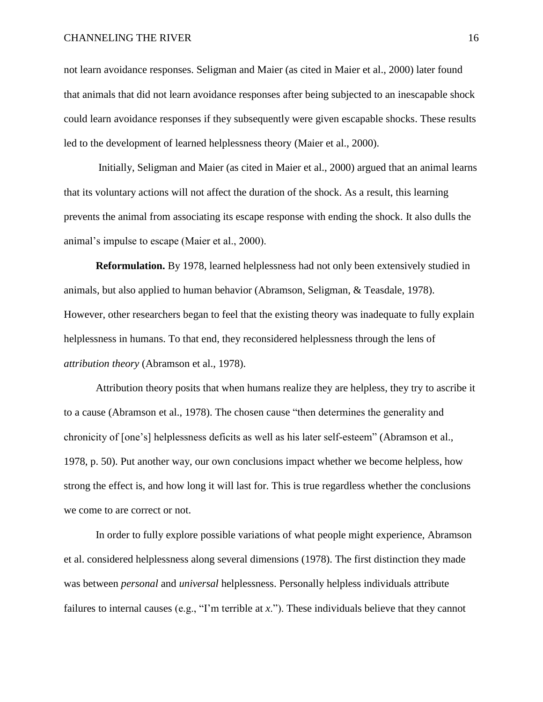not learn avoidance responses. Seligman and Maier (as cited in Maier et al., 2000) later found that animals that did not learn avoidance responses after being subjected to an inescapable shock could learn avoidance responses if they subsequently were given escapable shocks. These results led to the development of learned helplessness theory (Maier et al., 2000).

Initially, Seligman and Maier (as cited in Maier et al., 2000) argued that an animal learns that its voluntary actions will not affect the duration of the shock. As a result, this learning prevents the animal from associating its escape response with ending the shock. It also dulls the animal's impulse to escape (Maier et al., 2000).

**Reformulation.** By 1978, learned helplessness had not only been extensively studied in animals, but also applied to human behavior (Abramson, Seligman, & Teasdale, 1978). However, other researchers began to feel that the existing theory was inadequate to fully explain helplessness in humans. To that end, they reconsidered helplessness through the lens of *attribution theory* (Abramson et al., 1978).

Attribution theory posits that when humans realize they are helpless, they try to ascribe it to a cause (Abramson et al., 1978). The chosen cause "then determines the generality and chronicity of [one's] helplessness deficits as well as his later self-esteem" (Abramson et al., 1978, p. 50). Put another way, our own conclusions impact whether we become helpless, how strong the effect is, and how long it will last for. This is true regardless whether the conclusions we come to are correct or not.

In order to fully explore possible variations of what people might experience, Abramson et al. considered helplessness along several dimensions (1978). The first distinction they made was between *personal* and *universal* helplessness. Personally helpless individuals attribute failures to internal causes (e.g., "I'm terrible at *x*."). These individuals believe that they cannot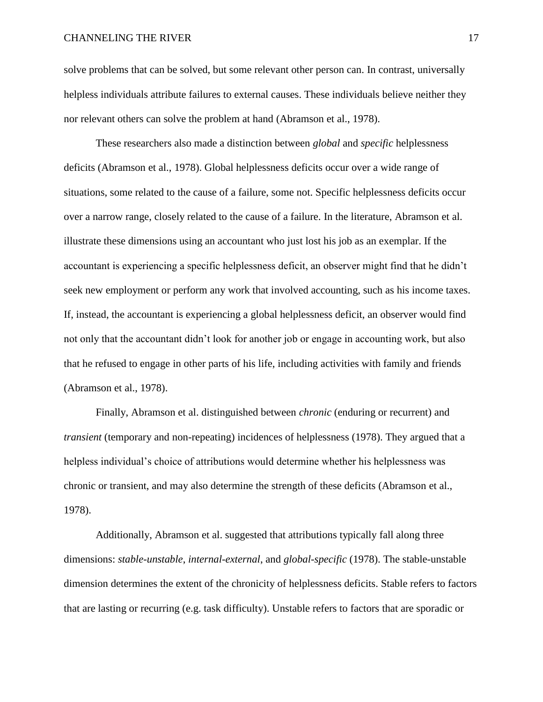solve problems that can be solved, but some relevant other person can. In contrast, universally helpless individuals attribute failures to external causes. These individuals believe neither they nor relevant others can solve the problem at hand (Abramson et al., 1978).

These researchers also made a distinction between *global* and *specific* helplessness deficits (Abramson et al., 1978). Global helplessness deficits occur over a wide range of situations, some related to the cause of a failure, some not. Specific helplessness deficits occur over a narrow range, closely related to the cause of a failure. In the literature, Abramson et al. illustrate these dimensions using an accountant who just lost his job as an exemplar. If the accountant is experiencing a specific helplessness deficit, an observer might find that he didn't seek new employment or perform any work that involved accounting, such as his income taxes. If, instead, the accountant is experiencing a global helplessness deficit, an observer would find not only that the accountant didn't look for another job or engage in accounting work, but also that he refused to engage in other parts of his life, including activities with family and friends (Abramson et al., 1978).

Finally, Abramson et al. distinguished between *chronic* (enduring or recurrent) and *transient* (temporary and non-repeating) incidences of helplessness (1978). They argued that a helpless individual's choice of attributions would determine whether his helplessness was chronic or transient, and may also determine the strength of these deficits (Abramson et al., 1978).

Additionally, Abramson et al. suggested that attributions typically fall along three dimensions: *stable-unstable*, *internal-external*, and *global-specific* (1978). The stable-unstable dimension determines the extent of the chronicity of helplessness deficits. Stable refers to factors that are lasting or recurring (e.g. task difficulty). Unstable refers to factors that are sporadic or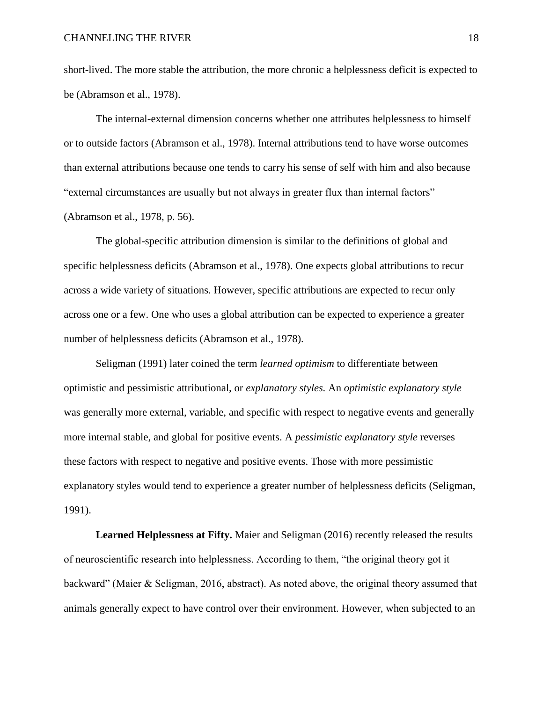short-lived. The more stable the attribution, the more chronic a helplessness deficit is expected to be (Abramson et al., 1978).

The internal-external dimension concerns whether one attributes helplessness to himself or to outside factors (Abramson et al., 1978). Internal attributions tend to have worse outcomes than external attributions because one tends to carry his sense of self with him and also because "external circumstances are usually but not always in greater flux than internal factors" (Abramson et al., 1978, p. 56).

The global-specific attribution dimension is similar to the definitions of global and specific helplessness deficits (Abramson et al., 1978). One expects global attributions to recur across a wide variety of situations. However, specific attributions are expected to recur only across one or a few. One who uses a global attribution can be expected to experience a greater number of helplessness deficits (Abramson et al., 1978).

Seligman (1991) later coined the term *learned optimism* to differentiate between optimistic and pessimistic attributional, or *explanatory styles.* An *optimistic explanatory style* was generally more external, variable, and specific with respect to negative events and generally more internal stable, and global for positive events. A *pessimistic explanatory style* reverses these factors with respect to negative and positive events. Those with more pessimistic explanatory styles would tend to experience a greater number of helplessness deficits (Seligman, 1991).

**Learned Helplessness at Fifty.** Maier and Seligman (2016) recently released the results of neuroscientific research into helplessness. According to them, "the original theory got it backward" (Maier & Seligman, 2016, abstract). As noted above, the original theory assumed that animals generally expect to have control over their environment. However, when subjected to an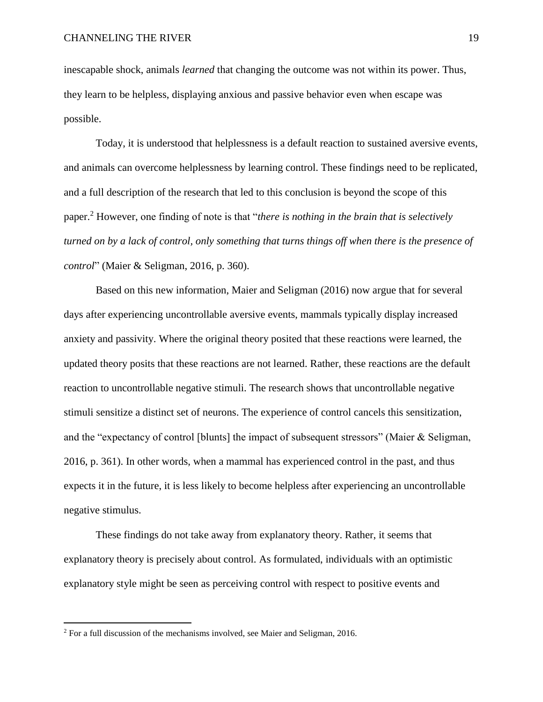inescapable shock, animals *learned* that changing the outcome was not within its power. Thus, they learn to be helpless, displaying anxious and passive behavior even when escape was possible.

Today, it is understood that helplessness is a default reaction to sustained aversive events, and animals can overcome helplessness by learning control. These findings need to be replicated, and a full description of the research that led to this conclusion is beyond the scope of this paper. <sup>2</sup> However, one finding of note is that "*there is nothing in the brain that is selectively turned on by a lack of control, only something that turns things off when there is the presence of control*" (Maier & Seligman, 2016, p. 360).

Based on this new information, Maier and Seligman (2016) now argue that for several days after experiencing uncontrollable aversive events, mammals typically display increased anxiety and passivity. Where the original theory posited that these reactions were learned, the updated theory posits that these reactions are not learned. Rather, these reactions are the default reaction to uncontrollable negative stimuli. The research shows that uncontrollable negative stimuli sensitize a distinct set of neurons. The experience of control cancels this sensitization, and the "expectancy of control [blunts] the impact of subsequent stressors" (Maier & Seligman, 2016, p. 361). In other words, when a mammal has experienced control in the past, and thus expects it in the future, it is less likely to become helpless after experiencing an uncontrollable negative stimulus.

These findings do not take away from explanatory theory. Rather, it seems that explanatory theory is precisely about control. As formulated, individuals with an optimistic explanatory style might be seen as perceiving control with respect to positive events and

 $\overline{a}$ 

<sup>&</sup>lt;sup>2</sup> For a full discussion of the mechanisms involved, see Maier and Seligman, 2016.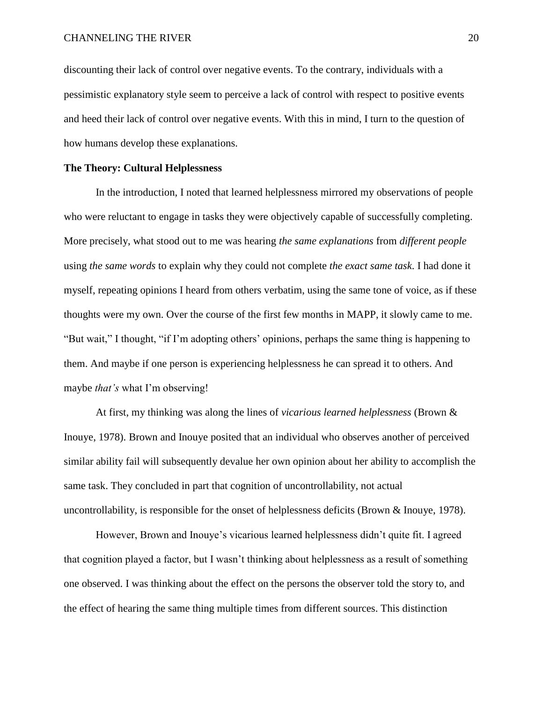discounting their lack of control over negative events. To the contrary, individuals with a pessimistic explanatory style seem to perceive a lack of control with respect to positive events and heed their lack of control over negative events. With this in mind, I turn to the question of how humans develop these explanations.

## **The Theory: Cultural Helplessness**

In the introduction, I noted that learned helplessness mirrored my observations of people who were reluctant to engage in tasks they were objectively capable of successfully completing. More precisely, what stood out to me was hearing *the same explanations* from *different people* using *the same words* to explain why they could not complete *the exact same task*. I had done it myself, repeating opinions I heard from others verbatim, using the same tone of voice, as if these thoughts were my own. Over the course of the first few months in MAPP, it slowly came to me. "But wait," I thought, "if I'm adopting others' opinions, perhaps the same thing is happening to them. And maybe if one person is experiencing helplessness he can spread it to others. And maybe *that's* what I'm observing!

At first, my thinking was along the lines of *vicarious learned helplessness* (Brown & Inouye, 1978). Brown and Inouye posited that an individual who observes another of perceived similar ability fail will subsequently devalue her own opinion about her ability to accomplish the same task. They concluded in part that cognition of uncontrollability, not actual uncontrollability, is responsible for the onset of helplessness deficits (Brown & Inouye, 1978).

However, Brown and Inouye's vicarious learned helplessness didn't quite fit. I agreed that cognition played a factor, but I wasn't thinking about helplessness as a result of something one observed. I was thinking about the effect on the persons the observer told the story to, and the effect of hearing the same thing multiple times from different sources. This distinction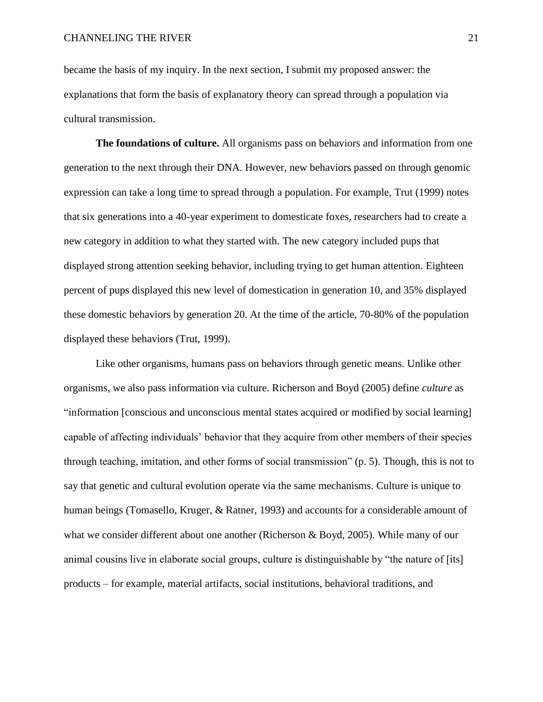became the basis of my inquiry. In the next section, I submit my proposed answer: the explanations that form the basis of explanatory theory can spread through a population via cultural transmission.

**The foundations of culture.** All organisms pass on behaviors and information from one generation to the next through their DNA. However, new behaviors passed on through genomic expression can take a long time to spread through a population. For example, Trut (1999) notes that six generations into a 40-year experiment to domesticate foxes, researchers had to create a new category in addition to what they started with. The new category included pups that displayed strong attention seeking behavior, including trying to get human attention. Eighteen percent of pups displayed this new level of domestication in generation 10, and 35% displayed these domestic behaviors by generation 20. At the time of the article, 70-80% of the population displayed these behaviors (Trut, 1999).

Like other organisms, humans pass on behaviors through genetic means. Unlike other organisms, we also pass information via culture. Richerson and Boyd (2005) define *culture* as "information [conscious and unconscious mental states acquired or modified by social learning] capable of affecting individuals' behavior that they acquire from other members of their species through teaching, imitation, and other forms of social transmission" (p. 5). Though, this is not to say that genetic and cultural evolution operate via the same mechanisms. Culture is unique to human beings (Tomasello, Kruger, & Ratner, 1993) and accounts for a considerable amount of what we consider different about one another (Richerson & Boyd, 2005). While many of our animal cousins live in elaborate social groups, culture is distinguishable by "the nature of [its] products – for example, material artifacts, social institutions, behavioral traditions, and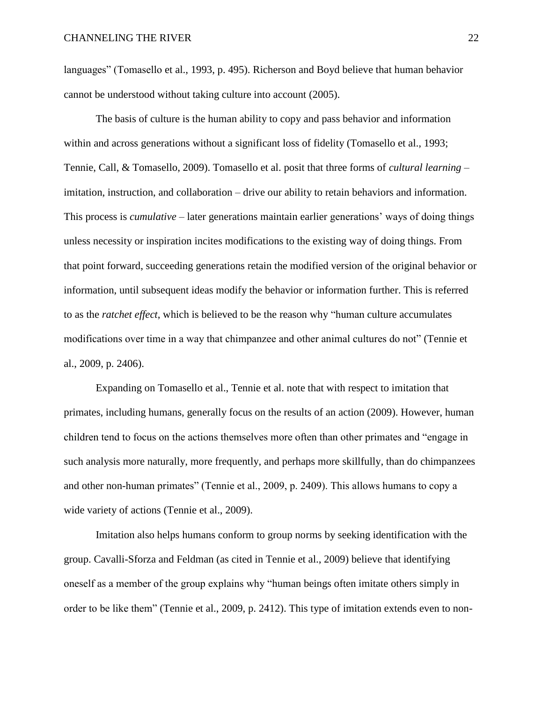languages" (Tomasello et al., 1993, p. 495). Richerson and Boyd believe that human behavior cannot be understood without taking culture into account (2005).

The basis of culture is the human ability to copy and pass behavior and information within and across generations without a significant loss of fidelity (Tomasello et al., 1993; Tennie, Call, & Tomasello, 2009). Tomasello et al. posit that three forms of *cultural learning* – imitation, instruction, and collaboration – drive our ability to retain behaviors and information. This process is *cumulative* – later generations maintain earlier generations' ways of doing things unless necessity or inspiration incites modifications to the existing way of doing things. From that point forward, succeeding generations retain the modified version of the original behavior or information, until subsequent ideas modify the behavior or information further. This is referred to as the *ratchet effect*, which is believed to be the reason why "human culture accumulates modifications over time in a way that chimpanzee and other animal cultures do not" (Tennie et al., 2009, p. 2406).

Expanding on Tomasello et al., Tennie et al. note that with respect to imitation that primates, including humans, generally focus on the results of an action (2009). However, human children tend to focus on the actions themselves more often than other primates and "engage in such analysis more naturally, more frequently, and perhaps more skillfully, than do chimpanzees and other non-human primates" (Tennie et al., 2009, p. 2409). This allows humans to copy a wide variety of actions (Tennie et al., 2009).

Imitation also helps humans conform to group norms by seeking identification with the group. Cavalli-Sforza and Feldman (as cited in Tennie et al., 2009) believe that identifying oneself as a member of the group explains why "human beings often imitate others simply in order to be like them" (Tennie et al., 2009, p. 2412). This type of imitation extends even to non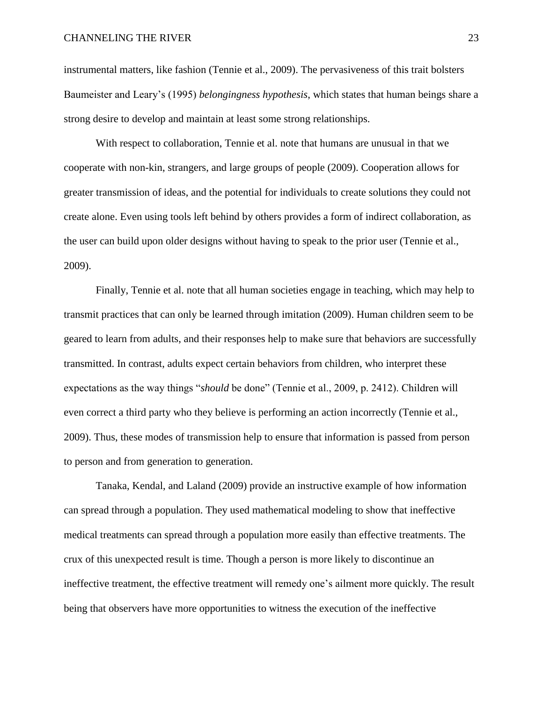instrumental matters, like fashion (Tennie et al., 2009). The pervasiveness of this trait bolsters Baumeister and Leary's (1995) *belongingness hypothesis*, which states that human beings share a strong desire to develop and maintain at least some strong relationships.

With respect to collaboration, Tennie et al. note that humans are unusual in that we cooperate with non-kin, strangers, and large groups of people (2009). Cooperation allows for greater transmission of ideas, and the potential for individuals to create solutions they could not create alone. Even using tools left behind by others provides a form of indirect collaboration, as the user can build upon older designs without having to speak to the prior user (Tennie et al., 2009).

Finally, Tennie et al. note that all human societies engage in teaching, which may help to transmit practices that can only be learned through imitation (2009). Human children seem to be geared to learn from adults, and their responses help to make sure that behaviors are successfully transmitted. In contrast, adults expect certain behaviors from children, who interpret these expectations as the way things "*should* be done" (Tennie et al., 2009, p. 2412). Children will even correct a third party who they believe is performing an action incorrectly (Tennie et al., 2009). Thus, these modes of transmission help to ensure that information is passed from person to person and from generation to generation.

Tanaka, Kendal, and Laland (2009) provide an instructive example of how information can spread through a population. They used mathematical modeling to show that ineffective medical treatments can spread through a population more easily than effective treatments. The crux of this unexpected result is time. Though a person is more likely to discontinue an ineffective treatment, the effective treatment will remedy one's ailment more quickly. The result being that observers have more opportunities to witness the execution of the ineffective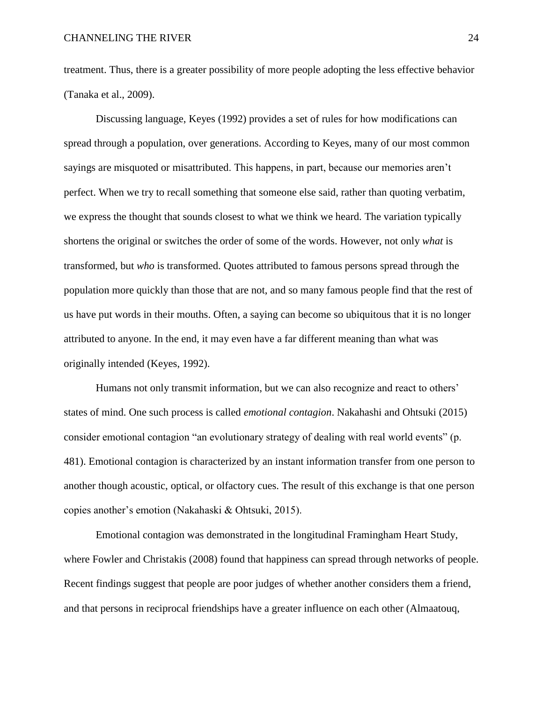treatment. Thus, there is a greater possibility of more people adopting the less effective behavior (Tanaka et al., 2009).

Discussing language, Keyes (1992) provides a set of rules for how modifications can spread through a population, over generations. According to Keyes, many of our most common sayings are misquoted or misattributed. This happens, in part, because our memories aren't perfect. When we try to recall something that someone else said, rather than quoting verbatim, we express the thought that sounds closest to what we think we heard. The variation typically shortens the original or switches the order of some of the words. However, not only *what* is transformed, but *who* is transformed. Quotes attributed to famous persons spread through the population more quickly than those that are not, and so many famous people find that the rest of us have put words in their mouths. Often, a saying can become so ubiquitous that it is no longer attributed to anyone. In the end, it may even have a far different meaning than what was originally intended (Keyes, 1992).

Humans not only transmit information, but we can also recognize and react to others' states of mind. One such process is called *emotional contagion*. Nakahashi and Ohtsuki (2015) consider emotional contagion "an evolutionary strategy of dealing with real world events" (p. 481). Emotional contagion is characterized by an instant information transfer from one person to another though acoustic, optical, or olfactory cues. The result of this exchange is that one person copies another's emotion (Nakahaski & Ohtsuki, 2015).

Emotional contagion was demonstrated in the longitudinal Framingham Heart Study, where Fowler and Christakis (2008) found that happiness can spread through networks of people. Recent findings suggest that people are poor judges of whether another considers them a friend, and that persons in reciprocal friendships have a greater influence on each other (Almaatouq,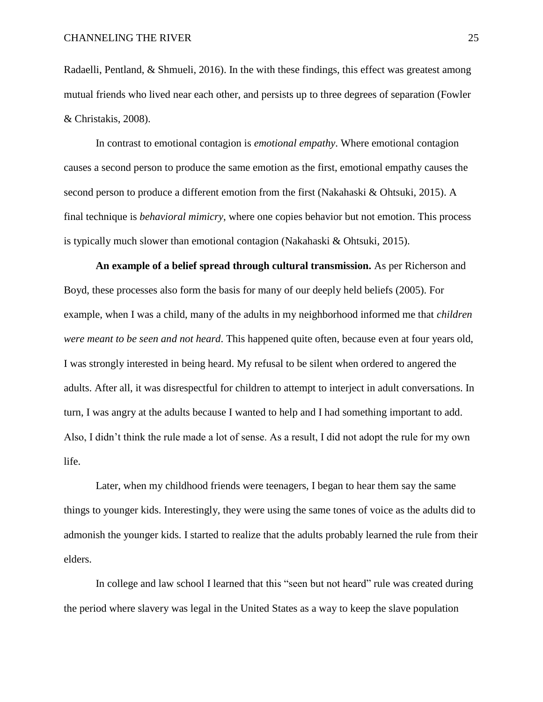Radaelli, Pentland, & Shmueli, 2016). In the with these findings, this effect was greatest among mutual friends who lived near each other, and persists up to three degrees of separation (Fowler & Christakis, 2008).

In contrast to emotional contagion is *emotional empathy*. Where emotional contagion causes a second person to produce the same emotion as the first, emotional empathy causes the second person to produce a different emotion from the first (Nakahaski & Ohtsuki, 2015). A final technique is *behavioral mimicry*, where one copies behavior but not emotion. This process is typically much slower than emotional contagion (Nakahaski & Ohtsuki, 2015).

**An example of a belief spread through cultural transmission.** As per Richerson and Boyd, these processes also form the basis for many of our deeply held beliefs (2005). For example, when I was a child, many of the adults in my neighborhood informed me that *children were meant to be seen and not heard*. This happened quite often, because even at four years old, I was strongly interested in being heard. My refusal to be silent when ordered to angered the adults. After all, it was disrespectful for children to attempt to interject in adult conversations. In turn, I was angry at the adults because I wanted to help and I had something important to add. Also, I didn't think the rule made a lot of sense. As a result, I did not adopt the rule for my own life.

Later, when my childhood friends were teenagers, I began to hear them say the same things to younger kids. Interestingly, they were using the same tones of voice as the adults did to admonish the younger kids. I started to realize that the adults probably learned the rule from their elders.

In college and law school I learned that this "seen but not heard" rule was created during the period where slavery was legal in the United States as a way to keep the slave population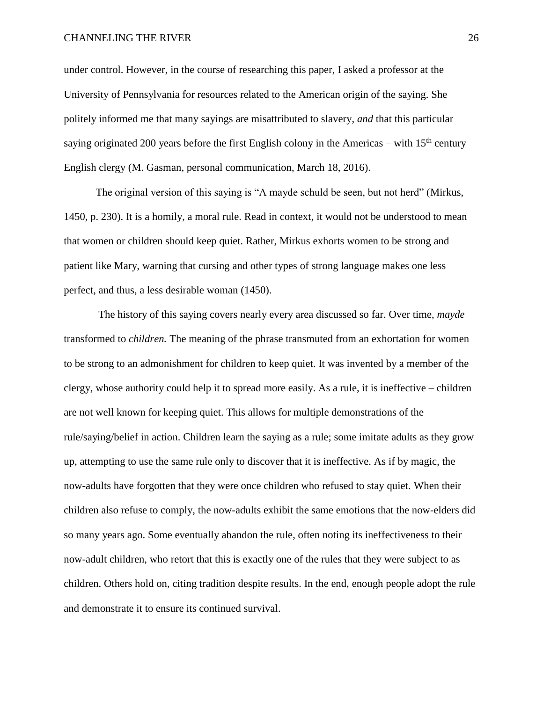under control. However, in the course of researching this paper, I asked a professor at the University of Pennsylvania for resources related to the American origin of the saying. She politely informed me that many sayings are misattributed to slavery, *and* that this particular saying originated 200 years before the first English colony in the Americas – with  $15<sup>th</sup>$  century English clergy (M. Gasman, personal communication, March 18, 2016).

The original version of this saying is "A mayde schuld be seen, but not herd" (Mirkus, 1450, p. 230). It is a homily, a moral rule. Read in context, it would not be understood to mean that women or children should keep quiet. Rather, Mirkus exhorts women to be strong and patient like Mary, warning that cursing and other types of strong language makes one less perfect, and thus, a less desirable woman (1450).

The history of this saying covers nearly every area discussed so far. Over time, *mayde* transformed to *children.* The meaning of the phrase transmuted from an exhortation for women to be strong to an admonishment for children to keep quiet. It was invented by a member of the clergy, whose authority could help it to spread more easily. As a rule, it is ineffective – children are not well known for keeping quiet. This allows for multiple demonstrations of the rule/saying/belief in action. Children learn the saying as a rule; some imitate adults as they grow up, attempting to use the same rule only to discover that it is ineffective. As if by magic, the now-adults have forgotten that they were once children who refused to stay quiet. When their children also refuse to comply, the now-adults exhibit the same emotions that the now-elders did so many years ago. Some eventually abandon the rule, often noting its ineffectiveness to their now-adult children, who retort that this is exactly one of the rules that they were subject to as children. Others hold on, citing tradition despite results. In the end, enough people adopt the rule and demonstrate it to ensure its continued survival.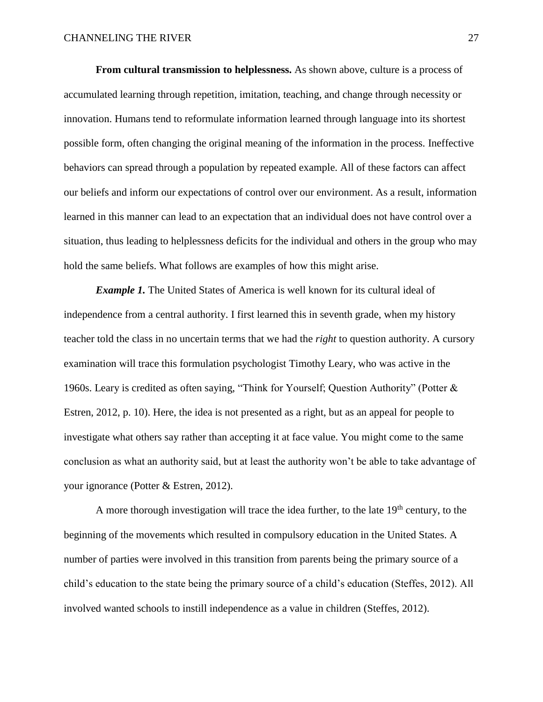**From cultural transmission to helplessness.** As shown above, culture is a process of accumulated learning through repetition, imitation, teaching, and change through necessity or innovation. Humans tend to reformulate information learned through language into its shortest possible form, often changing the original meaning of the information in the process. Ineffective behaviors can spread through a population by repeated example. All of these factors can affect our beliefs and inform our expectations of control over our environment. As a result, information learned in this manner can lead to an expectation that an individual does not have control over a situation, thus leading to helplessness deficits for the individual and others in the group who may hold the same beliefs. What follows are examples of how this might arise.

*Example 1.* The United States of America is well known for its cultural ideal of independence from a central authority. I first learned this in seventh grade, when my history teacher told the class in no uncertain terms that we had the *right* to question authority. A cursory examination will trace this formulation psychologist Timothy Leary, who was active in the 1960s. Leary is credited as often saying, "Think for Yourself; Question Authority" (Potter & Estren, 2012, p. 10). Here, the idea is not presented as a right, but as an appeal for people to investigate what others say rather than accepting it at face value. You might come to the same conclusion as what an authority said, but at least the authority won't be able to take advantage of your ignorance (Potter & Estren, 2012).

A more thorough investigation will trace the idea further, to the late  $19<sup>th</sup>$  century, to the beginning of the movements which resulted in compulsory education in the United States. A number of parties were involved in this transition from parents being the primary source of a child's education to the state being the primary source of a child's education (Steffes, 2012). All involved wanted schools to instill independence as a value in children (Steffes, 2012).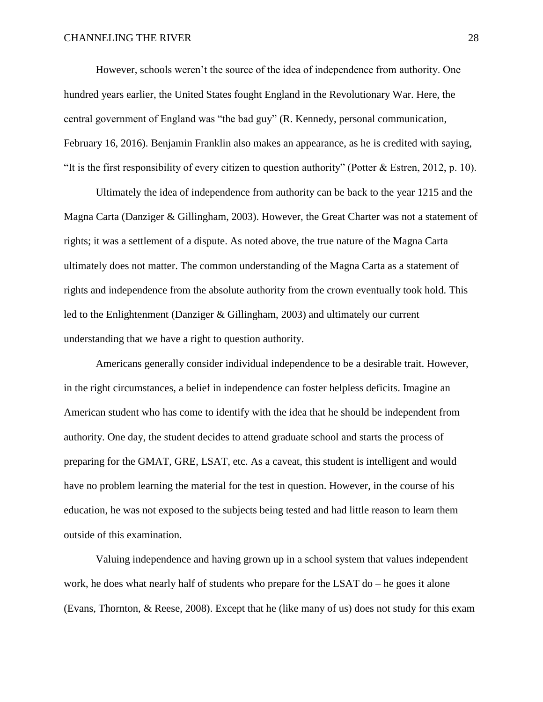However, schools weren't the source of the idea of independence from authority. One hundred years earlier, the United States fought England in the Revolutionary War. Here, the central government of England was "the bad guy" (R. Kennedy, personal communication, February 16, 2016). Benjamin Franklin also makes an appearance, as he is credited with saying, "It is the first responsibility of every citizen to question authority" (Potter & Estren, 2012, p. 10).

Ultimately the idea of independence from authority can be back to the year 1215 and the Magna Carta (Danziger & Gillingham, 2003). However, the Great Charter was not a statement of rights; it was a settlement of a dispute. As noted above, the true nature of the Magna Carta ultimately does not matter. The common understanding of the Magna Carta as a statement of rights and independence from the absolute authority from the crown eventually took hold. This led to the Enlightenment (Danziger & Gillingham, 2003) and ultimately our current understanding that we have a right to question authority.

Americans generally consider individual independence to be a desirable trait. However, in the right circumstances, a belief in independence can foster helpless deficits. Imagine an American student who has come to identify with the idea that he should be independent from authority. One day, the student decides to attend graduate school and starts the process of preparing for the GMAT, GRE, LSAT, etc. As a caveat, this student is intelligent and would have no problem learning the material for the test in question. However, in the course of his education, he was not exposed to the subjects being tested and had little reason to learn them outside of this examination.

Valuing independence and having grown up in a school system that values independent work, he does what nearly half of students who prepare for the LSAT do – he goes it alone (Evans, Thornton, & Reese, 2008). Except that he (like many of us) does not study for this exam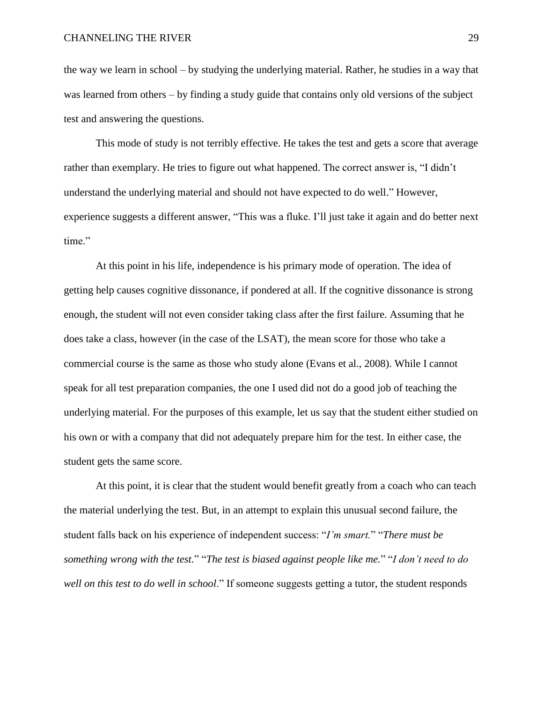the way we learn in school – by studying the underlying material. Rather, he studies in a way that was learned from others – by finding a study guide that contains only old versions of the subject test and answering the questions.

This mode of study is not terribly effective. He takes the test and gets a score that average rather than exemplary. He tries to figure out what happened. The correct answer is, "I didn't understand the underlying material and should not have expected to do well." However, experience suggests a different answer, "This was a fluke. I'll just take it again and do better next time."

At this point in his life, independence is his primary mode of operation. The idea of getting help causes cognitive dissonance, if pondered at all. If the cognitive dissonance is strong enough, the student will not even consider taking class after the first failure. Assuming that he does take a class, however (in the case of the LSAT), the mean score for those who take a commercial course is the same as those who study alone (Evans et al., 2008). While I cannot speak for all test preparation companies, the one I used did not do a good job of teaching the underlying material. For the purposes of this example, let us say that the student either studied on his own or with a company that did not adequately prepare him for the test. In either case, the student gets the same score.

At this point, it is clear that the student would benefit greatly from a coach who can teach the material underlying the test. But, in an attempt to explain this unusual second failure, the student falls back on his experience of independent success: "*I'm smart.*" "*There must be something wrong with the test.*" "*The test is biased against people like me.*" "*I don't need to do well on this test to do well in school*." If someone suggests getting a tutor, the student responds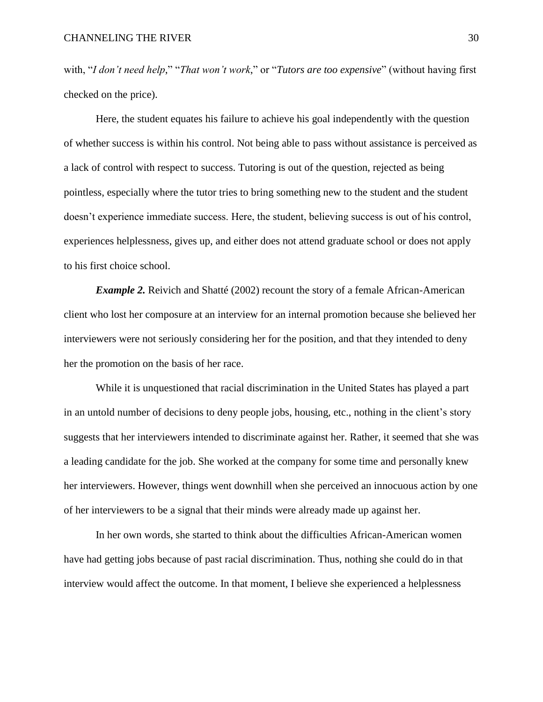with, "*I don't need help*," "*That won't work*," or "*Tutors are too expensive*" (without having first checked on the price).

Here, the student equates his failure to achieve his goal independently with the question of whether success is within his control. Not being able to pass without assistance is perceived as a lack of control with respect to success. Tutoring is out of the question, rejected as being pointless, especially where the tutor tries to bring something new to the student and the student doesn't experience immediate success. Here, the student, believing success is out of his control, experiences helplessness, gives up, and either does not attend graduate school or does not apply to his first choice school.

*Example 2.* Reivich and Shatté (2002) recount the story of a female African-American client who lost her composure at an interview for an internal promotion because she believed her interviewers were not seriously considering her for the position, and that they intended to deny her the promotion on the basis of her race.

While it is unquestioned that racial discrimination in the United States has played a part in an untold number of decisions to deny people jobs, housing, etc., nothing in the client's story suggests that her interviewers intended to discriminate against her. Rather, it seemed that she was a leading candidate for the job. She worked at the company for some time and personally knew her interviewers. However, things went downhill when she perceived an innocuous action by one of her interviewers to be a signal that their minds were already made up against her.

In her own words, she started to think about the difficulties African-American women have had getting jobs because of past racial discrimination. Thus, nothing she could do in that interview would affect the outcome. In that moment, I believe she experienced a helplessness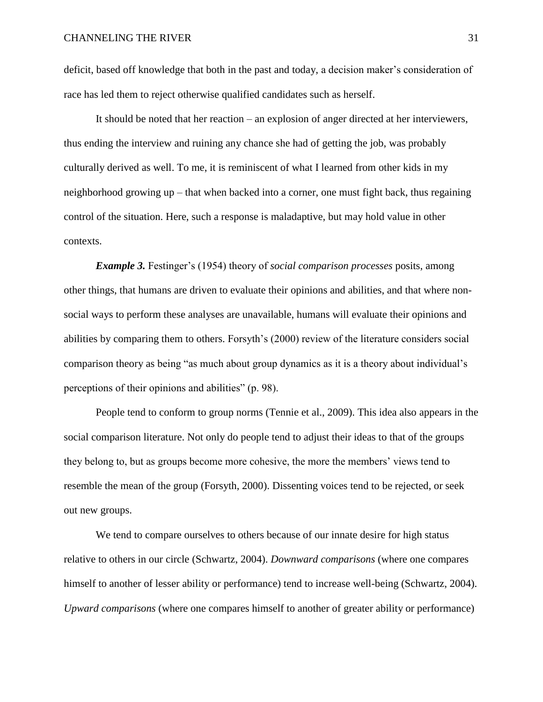deficit, based off knowledge that both in the past and today, a decision maker's consideration of race has led them to reject otherwise qualified candidates such as herself.

It should be noted that her reaction – an explosion of anger directed at her interviewers, thus ending the interview and ruining any chance she had of getting the job, was probably culturally derived as well. To me, it is reminiscent of what I learned from other kids in my neighborhood growing up – that when backed into a corner, one must fight back, thus regaining control of the situation. Here, such a response is maladaptive, but may hold value in other contexts.

*Example 3.* Festinger's (1954) theory of *social comparison processes* posits, among other things, that humans are driven to evaluate their opinions and abilities, and that where nonsocial ways to perform these analyses are unavailable, humans will evaluate their opinions and abilities by comparing them to others. Forsyth's (2000) review of the literature considers social comparison theory as being "as much about group dynamics as it is a theory about individual's perceptions of their opinions and abilities" (p. 98).

People tend to conform to group norms (Tennie et al., 2009). This idea also appears in the social comparison literature. Not only do people tend to adjust their ideas to that of the groups they belong to, but as groups become more cohesive, the more the members' views tend to resemble the mean of the group (Forsyth, 2000). Dissenting voices tend to be rejected, or seek out new groups.

We tend to compare ourselves to others because of our innate desire for high status relative to others in our circle (Schwartz, 2004). *Downward comparisons* (where one compares himself to another of lesser ability or performance) tend to increase well-being (Schwartz, 2004). *Upward comparisons* (where one compares himself to another of greater ability or performance)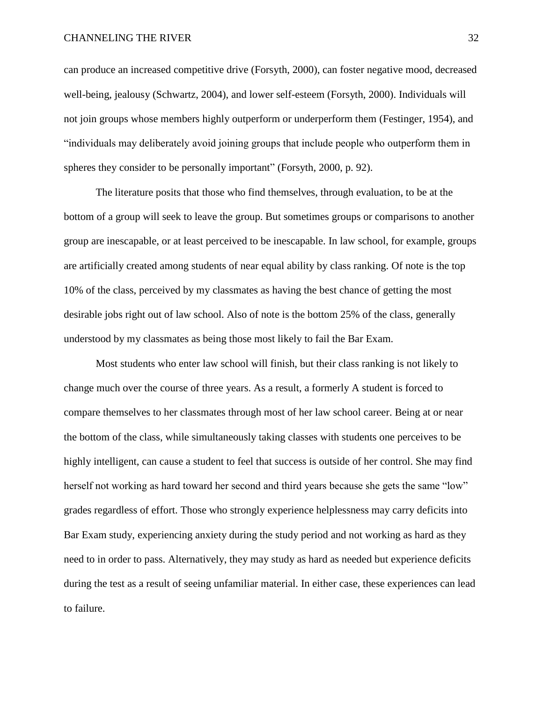can produce an increased competitive drive (Forsyth, 2000), can foster negative mood, decreased well-being, jealousy (Schwartz, 2004), and lower self-esteem (Forsyth, 2000). Individuals will not join groups whose members highly outperform or underperform them (Festinger, 1954), and "individuals may deliberately avoid joining groups that include people who outperform them in spheres they consider to be personally important" (Forsyth, 2000, p. 92).

The literature posits that those who find themselves, through evaluation, to be at the bottom of a group will seek to leave the group. But sometimes groups or comparisons to another group are inescapable, or at least perceived to be inescapable. In law school, for example, groups are artificially created among students of near equal ability by class ranking. Of note is the top 10% of the class, perceived by my classmates as having the best chance of getting the most desirable jobs right out of law school. Also of note is the bottom 25% of the class, generally understood by my classmates as being those most likely to fail the Bar Exam.

Most students who enter law school will finish, but their class ranking is not likely to change much over the course of three years. As a result, a formerly A student is forced to compare themselves to her classmates through most of her law school career. Being at or near the bottom of the class, while simultaneously taking classes with students one perceives to be highly intelligent, can cause a student to feel that success is outside of her control. She may find herself not working as hard toward her second and third years because she gets the same "low" grades regardless of effort. Those who strongly experience helplessness may carry deficits into Bar Exam study, experiencing anxiety during the study period and not working as hard as they need to in order to pass. Alternatively, they may study as hard as needed but experience deficits during the test as a result of seeing unfamiliar material. In either case, these experiences can lead to failure.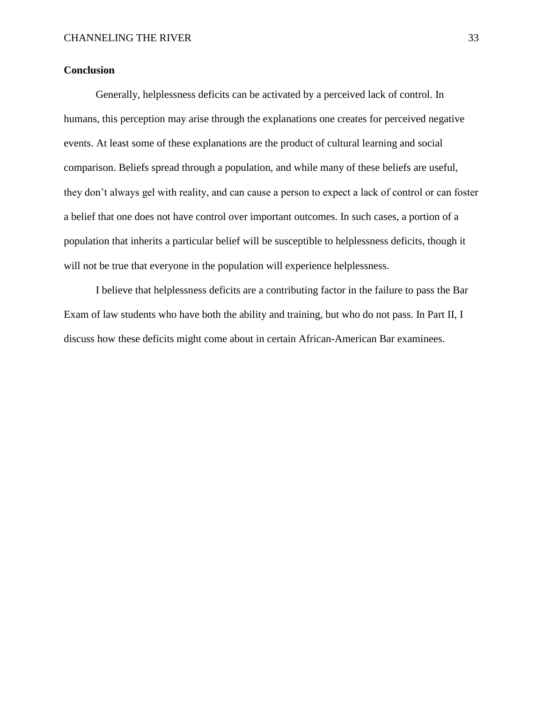## **Conclusion**

Generally, helplessness deficits can be activated by a perceived lack of control. In humans, this perception may arise through the explanations one creates for perceived negative events. At least some of these explanations are the product of cultural learning and social comparison. Beliefs spread through a population, and while many of these beliefs are useful, they don't always gel with reality, and can cause a person to expect a lack of control or can foster a belief that one does not have control over important outcomes. In such cases, a portion of a population that inherits a particular belief will be susceptible to helplessness deficits, though it will not be true that everyone in the population will experience helplessness.

I believe that helplessness deficits are a contributing factor in the failure to pass the Bar Exam of law students who have both the ability and training, but who do not pass. In Part II, I discuss how these deficits might come about in certain African-American Bar examinees.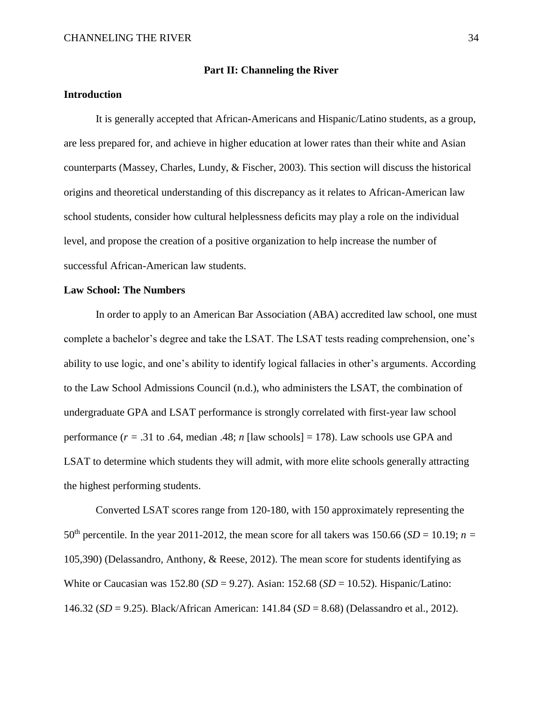#### **Part II: Channeling the River**

## **Introduction**

It is generally accepted that African-Americans and Hispanic/Latino students, as a group, are less prepared for, and achieve in higher education at lower rates than their white and Asian counterparts (Massey, Charles, Lundy, & Fischer, 2003). This section will discuss the historical origins and theoretical understanding of this discrepancy as it relates to African-American law school students, consider how cultural helplessness deficits may play a role on the individual level, and propose the creation of a positive organization to help increase the number of successful African-American law students.

#### **Law School: The Numbers**

In order to apply to an American Bar Association (ABA) accredited law school, one must complete a bachelor's degree and take the LSAT. The LSAT tests reading comprehension, one's ability to use logic, and one's ability to identify logical fallacies in other's arguments. According to the Law School Admissions Council (n.d.), who administers the LSAT, the combination of undergraduate GPA and LSAT performance is strongly correlated with first-year law school performance ( $r = .31$  to .64, median .48;  $n$  [law schools] = 178). Law schools use GPA and LSAT to determine which students they will admit, with more elite schools generally attracting the highest performing students.

Converted LSAT scores range from 120-180, with 150 approximately representing the  $50<sup>th</sup>$  percentile. In the year 2011-2012, the mean score for all takers was 150.66 (*SD* = 10.19; *n* = 105,390) (Delassandro, Anthony, & Reese, 2012). The mean score for students identifying as White or Caucasian was 152.80 (*SD* = 9.27). Asian: 152.68 (*SD* = 10.52). Hispanic/Latino: 146.32 (*SD* = 9.25). Black/African American: 141.84 (*SD* = 8.68) (Delassandro et al., 2012).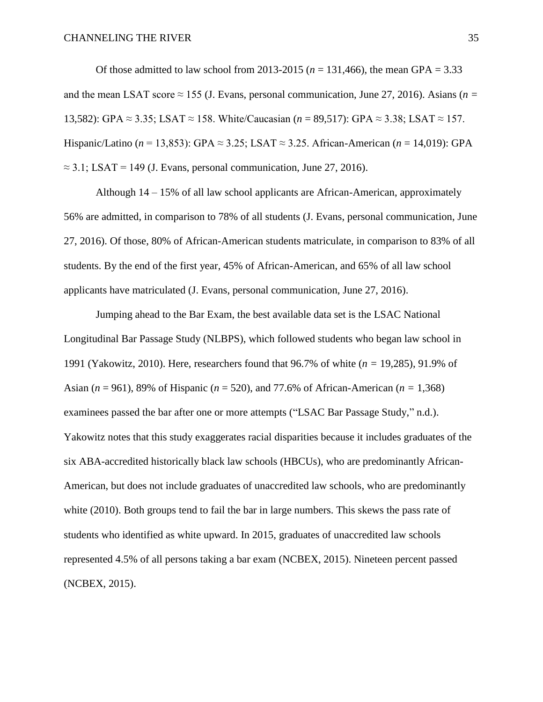Of those admitted to law school from 2013-2015 ( $n = 131,466$ ), the mean GPA = 3.33 and the mean LSAT score  $\approx$  155 (J. Evans, personal communication, June 27, 2016). Asians ( $n =$ 13,582): GPA ≈ 3.35; LSAT ≈ 158. White/Caucasian (*n* = 89,517): GPA ≈ 3.38; LSAT ≈ 157. Hispanic/Latino (*n* = 13,853): GPA ≈ 3.25; LSAT ≈ 3.25. African-American (*n* = 14,019): GPA  $\approx$  3.1; LSAT = 149 (J. Evans, personal communication, June 27, 2016).

Although 14 – 15% of all law school applicants are African-American, approximately 56% are admitted, in comparison to 78% of all students (J. Evans, personal communication, June 27, 2016). Of those, 80% of African-American students matriculate, in comparison to 83% of all students. By the end of the first year, 45% of African-American, and 65% of all law school applicants have matriculated (J. Evans, personal communication, June 27, 2016).

Jumping ahead to the Bar Exam, the best available data set is the LSAC National Longitudinal Bar Passage Study (NLBPS), which followed students who began law school in 1991 (Yakowitz, 2010). Here, researchers found that 96.7% of white (*n =* 19,285), 91.9% of Asian (*n* = 961), 89% of Hispanic (*n* = 520), and 77.6% of African-American (*n =* 1,368) examinees passed the bar after one or more attempts ("LSAC Bar Passage Study," n.d.). Yakowitz notes that this study exaggerates racial disparities because it includes graduates of the six ABA-accredited historically black law schools (HBCUs), who are predominantly African-American, but does not include graduates of unaccredited law schools, who are predominantly white (2010). Both groups tend to fail the bar in large numbers. This skews the pass rate of students who identified as white upward. In 2015, graduates of unaccredited law schools represented 4.5% of all persons taking a bar exam (NCBEX, 2015). Nineteen percent passed (NCBEX, 2015).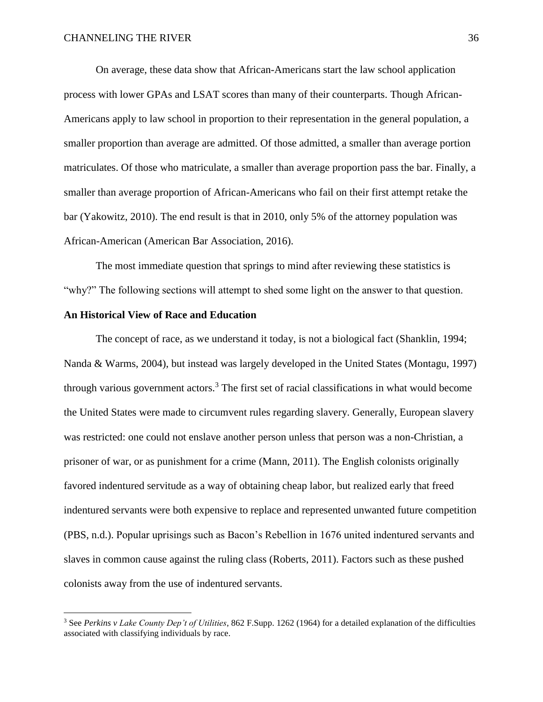On average, these data show that African-Americans start the law school application process with lower GPAs and LSAT scores than many of their counterparts. Though African-Americans apply to law school in proportion to their representation in the general population, a smaller proportion than average are admitted. Of those admitted, a smaller than average portion matriculates. Of those who matriculate, a smaller than average proportion pass the bar. Finally, a smaller than average proportion of African-Americans who fail on their first attempt retake the bar (Yakowitz, 2010). The end result is that in 2010, only 5% of the attorney population was African-American (American Bar Association, 2016).

The most immediate question that springs to mind after reviewing these statistics is "why?" The following sections will attempt to shed some light on the answer to that question.

#### **An Historical View of Race and Education**

 $\overline{a}$ 

The concept of race, as we understand it today, is not a biological fact (Shanklin, 1994; Nanda & Warms, 2004), but instead was largely developed in the United States (Montagu, 1997) through various government actors. <sup>3</sup> The first set of racial classifications in what would become the United States were made to circumvent rules regarding slavery. Generally, European slavery was restricted: one could not enslave another person unless that person was a non-Christian, a prisoner of war, or as punishment for a crime (Mann, 2011). The English colonists originally favored indentured servitude as a way of obtaining cheap labor, but realized early that freed indentured servants were both expensive to replace and represented unwanted future competition (PBS, n.d.). Popular uprisings such as Bacon's Rebellion in 1676 united indentured servants and slaves in common cause against the ruling class (Roberts, 2011). Factors such as these pushed colonists away from the use of indentured servants.

<sup>3</sup> See *Perkins v Lake County Dep't of Utilities*, 862 F.Supp. 1262 (1964) for a detailed explanation of the difficulties associated with classifying individuals by race.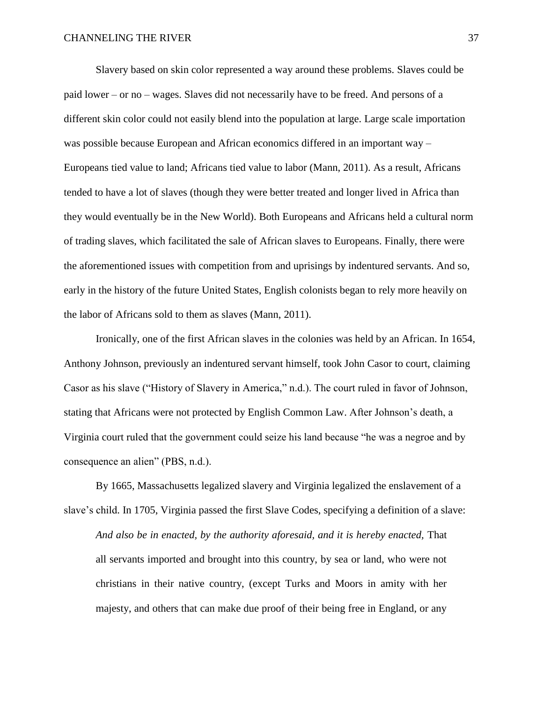Slavery based on skin color represented a way around these problems. Slaves could be paid lower – or no – wages. Slaves did not necessarily have to be freed. And persons of a different skin color could not easily blend into the population at large. Large scale importation was possible because European and African economics differed in an important way – Europeans tied value to land; Africans tied value to labor (Mann, 2011). As a result, Africans tended to have a lot of slaves (though they were better treated and longer lived in Africa than they would eventually be in the New World). Both Europeans and Africans held a cultural norm of trading slaves, which facilitated the sale of African slaves to Europeans. Finally, there were the aforementioned issues with competition from and uprisings by indentured servants. And so, early in the history of the future United States, English colonists began to rely more heavily on the labor of Africans sold to them as slaves (Mann, 2011).

Ironically, one of the first African slaves in the colonies was held by an African. In 1654, Anthony Johnson, previously an indentured servant himself, took John Casor to court, claiming Casor as his slave ("History of Slavery in America," n.d.). The court ruled in favor of Johnson, stating that Africans were not protected by English Common Law. After Johnson's death, a Virginia court ruled that the government could seize his land because "he was a negroe and by consequence an alien" (PBS, n.d.).

By 1665, Massachusetts legalized slavery and Virginia legalized the enslavement of a slave's child. In 1705, Virginia passed the first Slave Codes, specifying a definition of a slave: *And also be in enacted, by the authority aforesaid, and it is hereby enacted,* That all servants imported and brought into this country, by sea or land, who were not christians in their native country, (except Turks and Moors in amity with her majesty, and others that can make due proof of their being free in England, or any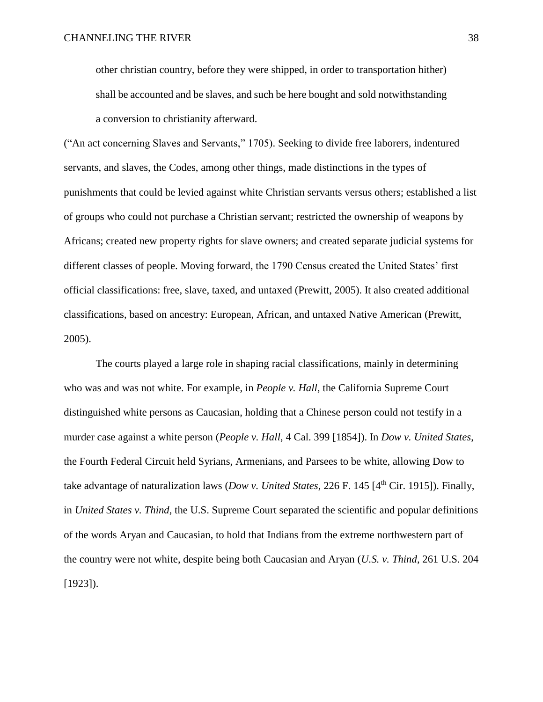other christian country, before they were shipped, in order to transportation hither) shall be accounted and be slaves, and such be here bought and sold notwithstanding a conversion to christianity afterward.

("An act concerning Slaves and Servants," 1705). Seeking to divide free laborers, indentured servants, and slaves, the Codes, among other things, made distinctions in the types of punishments that could be levied against white Christian servants versus others; established a list of groups who could not purchase a Christian servant; restricted the ownership of weapons by Africans; created new property rights for slave owners; and created separate judicial systems for different classes of people. Moving forward, the 1790 Census created the United States' first official classifications: free, slave, taxed, and untaxed (Prewitt, 2005). It also created additional classifications, based on ancestry: European, African, and untaxed Native American (Prewitt, 2005).

The courts played a large role in shaping racial classifications, mainly in determining who was and was not white. For example, in *People v. Hall*, the California Supreme Court distinguished white persons as Caucasian, holding that a Chinese person could not testify in a murder case against a white person (*People v. Hall*, 4 Cal. 399 [1854]). In *Dow v. United States*, the Fourth Federal Circuit held Syrians, Armenians, and Parsees to be white, allowing Dow to take advantage of naturalization laws (*Dow v. United States*, 226 F. 145 [4th Cir. 1915]). Finally, in *United States v. Thind*, the U.S. Supreme Court separated the scientific and popular definitions of the words Aryan and Caucasian, to hold that Indians from the extreme northwestern part of the country were not white, despite being both Caucasian and Aryan (*U.S. v. Thind*, 261 U.S. 204  $[1923]$ .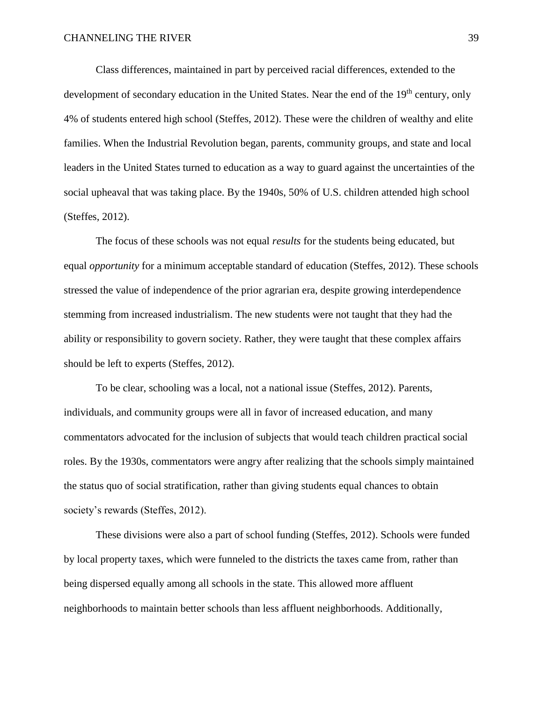Class differences, maintained in part by perceived racial differences, extended to the development of secondary education in the United States. Near the end of the 19<sup>th</sup> century, only 4% of students entered high school (Steffes, 2012). These were the children of wealthy and elite families. When the Industrial Revolution began, parents, community groups, and state and local leaders in the United States turned to education as a way to guard against the uncertainties of the social upheaval that was taking place. By the 1940s, 50% of U.S. children attended high school (Steffes, 2012).

The focus of these schools was not equal *results* for the students being educated, but equal *opportunity* for a minimum acceptable standard of education (Steffes, 2012). These schools stressed the value of independence of the prior agrarian era, despite growing interdependence stemming from increased industrialism. The new students were not taught that they had the ability or responsibility to govern society. Rather, they were taught that these complex affairs should be left to experts (Steffes, 2012).

To be clear, schooling was a local, not a national issue (Steffes, 2012). Parents, individuals, and community groups were all in favor of increased education, and many commentators advocated for the inclusion of subjects that would teach children practical social roles. By the 1930s, commentators were angry after realizing that the schools simply maintained the status quo of social stratification, rather than giving students equal chances to obtain society's rewards (Steffes, 2012).

These divisions were also a part of school funding (Steffes, 2012). Schools were funded by local property taxes, which were funneled to the districts the taxes came from, rather than being dispersed equally among all schools in the state. This allowed more affluent neighborhoods to maintain better schools than less affluent neighborhoods. Additionally,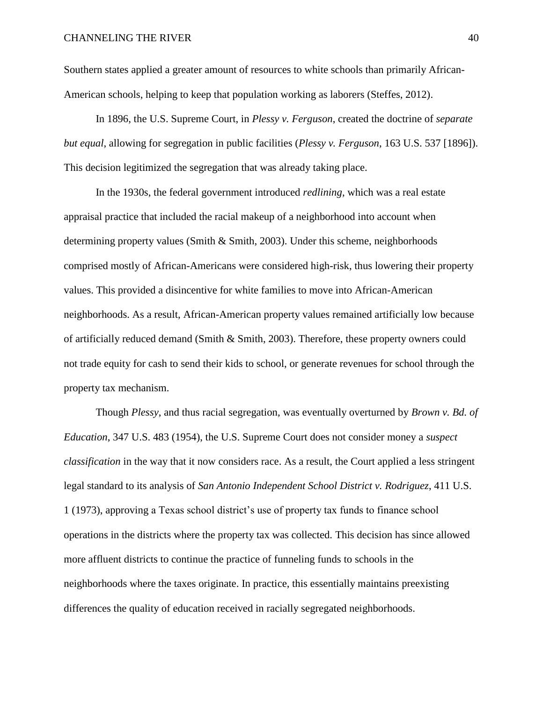Southern states applied a greater amount of resources to white schools than primarily African-American schools, helping to keep that population working as laborers (Steffes, 2012).

In 1896, the U.S. Supreme Court, in *Plessy v. Ferguson*, created the doctrine of *separate but equal*, allowing for segregation in public facilities (*Plessy v. Ferguson*, 163 U.S. 537 [1896]). This decision legitimized the segregation that was already taking place.

In the 1930s, the federal government introduced *redlining*, which was a real estate appraisal practice that included the racial makeup of a neighborhood into account when determining property values (Smith & Smith, 2003). Under this scheme, neighborhoods comprised mostly of African-Americans were considered high-risk, thus lowering their property values. This provided a disincentive for white families to move into African-American neighborhoods. As a result, African-American property values remained artificially low because of artificially reduced demand (Smith & Smith, 2003). Therefore, these property owners could not trade equity for cash to send their kids to school, or generate revenues for school through the property tax mechanism.

Though *Plessy*, and thus racial segregation, was eventually overturned by *Brown v. Bd. of Education*, 347 U.S. 483 (1954), the U.S. Supreme Court does not consider money a *suspect classification* in the way that it now considers race. As a result, the Court applied a less stringent legal standard to its analysis of *San Antonio Independent School District v. Rodriguez*, 411 U.S. 1 (1973), approving a Texas school district's use of property tax funds to finance school operations in the districts where the property tax was collected. This decision has since allowed more affluent districts to continue the practice of funneling funds to schools in the neighborhoods where the taxes originate. In practice, this essentially maintains preexisting differences the quality of education received in racially segregated neighborhoods.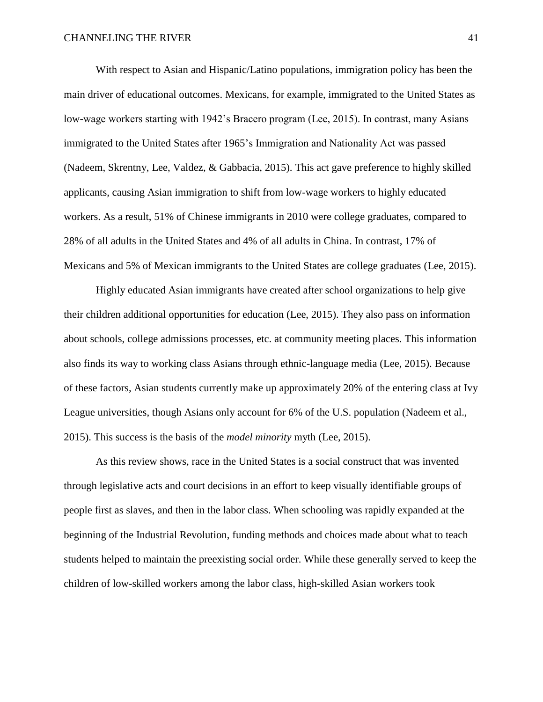With respect to Asian and Hispanic/Latino populations, immigration policy has been the main driver of educational outcomes. Mexicans, for example, immigrated to the United States as low-wage workers starting with 1942's Bracero program (Lee, 2015). In contrast, many Asians immigrated to the United States after 1965's Immigration and Nationality Act was passed (Nadeem, Skrentny, Lee, Valdez, & Gabbacia, 2015). This act gave preference to highly skilled applicants, causing Asian immigration to shift from low-wage workers to highly educated workers. As a result, 51% of Chinese immigrants in 2010 were college graduates, compared to 28% of all adults in the United States and 4% of all adults in China. In contrast, 17% of Mexicans and 5% of Mexican immigrants to the United States are college graduates (Lee, 2015).

Highly educated Asian immigrants have created after school organizations to help give their children additional opportunities for education (Lee, 2015). They also pass on information about schools, college admissions processes, etc. at community meeting places. This information also finds its way to working class Asians through ethnic-language media (Lee, 2015). Because of these factors, Asian students currently make up approximately 20% of the entering class at Ivy League universities, though Asians only account for 6% of the U.S. population (Nadeem et al., 2015). This success is the basis of the *model minority* myth (Lee, 2015).

As this review shows, race in the United States is a social construct that was invented through legislative acts and court decisions in an effort to keep visually identifiable groups of people first as slaves, and then in the labor class. When schooling was rapidly expanded at the beginning of the Industrial Revolution, funding methods and choices made about what to teach students helped to maintain the preexisting social order. While these generally served to keep the children of low-skilled workers among the labor class, high-skilled Asian workers took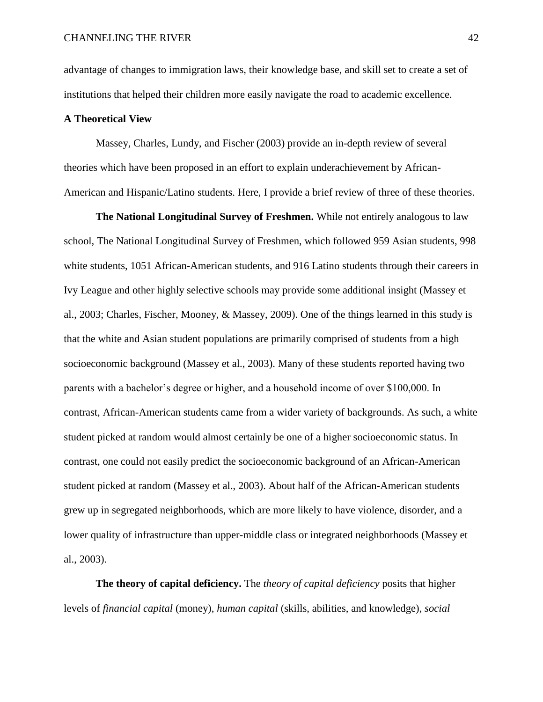advantage of changes to immigration laws, their knowledge base, and skill set to create a set of institutions that helped their children more easily navigate the road to academic excellence.

### **A Theoretical View**

Massey, Charles, Lundy, and Fischer (2003) provide an in-depth review of several theories which have been proposed in an effort to explain underachievement by African-American and Hispanic/Latino students. Here, I provide a brief review of three of these theories.

**The National Longitudinal Survey of Freshmen.** While not entirely analogous to law school, The National Longitudinal Survey of Freshmen, which followed 959 Asian students, 998 white students, 1051 African-American students, and 916 Latino students through their careers in Ivy League and other highly selective schools may provide some additional insight (Massey et al., 2003; Charles, Fischer, Mooney, & Massey, 2009). One of the things learned in this study is that the white and Asian student populations are primarily comprised of students from a high socioeconomic background (Massey et al., 2003). Many of these students reported having two parents with a bachelor's degree or higher, and a household income of over \$100,000. In contrast, African-American students came from a wider variety of backgrounds. As such, a white student picked at random would almost certainly be one of a higher socioeconomic status. In contrast, one could not easily predict the socioeconomic background of an African-American student picked at random (Massey et al., 2003). About half of the African-American students grew up in segregated neighborhoods, which are more likely to have violence, disorder, and a lower quality of infrastructure than upper-middle class or integrated neighborhoods (Massey et al., 2003).

**The theory of capital deficiency.** The *theory of capital deficiency* posits that higher levels of *financial capital* (money), *human capital* (skills, abilities, and knowledge), *social*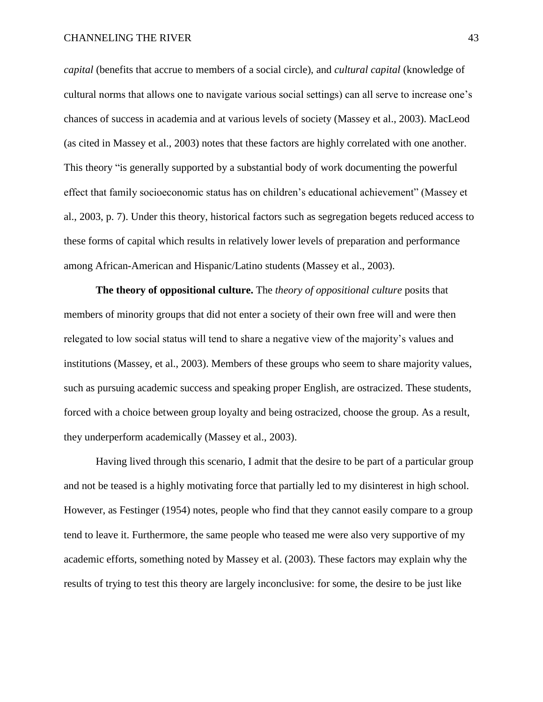*capital* (benefits that accrue to members of a social circle), and *cultural capital* (knowledge of cultural norms that allows one to navigate various social settings) can all serve to increase one's chances of success in academia and at various levels of society (Massey et al., 2003). MacLeod (as cited in Massey et al., 2003) notes that these factors are highly correlated with one another. This theory "is generally supported by a substantial body of work documenting the powerful effect that family socioeconomic status has on children's educational achievement" (Massey et al., 2003, p. 7). Under this theory, historical factors such as segregation begets reduced access to these forms of capital which results in relatively lower levels of preparation and performance among African-American and Hispanic/Latino students (Massey et al., 2003).

**The theory of oppositional culture.** The *theory of oppositional culture* posits that members of minority groups that did not enter a society of their own free will and were then relegated to low social status will tend to share a negative view of the majority's values and institutions (Massey, et al., 2003). Members of these groups who seem to share majority values, such as pursuing academic success and speaking proper English, are ostracized. These students, forced with a choice between group loyalty and being ostracized, choose the group. As a result, they underperform academically (Massey et al., 2003).

Having lived through this scenario, I admit that the desire to be part of a particular group and not be teased is a highly motivating force that partially led to my disinterest in high school. However, as Festinger (1954) notes, people who find that they cannot easily compare to a group tend to leave it. Furthermore, the same people who teased me were also very supportive of my academic efforts, something noted by Massey et al. (2003). These factors may explain why the results of trying to test this theory are largely inconclusive: for some, the desire to be just like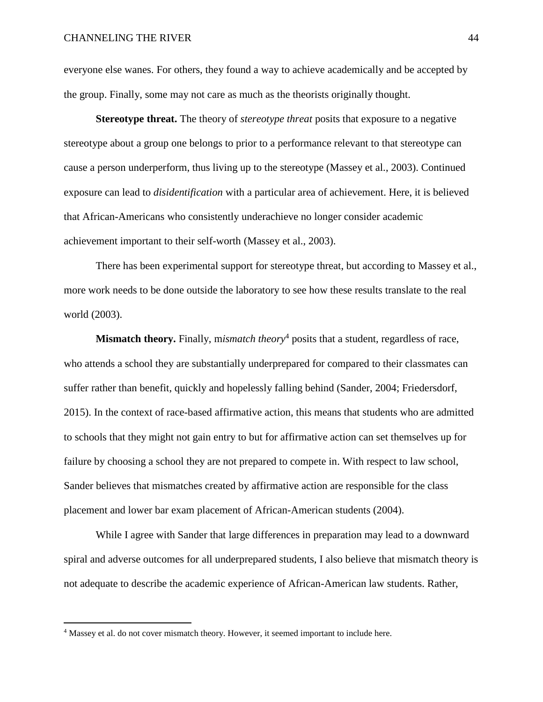everyone else wanes. For others, they found a way to achieve academically and be accepted by the group. Finally, some may not care as much as the theorists originally thought.

**Stereotype threat.** The theory of *stereotype threat* posits that exposure to a negative stereotype about a group one belongs to prior to a performance relevant to that stereotype can cause a person underperform, thus living up to the stereotype (Massey et al., 2003). Continued exposure can lead to *disidentification* with a particular area of achievement. Here, it is believed that African-Americans who consistently underachieve no longer consider academic achievement important to their self-worth (Massey et al., 2003).

There has been experimental support for stereotype threat, but according to Massey et al., more work needs to be done outside the laboratory to see how these results translate to the real world (2003).

**Mismatch theory.** Finally, m*ismatch theory*<sup>4</sup> posits that a student, regardless of race, who attends a school they are substantially underprepared for compared to their classmates can suffer rather than benefit, quickly and hopelessly falling behind (Sander, 2004; Friedersdorf, 2015). In the context of race-based affirmative action, this means that students who are admitted to schools that they might not gain entry to but for affirmative action can set themselves up for failure by choosing a school they are not prepared to compete in. With respect to law school, Sander believes that mismatches created by affirmative action are responsible for the class placement and lower bar exam placement of African-American students (2004).

While I agree with Sander that large differences in preparation may lead to a downward spiral and adverse outcomes for all underprepared students, I also believe that mismatch theory is not adequate to describe the academic experience of African-American law students. Rather,

 $\overline{a}$ 

<sup>&</sup>lt;sup>4</sup> Massey et al. do not cover mismatch theory. However, it seemed important to include here.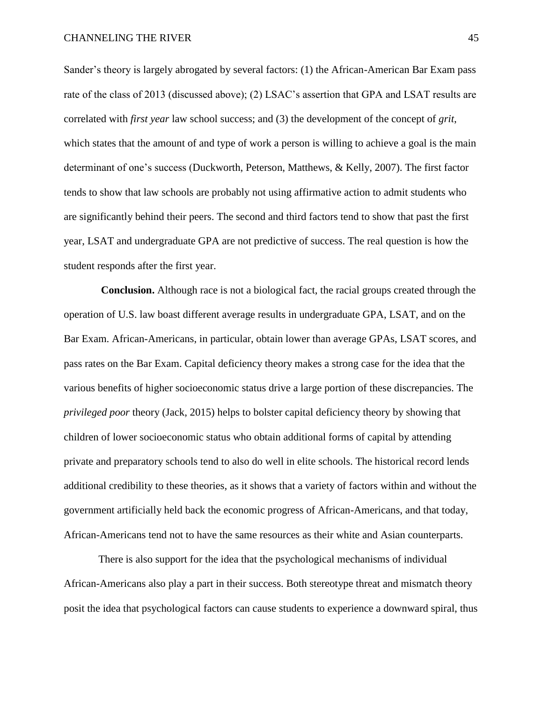Sander's theory is largely abrogated by several factors: (1) the African-American Bar Exam pass rate of the class of 2013 (discussed above); (2) LSAC's assertion that GPA and LSAT results are correlated with *first year* law school success; and (3) the development of the concept of *grit*, which states that the amount of and type of work a person is willing to achieve a goal is the main determinant of one's success (Duckworth, Peterson, Matthews, & Kelly, 2007). The first factor tends to show that law schools are probably not using affirmative action to admit students who are significantly behind their peers. The second and third factors tend to show that past the first year, LSAT and undergraduate GPA are not predictive of success. The real question is how the student responds after the first year.

 **Conclusion.** Although race is not a biological fact, the racial groups created through the operation of U.S. law boast different average results in undergraduate GPA, LSAT, and on the Bar Exam. African-Americans, in particular, obtain lower than average GPAs, LSAT scores, and pass rates on the Bar Exam. Capital deficiency theory makes a strong case for the idea that the various benefits of higher socioeconomic status drive a large portion of these discrepancies. The *privileged poor* theory (Jack, 2015) helps to bolster capital deficiency theory by showing that children of lower socioeconomic status who obtain additional forms of capital by attending private and preparatory schools tend to also do well in elite schools. The historical record lends additional credibility to these theories, as it shows that a variety of factors within and without the government artificially held back the economic progress of African-Americans, and that today, African-Americans tend not to have the same resources as their white and Asian counterparts.

There is also support for the idea that the psychological mechanisms of individual African-Americans also play a part in their success. Both stereotype threat and mismatch theory posit the idea that psychological factors can cause students to experience a downward spiral, thus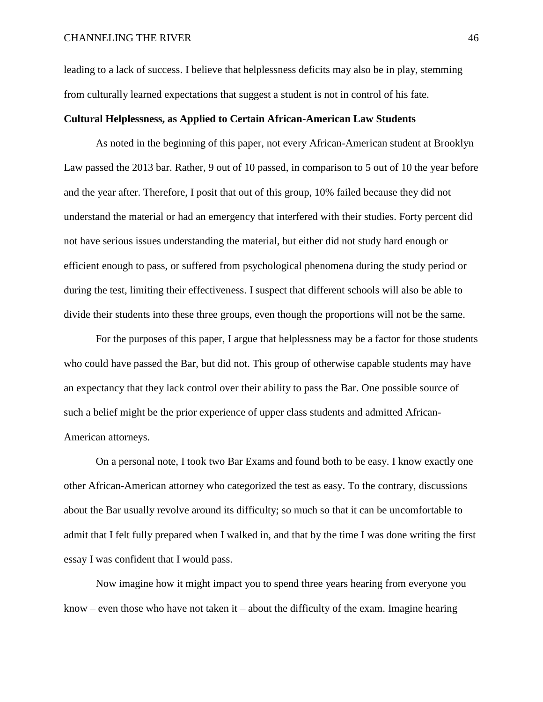leading to a lack of success. I believe that helplessness deficits may also be in play, stemming from culturally learned expectations that suggest a student is not in control of his fate.

# **Cultural Helplessness, as Applied to Certain African-American Law Students**

As noted in the beginning of this paper, not every African-American student at Brooklyn Law passed the 2013 bar. Rather, 9 out of 10 passed, in comparison to 5 out of 10 the year before and the year after. Therefore, I posit that out of this group, 10% failed because they did not understand the material or had an emergency that interfered with their studies. Forty percent did not have serious issues understanding the material, but either did not study hard enough or efficient enough to pass, or suffered from psychological phenomena during the study period or during the test, limiting their effectiveness. I suspect that different schools will also be able to divide their students into these three groups, even though the proportions will not be the same.

For the purposes of this paper, I argue that helplessness may be a factor for those students who could have passed the Bar, but did not. This group of otherwise capable students may have an expectancy that they lack control over their ability to pass the Bar. One possible source of such a belief might be the prior experience of upper class students and admitted African-American attorneys.

On a personal note, I took two Bar Exams and found both to be easy. I know exactly one other African-American attorney who categorized the test as easy. To the contrary, discussions about the Bar usually revolve around its difficulty; so much so that it can be uncomfortable to admit that I felt fully prepared when I walked in, and that by the time I was done writing the first essay I was confident that I would pass.

Now imagine how it might impact you to spend three years hearing from everyone you know – even those who have not taken it – about the difficulty of the exam. Imagine hearing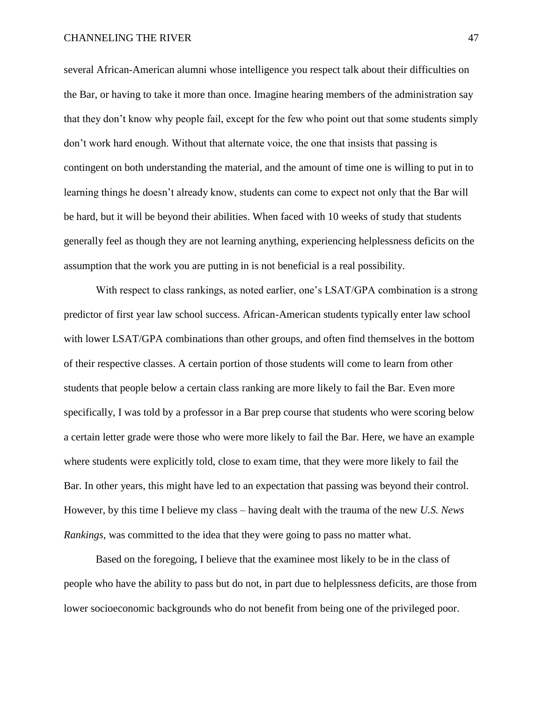several African-American alumni whose intelligence you respect talk about their difficulties on the Bar, or having to take it more than once. Imagine hearing members of the administration say that they don't know why people fail, except for the few who point out that some students simply don't work hard enough. Without that alternate voice, the one that insists that passing is contingent on both understanding the material, and the amount of time one is willing to put in to learning things he doesn't already know, students can come to expect not only that the Bar will be hard, but it will be beyond their abilities. When faced with 10 weeks of study that students generally feel as though they are not learning anything, experiencing helplessness deficits on the assumption that the work you are putting in is not beneficial is a real possibility.

With respect to class rankings, as noted earlier, one's LSAT/GPA combination is a strong predictor of first year law school success. African-American students typically enter law school with lower LSAT/GPA combinations than other groups, and often find themselves in the bottom of their respective classes. A certain portion of those students will come to learn from other students that people below a certain class ranking are more likely to fail the Bar. Even more specifically, I was told by a professor in a Bar prep course that students who were scoring below a certain letter grade were those who were more likely to fail the Bar. Here, we have an example where students were explicitly told, close to exam time, that they were more likely to fail the Bar. In other years, this might have led to an expectation that passing was beyond their control. However, by this time I believe my class – having dealt with the trauma of the new *U.S. News Rankings*, was committed to the idea that they were going to pass no matter what.

Based on the foregoing, I believe that the examinee most likely to be in the class of people who have the ability to pass but do not, in part due to helplessness deficits, are those from lower socioeconomic backgrounds who do not benefit from being one of the privileged poor.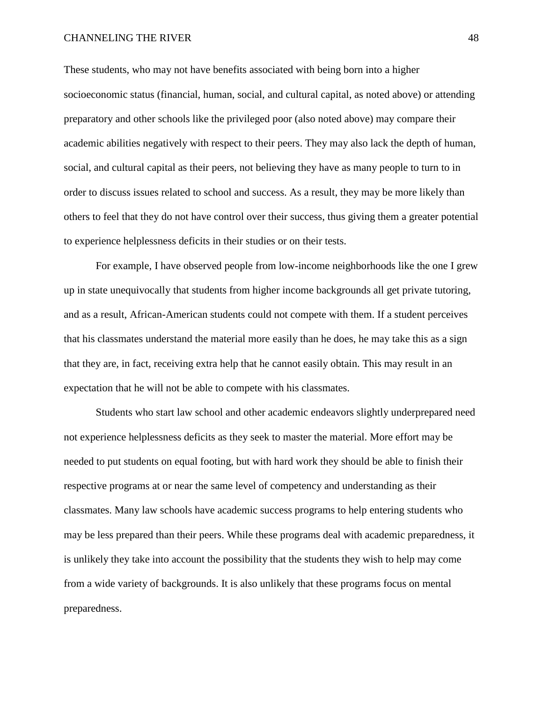#### CHANNELING THE RIVER 48

These students, who may not have benefits associated with being born into a higher socioeconomic status (financial, human, social, and cultural capital, as noted above) or attending preparatory and other schools like the privileged poor (also noted above) may compare their academic abilities negatively with respect to their peers. They may also lack the depth of human, social, and cultural capital as their peers, not believing they have as many people to turn to in order to discuss issues related to school and success. As a result, they may be more likely than others to feel that they do not have control over their success, thus giving them a greater potential to experience helplessness deficits in their studies or on their tests.

For example, I have observed people from low-income neighborhoods like the one I grew up in state unequivocally that students from higher income backgrounds all get private tutoring, and as a result, African-American students could not compete with them. If a student perceives that his classmates understand the material more easily than he does, he may take this as a sign that they are, in fact, receiving extra help that he cannot easily obtain. This may result in an expectation that he will not be able to compete with his classmates.

Students who start law school and other academic endeavors slightly underprepared need not experience helplessness deficits as they seek to master the material. More effort may be needed to put students on equal footing, but with hard work they should be able to finish their respective programs at or near the same level of competency and understanding as their classmates. Many law schools have academic success programs to help entering students who may be less prepared than their peers. While these programs deal with academic preparedness, it is unlikely they take into account the possibility that the students they wish to help may come from a wide variety of backgrounds. It is also unlikely that these programs focus on mental preparedness.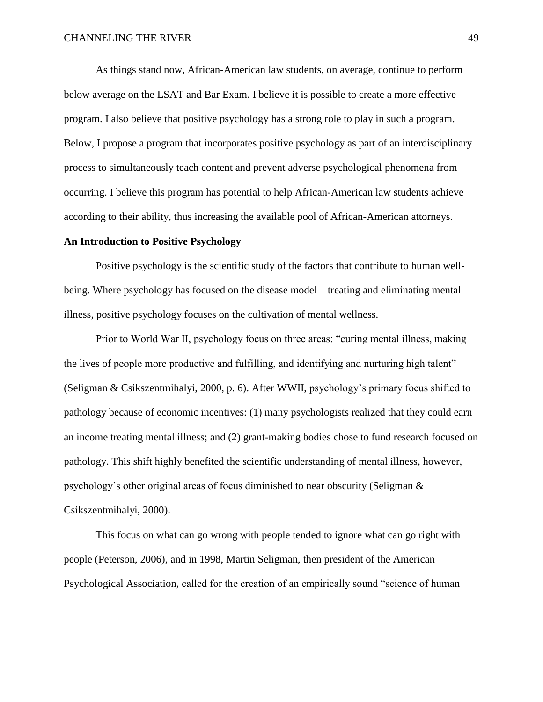As things stand now, African-American law students, on average, continue to perform below average on the LSAT and Bar Exam. I believe it is possible to create a more effective program. I also believe that positive psychology has a strong role to play in such a program. Below, I propose a program that incorporates positive psychology as part of an interdisciplinary process to simultaneously teach content and prevent adverse psychological phenomena from occurring. I believe this program has potential to help African-American law students achieve according to their ability, thus increasing the available pool of African-American attorneys.

### **An Introduction to Positive Psychology**

Positive psychology is the scientific study of the factors that contribute to human wellbeing. Where psychology has focused on the disease model – treating and eliminating mental illness, positive psychology focuses on the cultivation of mental wellness.

Prior to World War II, psychology focus on three areas: "curing mental illness, making the lives of people more productive and fulfilling, and identifying and nurturing high talent" (Seligman & Csikszentmihalyi, 2000, p. 6). After WWII, psychology's primary focus shifted to pathology because of economic incentives: (1) many psychologists realized that they could earn an income treating mental illness; and (2) grant-making bodies chose to fund research focused on pathology. This shift highly benefited the scientific understanding of mental illness, however, psychology's other original areas of focus diminished to near obscurity (Seligman & Csikszentmihalyi, 2000).

This focus on what can go wrong with people tended to ignore what can go right with people (Peterson, 2006), and in 1998, Martin Seligman, then president of the American Psychological Association, called for the creation of an empirically sound "science of human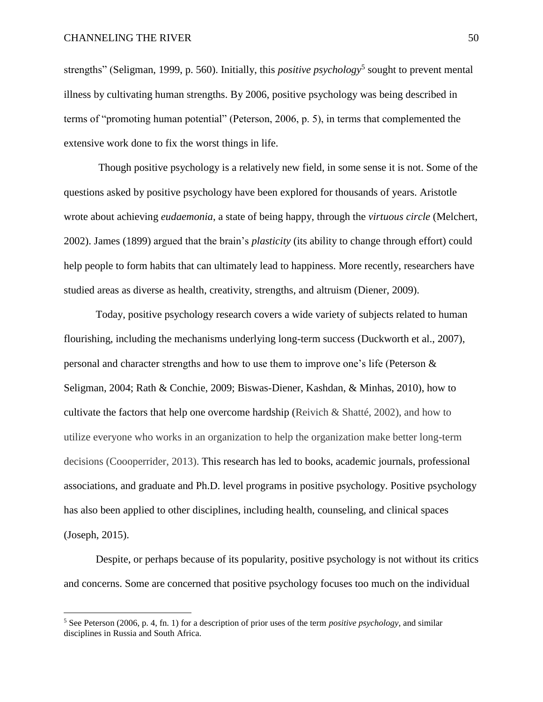$\overline{a}$ 

strengths" (Seligman, 1999, p. 560). Initially, this *positive psychology*<sup>5</sup> sought to prevent mental illness by cultivating human strengths. By 2006, positive psychology was being described in terms of "promoting human potential" (Peterson, 2006, p. 5), in terms that complemented the extensive work done to fix the worst things in life.

Though positive psychology is a relatively new field, in some sense it is not. Some of the questions asked by positive psychology have been explored for thousands of years. Aristotle wrote about achieving *eudaemonia*, a state of being happy, through the *virtuous circle* (Melchert, 2002). James (1899) argued that the brain's *plasticity* (its ability to change through effort) could help people to form habits that can ultimately lead to happiness. More recently, researchers have studied areas as diverse as health, creativity, strengths, and altruism (Diener, 2009).

Today, positive psychology research covers a wide variety of subjects related to human flourishing, including the mechanisms underlying long-term success (Duckworth et al., 2007), personal and character strengths and how to use them to improve one's life (Peterson & Seligman, 2004; Rath & Conchie, 2009; Biswas-Diener, Kashdan, & Minhas, 2010), how to cultivate the factors that help one overcome hardship (Reivich & Shatté, 2002), and how to utilize everyone who works in an organization to help the organization make better long-term decisions (Coooperrider, 2013). This research has led to books, academic journals, professional associations, and graduate and Ph.D. level programs in positive psychology. Positive psychology has also been applied to other disciplines, including health, counseling, and clinical spaces (Joseph, 2015).

Despite, or perhaps because of its popularity, positive psychology is not without its critics and concerns. Some are concerned that positive psychology focuses too much on the individual

<sup>5</sup> See Peterson (2006, p. 4, fn. 1) for a description of prior uses of the term *positive psychology*, and similar disciplines in Russia and South Africa.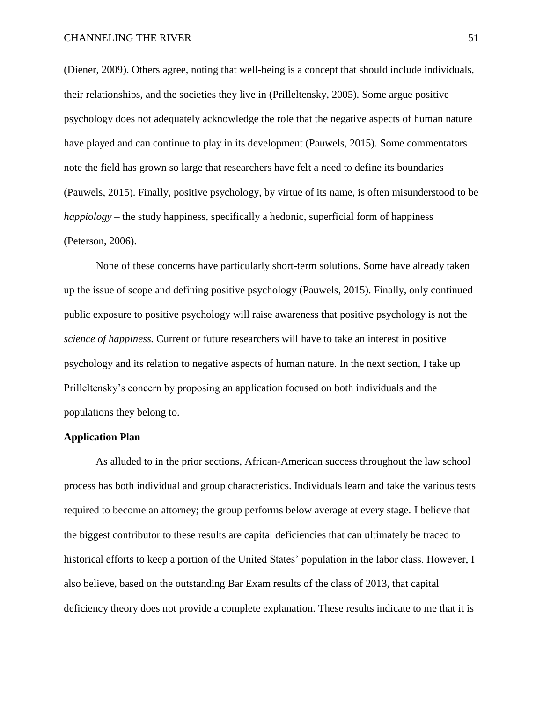#### CHANNELING THE RIVER 51

(Diener, 2009). Others agree, noting that well-being is a concept that should include individuals, their relationships, and the societies they live in (Prilleltensky, 2005). Some argue positive psychology does not adequately acknowledge the role that the negative aspects of human nature have played and can continue to play in its development (Pauwels, 2015). Some commentators note the field has grown so large that researchers have felt a need to define its boundaries (Pauwels, 2015). Finally, positive psychology, by virtue of its name, is often misunderstood to be *happiology* – the study happiness, specifically a hedonic, superficial form of happiness (Peterson, 2006).

None of these concerns have particularly short-term solutions. Some have already taken up the issue of scope and defining positive psychology (Pauwels, 2015). Finally, only continued public exposure to positive psychology will raise awareness that positive psychology is not the *science of happiness.* Current or future researchers will have to take an interest in positive psychology and its relation to negative aspects of human nature. In the next section, I take up Prilleltensky's concern by proposing an application focused on both individuals and the populations they belong to.

## **Application Plan**

As alluded to in the prior sections, African-American success throughout the law school process has both individual and group characteristics. Individuals learn and take the various tests required to become an attorney; the group performs below average at every stage. I believe that the biggest contributor to these results are capital deficiencies that can ultimately be traced to historical efforts to keep a portion of the United States' population in the labor class. However, I also believe, based on the outstanding Bar Exam results of the class of 2013, that capital deficiency theory does not provide a complete explanation. These results indicate to me that it is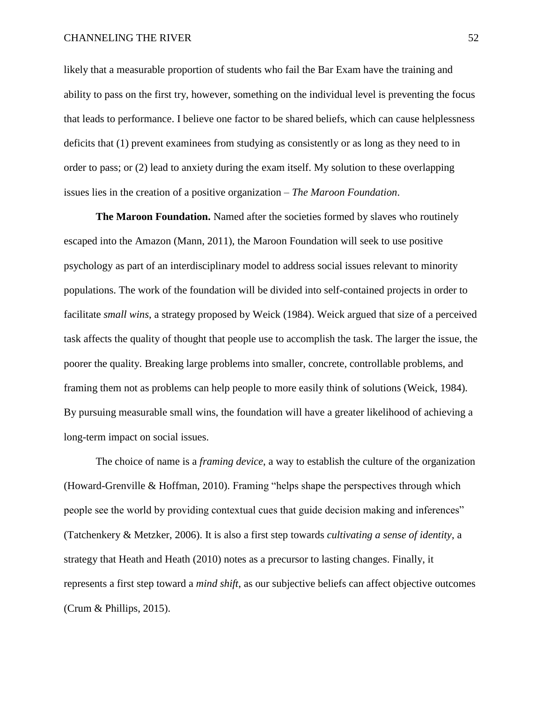likely that a measurable proportion of students who fail the Bar Exam have the training and ability to pass on the first try, however, something on the individual level is preventing the focus that leads to performance. I believe one factor to be shared beliefs, which can cause helplessness deficits that (1) prevent examinees from studying as consistently or as long as they need to in order to pass; or (2) lead to anxiety during the exam itself. My solution to these overlapping issues lies in the creation of a positive organization – *The Maroon Foundation*.

**The Maroon Foundation.** Named after the societies formed by slaves who routinely escaped into the Amazon (Mann, 2011), the Maroon Foundation will seek to use positive psychology as part of an interdisciplinary model to address social issues relevant to minority populations. The work of the foundation will be divided into self-contained projects in order to facilitate *small wins*, a strategy proposed by Weick (1984). Weick argued that size of a perceived task affects the quality of thought that people use to accomplish the task. The larger the issue, the poorer the quality. Breaking large problems into smaller, concrete, controllable problems, and framing them not as problems can help people to more easily think of solutions (Weick, 1984). By pursuing measurable small wins, the foundation will have a greater likelihood of achieving a long-term impact on social issues.

The choice of name is a *framing device*, a way to establish the culture of the organization (Howard-Grenville & Hoffman, 2010). Framing "helps shape the perspectives through which people see the world by providing contextual cues that guide decision making and inferences" (Tatchenkery & Metzker, 2006). It is also a first step towards *cultivating a sense of identity*, a strategy that Heath and Heath (2010) notes as a precursor to lasting changes. Finally, it represents a first step toward a *mind shift*, as our subjective beliefs can affect objective outcomes (Crum & Phillips, 2015).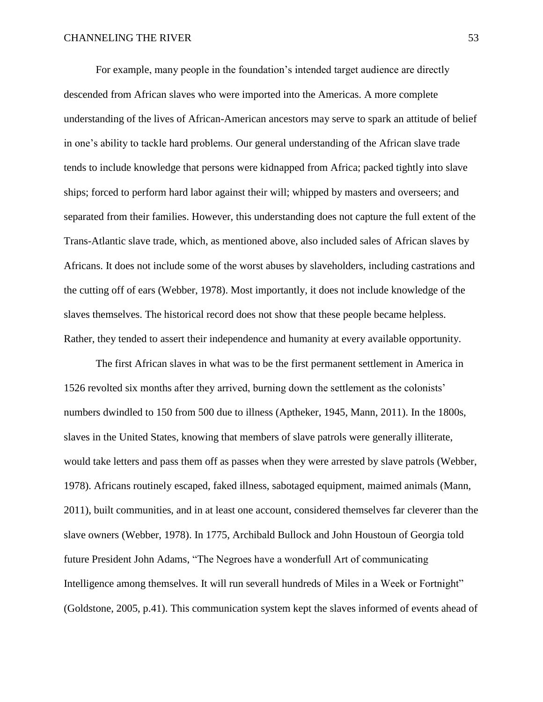For example, many people in the foundation's intended target audience are directly descended from African slaves who were imported into the Americas. A more complete understanding of the lives of African-American ancestors may serve to spark an attitude of belief in one's ability to tackle hard problems. Our general understanding of the African slave trade tends to include knowledge that persons were kidnapped from Africa; packed tightly into slave ships; forced to perform hard labor against their will; whipped by masters and overseers; and separated from their families. However, this understanding does not capture the full extent of the Trans-Atlantic slave trade, which, as mentioned above, also included sales of African slaves by Africans. It does not include some of the worst abuses by slaveholders, including castrations and the cutting off of ears (Webber, 1978). Most importantly, it does not include knowledge of the slaves themselves. The historical record does not show that these people became helpless. Rather, they tended to assert their independence and humanity at every available opportunity.

The first African slaves in what was to be the first permanent settlement in America in 1526 revolted six months after they arrived, burning down the settlement as the colonists' numbers dwindled to 150 from 500 due to illness (Aptheker, 1945, Mann, 2011). In the 1800s, slaves in the United States, knowing that members of slave patrols were generally illiterate, would take letters and pass them off as passes when they were arrested by slave patrols (Webber, 1978). Africans routinely escaped, faked illness, sabotaged equipment, maimed animals (Mann, 2011), built communities, and in at least one account, considered themselves far cleverer than the slave owners (Webber, 1978). In 1775, Archibald Bullock and John Houstoun of Georgia told future President John Adams, "The Negroes have a wonderfull Art of communicating Intelligence among themselves. It will run severall hundreds of Miles in a Week or Fortnight" (Goldstone, 2005, p.41). This communication system kept the slaves informed of events ahead of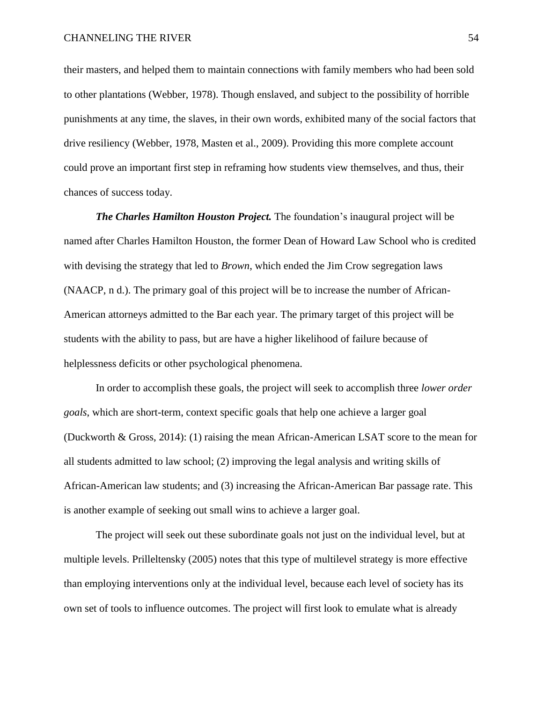their masters, and helped them to maintain connections with family members who had been sold to other plantations (Webber, 1978). Though enslaved, and subject to the possibility of horrible punishments at any time, the slaves, in their own words, exhibited many of the social factors that drive resiliency (Webber, 1978, Masten et al., 2009). Providing this more complete account could prove an important first step in reframing how students view themselves, and thus, their chances of success today.

*The Charles Hamilton Houston Project.* The foundation's inaugural project will be named after Charles Hamilton Houston, the former Dean of Howard Law School who is credited with devising the strategy that led to *Brown*, which ended the Jim Crow segregation laws (NAACP, n d.). The primary goal of this project will be to increase the number of African-American attorneys admitted to the Bar each year. The primary target of this project will be students with the ability to pass, but are have a higher likelihood of failure because of helplessness deficits or other psychological phenomena.

In order to accomplish these goals, the project will seek to accomplish three *lower order goals*, which are short-term, context specific goals that help one achieve a larger goal (Duckworth & Gross, 2014): (1) raising the mean African-American LSAT score to the mean for all students admitted to law school; (2) improving the legal analysis and writing skills of African-American law students; and (3) increasing the African-American Bar passage rate. This is another example of seeking out small wins to achieve a larger goal.

The project will seek out these subordinate goals not just on the individual level, but at multiple levels. Prilleltensky (2005) notes that this type of multilevel strategy is more effective than employing interventions only at the individual level, because each level of society has its own set of tools to influence outcomes. The project will first look to emulate what is already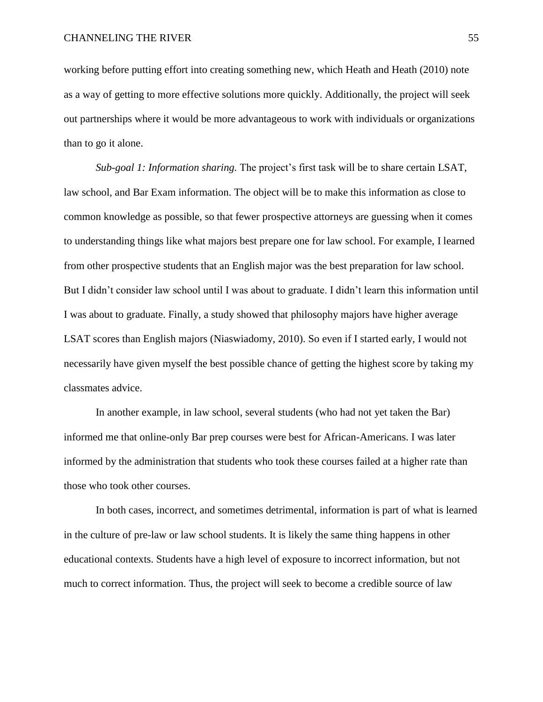working before putting effort into creating something new, which Heath and Heath (2010) note as a way of getting to more effective solutions more quickly. Additionally, the project will seek out partnerships where it would be more advantageous to work with individuals or organizations than to go it alone.

*Sub-goal 1: Information sharing.* The project's first task will be to share certain LSAT, law school, and Bar Exam information. The object will be to make this information as close to common knowledge as possible, so that fewer prospective attorneys are guessing when it comes to understanding things like what majors best prepare one for law school. For example, I learned from other prospective students that an English major was the best preparation for law school. But I didn't consider law school until I was about to graduate. I didn't learn this information until I was about to graduate. Finally, a study showed that philosophy majors have higher average LSAT scores than English majors (Niaswiadomy, 2010). So even if I started early, I would not necessarily have given myself the best possible chance of getting the highest score by taking my classmates advice.

In another example, in law school, several students (who had not yet taken the Bar) informed me that online-only Bar prep courses were best for African-Americans. I was later informed by the administration that students who took these courses failed at a higher rate than those who took other courses.

In both cases, incorrect, and sometimes detrimental, information is part of what is learned in the culture of pre-law or law school students. It is likely the same thing happens in other educational contexts. Students have a high level of exposure to incorrect information, but not much to correct information. Thus, the project will seek to become a credible source of law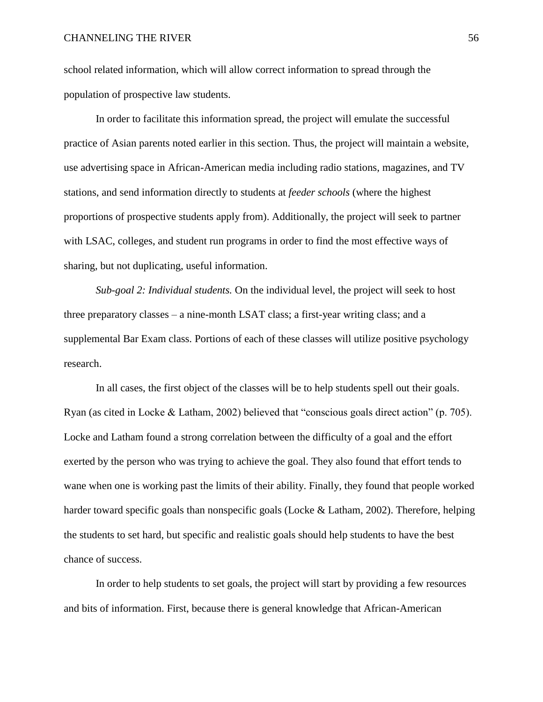school related information, which will allow correct information to spread through the population of prospective law students.

In order to facilitate this information spread, the project will emulate the successful practice of Asian parents noted earlier in this section. Thus, the project will maintain a website, use advertising space in African-American media including radio stations, magazines, and TV stations, and send information directly to students at *feeder schools* (where the highest proportions of prospective students apply from). Additionally, the project will seek to partner with LSAC, colleges, and student run programs in order to find the most effective ways of sharing, but not duplicating, useful information.

*Sub-goal 2: Individual students.* On the individual level, the project will seek to host three preparatory classes – a nine-month LSAT class; a first-year writing class; and a supplemental Bar Exam class. Portions of each of these classes will utilize positive psychology research.

In all cases, the first object of the classes will be to help students spell out their goals. Ryan (as cited in Locke & Latham, 2002) believed that "conscious goals direct action" (p. 705). Locke and Latham found a strong correlation between the difficulty of a goal and the effort exerted by the person who was trying to achieve the goal. They also found that effort tends to wane when one is working past the limits of their ability. Finally, they found that people worked harder toward specific goals than nonspecific goals (Locke & Latham, 2002). Therefore, helping the students to set hard, but specific and realistic goals should help students to have the best chance of success.

In order to help students to set goals, the project will start by providing a few resources and bits of information. First, because there is general knowledge that African-American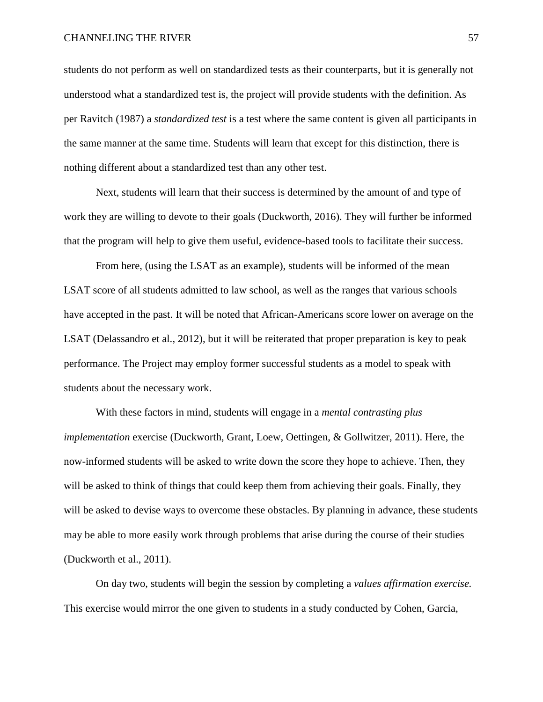students do not perform as well on standardized tests as their counterparts, but it is generally not understood what a standardized test is, the project will provide students with the definition. As per Ravitch (1987) a *standardized test* is a test where the same content is given all participants in the same manner at the same time. Students will learn that except for this distinction, there is nothing different about a standardized test than any other test.

Next, students will learn that their success is determined by the amount of and type of work they are willing to devote to their goals (Duckworth, 2016). They will further be informed that the program will help to give them useful, evidence-based tools to facilitate their success.

From here, (using the LSAT as an example), students will be informed of the mean LSAT score of all students admitted to law school, as well as the ranges that various schools have accepted in the past. It will be noted that African-Americans score lower on average on the LSAT (Delassandro et al., 2012), but it will be reiterated that proper preparation is key to peak performance. The Project may employ former successful students as a model to speak with students about the necessary work.

With these factors in mind, students will engage in a *mental contrasting plus implementation* exercise (Duckworth, Grant, Loew, Oettingen, & Gollwitzer, 2011). Here, the now-informed students will be asked to write down the score they hope to achieve. Then, they will be asked to think of things that could keep them from achieving their goals. Finally, they will be asked to devise ways to overcome these obstacles. By planning in advance, these students may be able to more easily work through problems that arise during the course of their studies (Duckworth et al., 2011).

On day two, students will begin the session by completing a *values affirmation exercise.* This exercise would mirror the one given to students in a study conducted by Cohen, Garcia,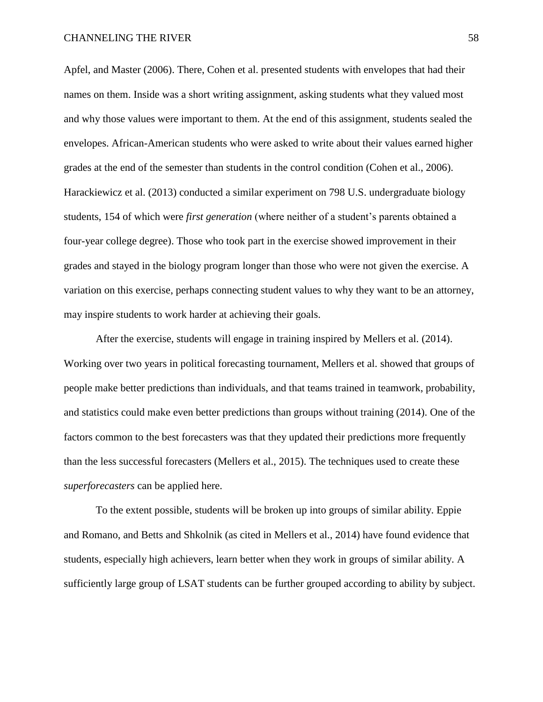Apfel, and Master (2006). There, Cohen et al. presented students with envelopes that had their names on them. Inside was a short writing assignment, asking students what they valued most and why those values were important to them. At the end of this assignment, students sealed the envelopes. African-American students who were asked to write about their values earned higher grades at the end of the semester than students in the control condition (Cohen et al., 2006). Harackiewicz et al. (2013) conducted a similar experiment on 798 U.S. undergraduate biology students, 154 of which were *first generation* (where neither of a student's parents obtained a four-year college degree). Those who took part in the exercise showed improvement in their grades and stayed in the biology program longer than those who were not given the exercise. A variation on this exercise, perhaps connecting student values to why they want to be an attorney, may inspire students to work harder at achieving their goals.

After the exercise, students will engage in training inspired by Mellers et al. (2014). Working over two years in political forecasting tournament, Mellers et al. showed that groups of people make better predictions than individuals, and that teams trained in teamwork, probability, and statistics could make even better predictions than groups without training (2014). One of the factors common to the best forecasters was that they updated their predictions more frequently than the less successful forecasters (Mellers et al., 2015). The techniques used to create these *superforecasters* can be applied here.

To the extent possible, students will be broken up into groups of similar ability. Eppie and Romano, and Betts and Shkolnik (as cited in Mellers et al., 2014) have found evidence that students, especially high achievers, learn better when they work in groups of similar ability. A sufficiently large group of LSAT students can be further grouped according to ability by subject.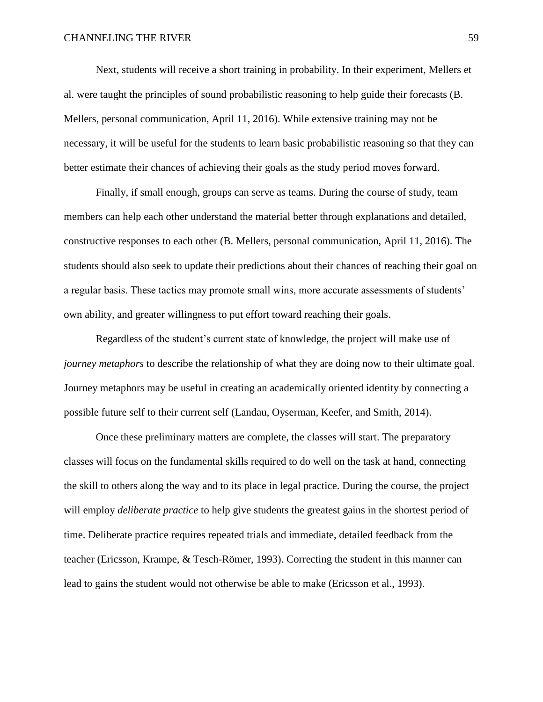Next, students will receive a short training in probability. In their experiment, Mellers et al. were taught the principles of sound probabilistic reasoning to help guide their forecasts (B. Mellers, personal communication, April 11, 2016). While extensive training may not be necessary, it will be useful for the students to learn basic probabilistic reasoning so that they can better estimate their chances of achieving their goals as the study period moves forward.

Finally, if small enough, groups can serve as teams. During the course of study, team members can help each other understand the material better through explanations and detailed, constructive responses to each other (B. Mellers, personal communication, April 11, 2016). The students should also seek to update their predictions about their chances of reaching their goal on a regular basis. These tactics may promote small wins, more accurate assessments of students' own ability, and greater willingness to put effort toward reaching their goals.

Regardless of the student's current state of knowledge, the project will make use of *journey metaphors* to describe the relationship of what they are doing now to their ultimate goal. Journey metaphors may be useful in creating an academically oriented identity by connecting a possible future self to their current self (Landau, Oyserman, Keefer, and Smith, 2014).

Once these preliminary matters are complete, the classes will start. The preparatory classes will focus on the fundamental skills required to do well on the task at hand, connecting the skill to others along the way and to its place in legal practice. During the course, the project will employ *deliberate practice* to help give students the greatest gains in the shortest period of time. Deliberate practice requires repeated trials and immediate, detailed feedback from the teacher (Ericsson, Krampe, & Tesch-Römer, 1993). Correcting the student in this manner can lead to gains the student would not otherwise be able to make (Ericsson et al., 1993).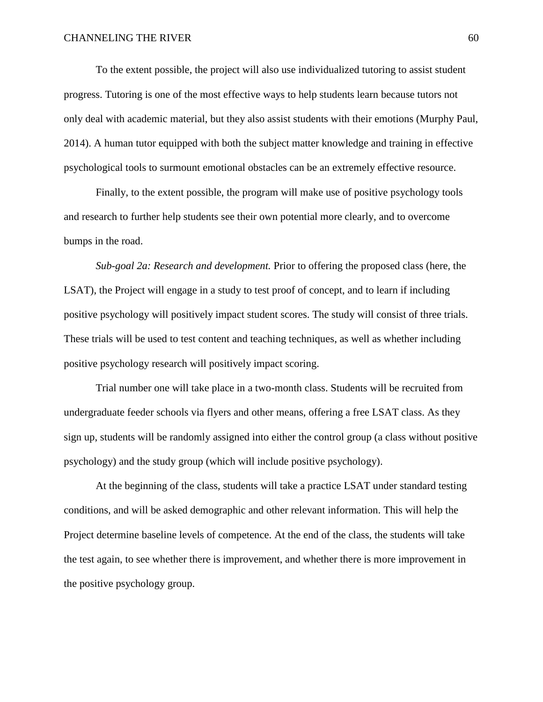To the extent possible, the project will also use individualized tutoring to assist student progress. Tutoring is one of the most effective ways to help students learn because tutors not only deal with academic material, but they also assist students with their emotions (Murphy Paul, 2014). A human tutor equipped with both the subject matter knowledge and training in effective psychological tools to surmount emotional obstacles can be an extremely effective resource.

Finally, to the extent possible, the program will make use of positive psychology tools and research to further help students see their own potential more clearly, and to overcome bumps in the road.

*Sub-goal 2a: Research and development.* Prior to offering the proposed class (here, the LSAT), the Project will engage in a study to test proof of concept, and to learn if including positive psychology will positively impact student scores. The study will consist of three trials. These trials will be used to test content and teaching techniques, as well as whether including positive psychology research will positively impact scoring.

Trial number one will take place in a two-month class. Students will be recruited from undergraduate feeder schools via flyers and other means, offering a free LSAT class. As they sign up, students will be randomly assigned into either the control group (a class without positive psychology) and the study group (which will include positive psychology).

At the beginning of the class, students will take a practice LSAT under standard testing conditions, and will be asked demographic and other relevant information. This will help the Project determine baseline levels of competence. At the end of the class, the students will take the test again, to see whether there is improvement, and whether there is more improvement in the positive psychology group.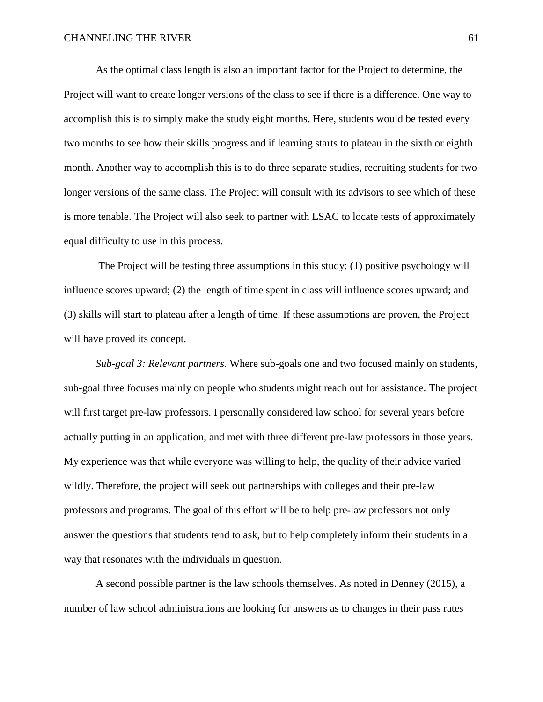As the optimal class length is also an important factor for the Project to determine, the Project will want to create longer versions of the class to see if there is a difference. One way to accomplish this is to simply make the study eight months. Here, students would be tested every two months to see how their skills progress and if learning starts to plateau in the sixth or eighth month. Another way to accomplish this is to do three separate studies, recruiting students for two longer versions of the same class. The Project will consult with its advisors to see which of these is more tenable. The Project will also seek to partner with LSAC to locate tests of approximately equal difficulty to use in this process.

The Project will be testing three assumptions in this study: (1) positive psychology will influence scores upward; (2) the length of time spent in class will influence scores upward; and (3) skills will start to plateau after a length of time. If these assumptions are proven, the Project will have proved its concept.

*Sub-goal 3: Relevant partners.* Where sub-goals one and two focused mainly on students, sub-goal three focuses mainly on people who students might reach out for assistance. The project will first target pre-law professors. I personally considered law school for several years before actually putting in an application, and met with three different pre-law professors in those years. My experience was that while everyone was willing to help, the quality of their advice varied wildly. Therefore, the project will seek out partnerships with colleges and their pre-law professors and programs. The goal of this effort will be to help pre-law professors not only answer the questions that students tend to ask, but to help completely inform their students in a way that resonates with the individuals in question.

A second possible partner is the law schools themselves. As noted in Denney (2015), a number of law school administrations are looking for answers as to changes in their pass rates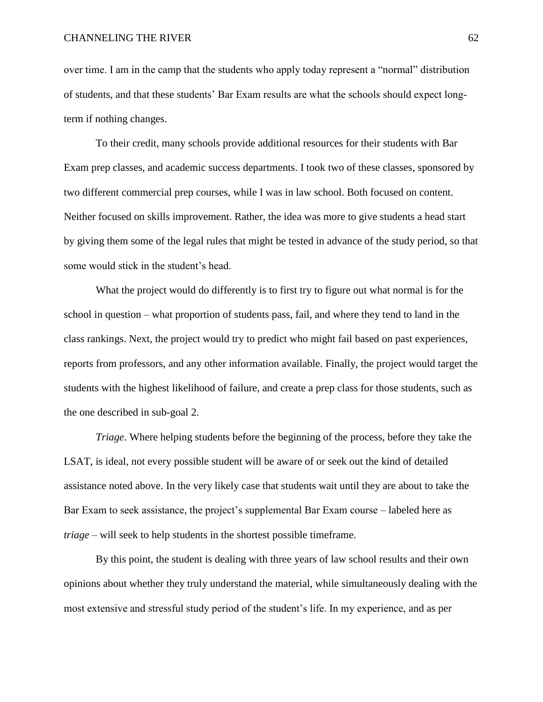over time. I am in the camp that the students who apply today represent a "normal" distribution of students, and that these students' Bar Exam results are what the schools should expect longterm if nothing changes.

To their credit, many schools provide additional resources for their students with Bar Exam prep classes, and academic success departments. I took two of these classes, sponsored by two different commercial prep courses, while I was in law school. Both focused on content. Neither focused on skills improvement. Rather, the idea was more to give students a head start by giving them some of the legal rules that might be tested in advance of the study period, so that some would stick in the student's head.

What the project would do differently is to first try to figure out what normal is for the school in question – what proportion of students pass, fail, and where they tend to land in the class rankings. Next, the project would try to predict who might fail based on past experiences, reports from professors, and any other information available. Finally, the project would target the students with the highest likelihood of failure, and create a prep class for those students, such as the one described in sub-goal 2.

*Triage.* Where helping students before the beginning of the process, before they take the LSAT, is ideal, not every possible student will be aware of or seek out the kind of detailed assistance noted above. In the very likely case that students wait until they are about to take the Bar Exam to seek assistance, the project's supplemental Bar Exam course – labeled here as *triage –* will seek to help students in the shortest possible timeframe.

By this point, the student is dealing with three years of law school results and their own opinions about whether they truly understand the material, while simultaneously dealing with the most extensive and stressful study period of the student's life. In my experience, and as per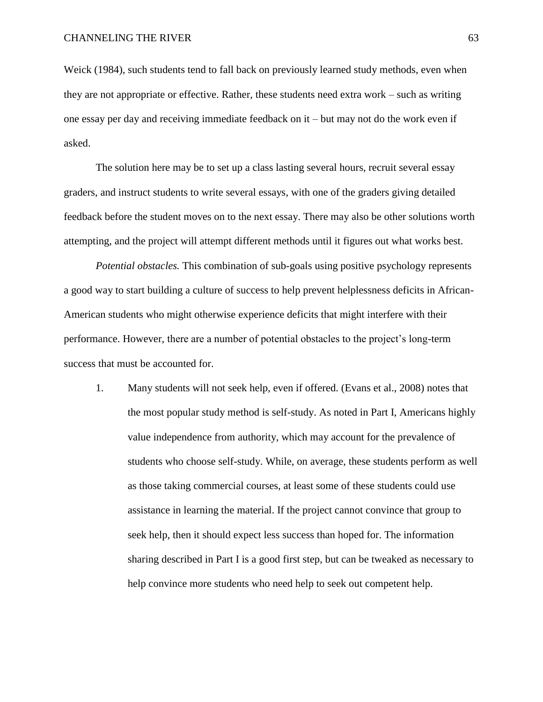Weick (1984), such students tend to fall back on previously learned study methods, even when they are not appropriate or effective. Rather, these students need extra work – such as writing one essay per day and receiving immediate feedback on it – but may not do the work even if asked.

The solution here may be to set up a class lasting several hours, recruit several essay graders, and instruct students to write several essays, with one of the graders giving detailed feedback before the student moves on to the next essay. There may also be other solutions worth attempting, and the project will attempt different methods until it figures out what works best.

*Potential obstacles.* This combination of sub-goals using positive psychology represents a good way to start building a culture of success to help prevent helplessness deficits in African-American students who might otherwise experience deficits that might interfere with their performance. However, there are a number of potential obstacles to the project's long-term success that must be accounted for.

1. Many students will not seek help, even if offered. (Evans et al., 2008) notes that the most popular study method is self-study. As noted in Part I, Americans highly value independence from authority, which may account for the prevalence of students who choose self-study. While, on average, these students perform as well as those taking commercial courses, at least some of these students could use assistance in learning the material. If the project cannot convince that group to seek help, then it should expect less success than hoped for. The information sharing described in Part I is a good first step, but can be tweaked as necessary to help convince more students who need help to seek out competent help.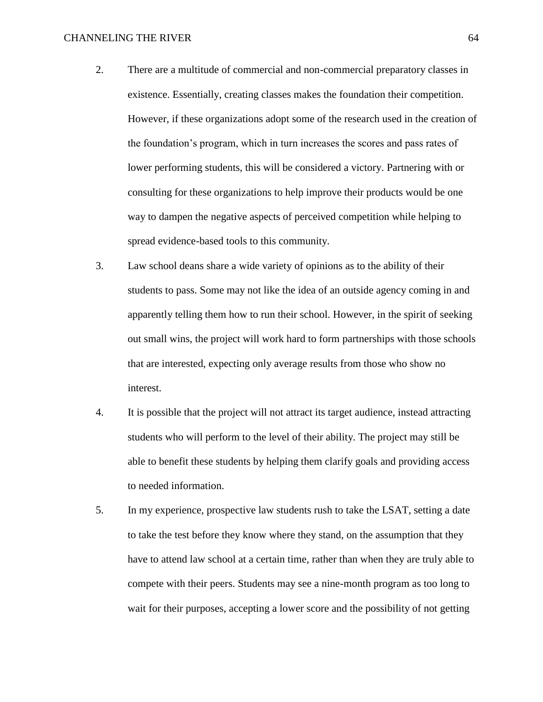#### CHANNELING THE RIVER 64

- 2. There are a multitude of commercial and non-commercial preparatory classes in existence. Essentially, creating classes makes the foundation their competition. However, if these organizations adopt some of the research used in the creation of the foundation's program, which in turn increases the scores and pass rates of lower performing students, this will be considered a victory. Partnering with or consulting for these organizations to help improve their products would be one way to dampen the negative aspects of perceived competition while helping to spread evidence-based tools to this community.
- 3. Law school deans share a wide variety of opinions as to the ability of their students to pass. Some may not like the idea of an outside agency coming in and apparently telling them how to run their school. However, in the spirit of seeking out small wins, the project will work hard to form partnerships with those schools that are interested, expecting only average results from those who show no interest.
- 4. It is possible that the project will not attract its target audience, instead attracting students who will perform to the level of their ability. The project may still be able to benefit these students by helping them clarify goals and providing access to needed information.
- 5. In my experience, prospective law students rush to take the LSAT, setting a date to take the test before they know where they stand, on the assumption that they have to attend law school at a certain time, rather than when they are truly able to compete with their peers. Students may see a nine-month program as too long to wait for their purposes, accepting a lower score and the possibility of not getting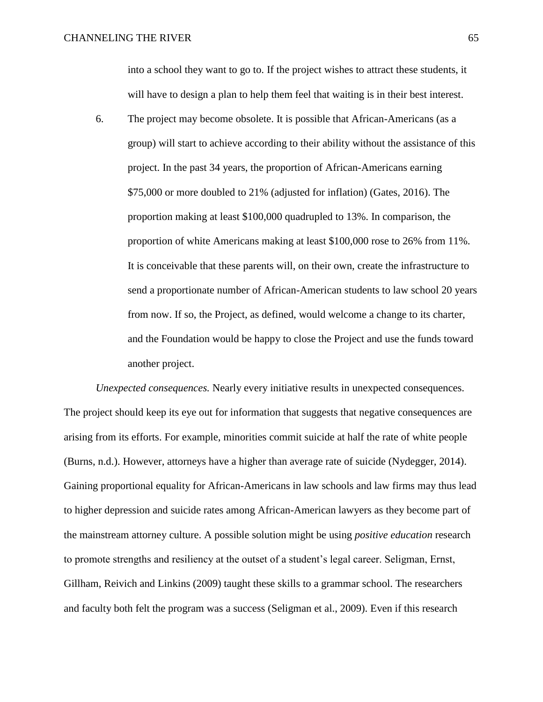into a school they want to go to. If the project wishes to attract these students, it will have to design a plan to help them feel that waiting is in their best interest.

6. The project may become obsolete. It is possible that African-Americans (as a group) will start to achieve according to their ability without the assistance of this project. In the past 34 years, the proportion of African-Americans earning \$75,000 or more doubled to 21% (adjusted for inflation) (Gates, 2016). The proportion making at least \$100,000 quadrupled to 13%. In comparison, the proportion of white Americans making at least \$100,000 rose to 26% from 11%. It is conceivable that these parents will, on their own, create the infrastructure to send a proportionate number of African-American students to law school 20 years from now. If so, the Project, as defined, would welcome a change to its charter, and the Foundation would be happy to close the Project and use the funds toward another project.

*Unexpected consequences.* Nearly every initiative results in unexpected consequences. The project should keep its eye out for information that suggests that negative consequences are arising from its efforts. For example, minorities commit suicide at half the rate of white people (Burns, n.d.). However, attorneys have a higher than average rate of suicide (Nydegger, 2014). Gaining proportional equality for African-Americans in law schools and law firms may thus lead to higher depression and suicide rates among African-American lawyers as they become part of the mainstream attorney culture. A possible solution might be using *positive education* research to promote strengths and resiliency at the outset of a student's legal career. Seligman, Ernst, Gillham, Reivich and Linkins (2009) taught these skills to a grammar school. The researchers and faculty both felt the program was a success (Seligman et al., 2009). Even if this research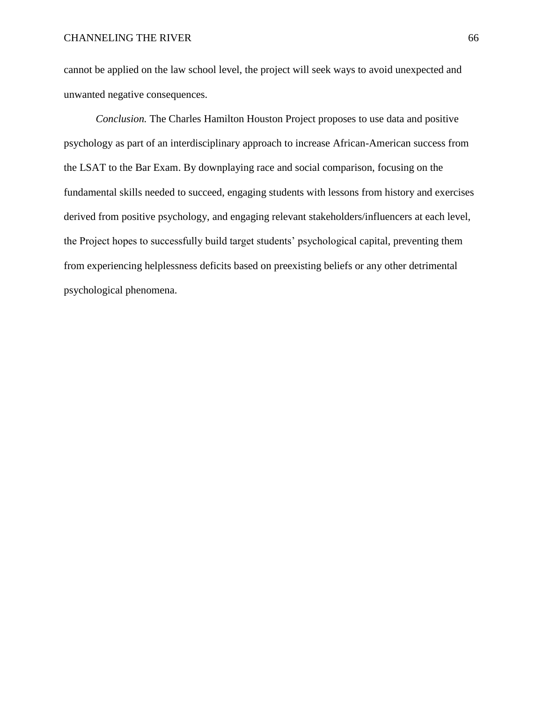cannot be applied on the law school level, the project will seek ways to avoid unexpected and unwanted negative consequences.

*Conclusion.* The Charles Hamilton Houston Project proposes to use data and positive psychology as part of an interdisciplinary approach to increase African-American success from the LSAT to the Bar Exam. By downplaying race and social comparison, focusing on the fundamental skills needed to succeed, engaging students with lessons from history and exercises derived from positive psychology, and engaging relevant stakeholders/influencers at each level, the Project hopes to successfully build target students' psychological capital, preventing them from experiencing helplessness deficits based on preexisting beliefs or any other detrimental psychological phenomena.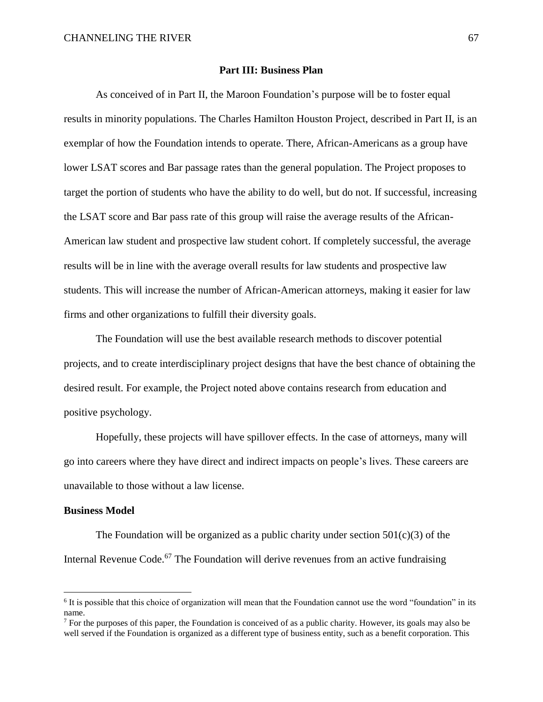## **Part III: Business Plan**

As conceived of in Part II, the Maroon Foundation's purpose will be to foster equal results in minority populations. The Charles Hamilton Houston Project, described in Part II, is an exemplar of how the Foundation intends to operate. There, African-Americans as a group have lower LSAT scores and Bar passage rates than the general population. The Project proposes to target the portion of students who have the ability to do well, but do not. If successful, increasing the LSAT score and Bar pass rate of this group will raise the average results of the African-American law student and prospective law student cohort. If completely successful, the average results will be in line with the average overall results for law students and prospective law students. This will increase the number of African-American attorneys, making it easier for law firms and other organizations to fulfill their diversity goals.

The Foundation will use the best available research methods to discover potential projects, and to create interdisciplinary project designs that have the best chance of obtaining the desired result. For example, the Project noted above contains research from education and positive psychology.

Hopefully, these projects will have spillover effects. In the case of attorneys, many will go into careers where they have direct and indirect impacts on people's lives. These careers are unavailable to those without a law license.

### **Business Model**

 $\overline{a}$ 

The Foundation will be organized as a public charity under section  $501(c)(3)$  of the Internal Revenue Code.<sup>67</sup> The Foundation will derive revenues from an active fundraising

<sup>&</sup>lt;sup>6</sup> It is possible that this choice of organization will mean that the Foundation cannot use the word "foundation" in its name.

<sup>&</sup>lt;sup>7</sup> For the purposes of this paper, the Foundation is conceived of as a public charity. However, its goals may also be well served if the Foundation is organized as a different type of business entity, such as a benefit corporation. This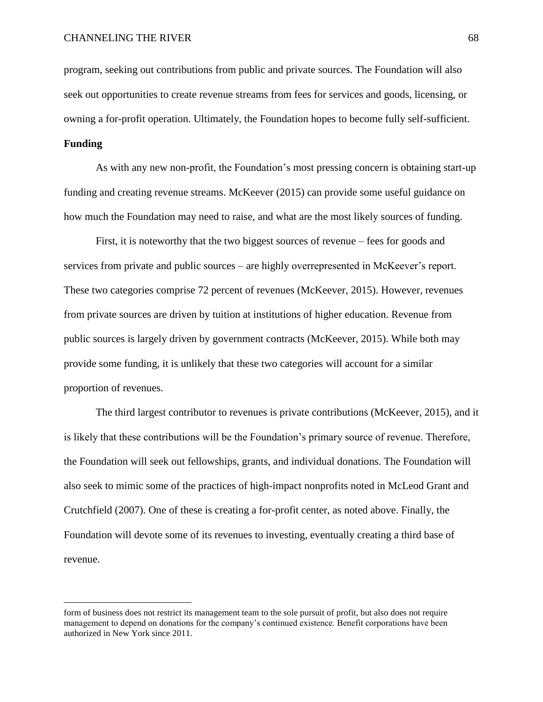program, seeking out contributions from public and private sources. The Foundation will also seek out opportunities to create revenue streams from fees for services and goods, licensing, or owning a for-profit operation. Ultimately, the Foundation hopes to become fully self-sufficient.

# **Funding**

 $\overline{a}$ 

As with any new non-profit, the Foundation's most pressing concern is obtaining start-up funding and creating revenue streams. McKeever (2015) can provide some useful guidance on how much the Foundation may need to raise, and what are the most likely sources of funding.

First, it is noteworthy that the two biggest sources of revenue – fees for goods and services from private and public sources – are highly overrepresented in McKeever's report. These two categories comprise 72 percent of revenues (McKeever, 2015). However, revenues from private sources are driven by tuition at institutions of higher education. Revenue from public sources is largely driven by government contracts (McKeever, 2015). While both may provide some funding, it is unlikely that these two categories will account for a similar proportion of revenues.

The third largest contributor to revenues is private contributions (McKeever, 2015), and it is likely that these contributions will be the Foundation's primary source of revenue. Therefore, the Foundation will seek out fellowships, grants, and individual donations. The Foundation will also seek to mimic some of the practices of high-impact nonprofits noted in McLeod Grant and Crutchfield (2007). One of these is creating a for-profit center, as noted above. Finally, the Foundation will devote some of its revenues to investing, eventually creating a third base of revenue.

form of business does not restrict its management team to the sole pursuit of profit, but also does not require management to depend on donations for the company's continued existence. Benefit corporations have been authorized in New York since 2011.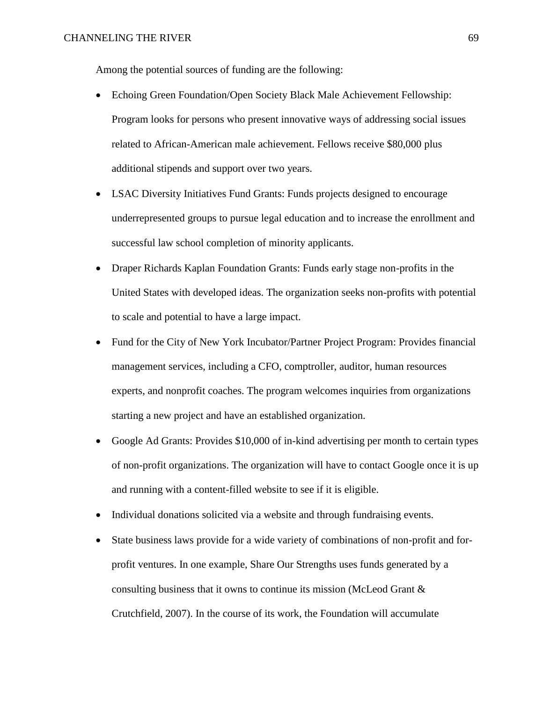Among the potential sources of funding are the following:

- Echoing Green Foundation/Open Society Black Male Achievement Fellowship: Program looks for persons who present innovative ways of addressing social issues related to African-American male achievement. Fellows receive \$80,000 plus additional stipends and support over two years.
- LSAC Diversity Initiatives Fund Grants: Funds projects designed to encourage underrepresented groups to pursue legal education and to increase the enrollment and successful law school completion of minority applicants.
- Draper Richards Kaplan Foundation Grants: Funds early stage non-profits in the United States with developed ideas. The organization seeks non-profits with potential to scale and potential to have a large impact.
- Fund for the City of New York Incubator/Partner Project Program: Provides financial management services, including a CFO, comptroller, auditor, human resources experts, and nonprofit coaches. The program welcomes inquiries from organizations starting a new project and have an established organization.
- Google Ad Grants: Provides \$10,000 of in-kind advertising per month to certain types of non-profit organizations. The organization will have to contact Google once it is up and running with a content-filled website to see if it is eligible.
- Individual donations solicited via a website and through fundraising events.
- State business laws provide for a wide variety of combinations of non-profit and forprofit ventures. In one example, Share Our Strengths uses funds generated by a consulting business that it owns to continue its mission (McLeod Grant & Crutchfield, 2007). In the course of its work, the Foundation will accumulate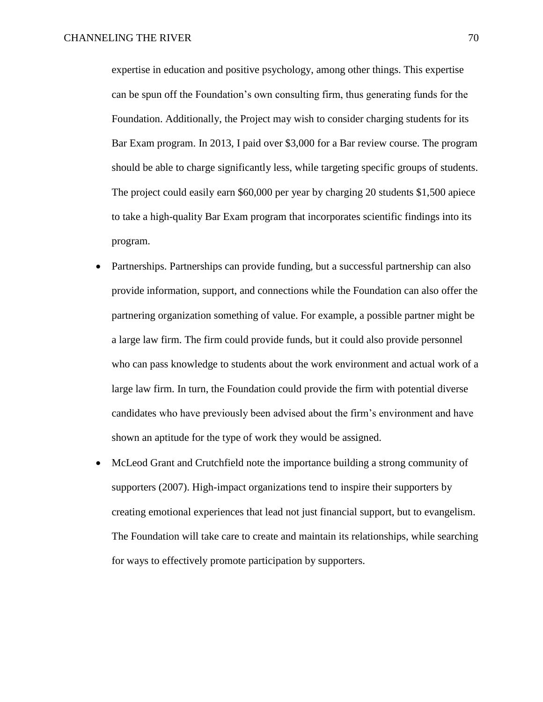expertise in education and positive psychology, among other things. This expertise can be spun off the Foundation's own consulting firm, thus generating funds for the Foundation. Additionally, the Project may wish to consider charging students for its Bar Exam program. In 2013, I paid over \$3,000 for a Bar review course. The program should be able to charge significantly less, while targeting specific groups of students. The project could easily earn \$60,000 per year by charging 20 students \$1,500 apiece to take a high-quality Bar Exam program that incorporates scientific findings into its program.

- Partnerships. Partnerships can provide funding, but a successful partnership can also provide information, support, and connections while the Foundation can also offer the partnering organization something of value. For example, a possible partner might be a large law firm. The firm could provide funds, but it could also provide personnel who can pass knowledge to students about the work environment and actual work of a large law firm. In turn, the Foundation could provide the firm with potential diverse candidates who have previously been advised about the firm's environment and have shown an aptitude for the type of work they would be assigned.
- McLeod Grant and Crutchfield note the importance building a strong community of supporters (2007). High-impact organizations tend to inspire their supporters by creating emotional experiences that lead not just financial support, but to evangelism. The Foundation will take care to create and maintain its relationships, while searching for ways to effectively promote participation by supporters.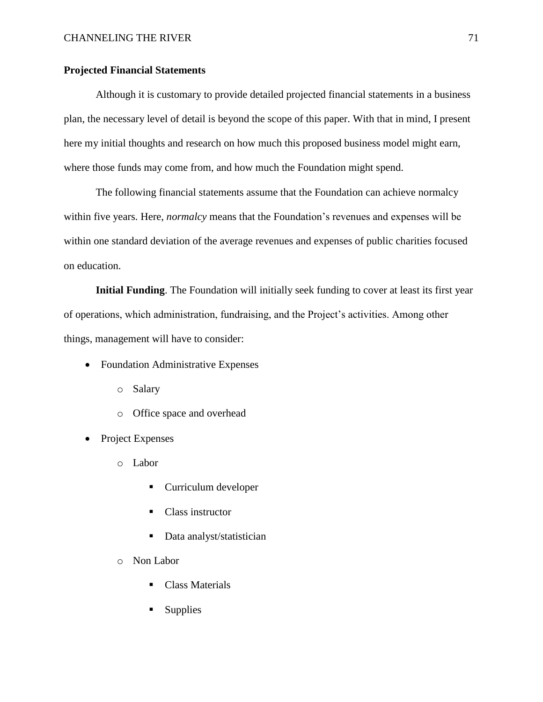# **Projected Financial Statements**

Although it is customary to provide detailed projected financial statements in a business plan, the necessary level of detail is beyond the scope of this paper. With that in mind, I present here my initial thoughts and research on how much this proposed business model might earn, where those funds may come from, and how much the Foundation might spend.

The following financial statements assume that the Foundation can achieve normalcy within five years. Here, *normalcy* means that the Foundation's revenues and expenses will be within one standard deviation of the average revenues and expenses of public charities focused on education.

**Initial Funding**. The Foundation will initially seek funding to cover at least its first year of operations, which administration, fundraising, and the Project's activities. Among other things, management will have to consider:

- Foundation Administrative Expenses
	- o Salary
	- o Office space and overhead
- Project Expenses
	- o Labor
		- **Curriculum developer**
		- Class instructor
		- Data analyst/statistician
	- o Non Labor
		- Class Materials
		- **Supplies**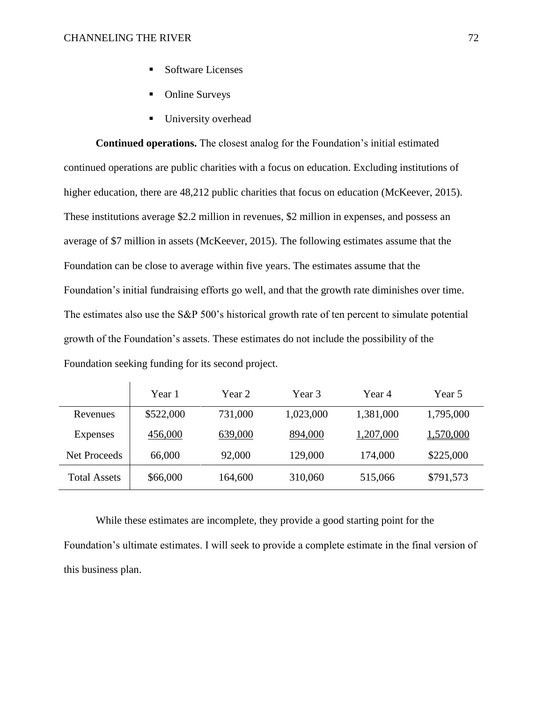- Software Licenses
- Online Surveys
- **University overhead**

**Continued operations.** The closest analog for the Foundation's initial estimated continued operations are public charities with a focus on education. Excluding institutions of higher education, there are 48,212 public charities that focus on education (McKeever, 2015). These institutions average \$2.2 million in revenues, \$2 million in expenses, and possess an average of \$7 million in assets (McKeever, 2015). The following estimates assume that the Foundation can be close to average within five years. The estimates assume that the Foundation's initial fundraising efforts go well, and that the growth rate diminishes over time. The estimates also use the S&P 500's historical growth rate of ten percent to simulate potential growth of the Foundation's assets. These estimates do not include the possibility of the Foundation seeking funding for its second project.

|                     | Year 1    | Year 2  | Year 3    | Year 4    | Year 5    |
|---------------------|-----------|---------|-----------|-----------|-----------|
| Revenues            | \$522,000 | 731,000 | 1,023,000 | 1,381,000 | 1,795,000 |
| Expenses            | 456,000   | 639,000 | 894,000   | 1,207,000 | 1,570,000 |
| <b>Net Proceeds</b> | 66,000    | 92,000  | 129,000   | 174,000   | \$225,000 |
| <b>Total Assets</b> | \$66,000  | 164,600 | 310,060   | 515,066   | \$791,573 |

While these estimates are incomplete, they provide a good starting point for the Foundation's ultimate estimates. I will seek to provide a complete estimate in the final version of this business plan.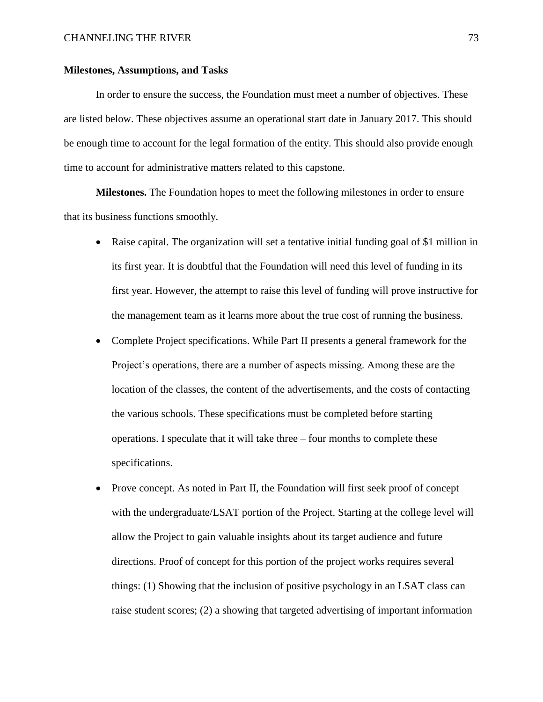### **Milestones, Assumptions, and Tasks**

In order to ensure the success, the Foundation must meet a number of objectives. These are listed below. These objectives assume an operational start date in January 2017. This should be enough time to account for the legal formation of the entity. This should also provide enough time to account for administrative matters related to this capstone.

**Milestones.** The Foundation hopes to meet the following milestones in order to ensure that its business functions smoothly.

- Raise capital. The organization will set a tentative initial funding goal of \$1 million in its first year. It is doubtful that the Foundation will need this level of funding in its first year. However, the attempt to raise this level of funding will prove instructive for the management team as it learns more about the true cost of running the business.
- Complete Project specifications. While Part II presents a general framework for the Project's operations, there are a number of aspects missing. Among these are the location of the classes, the content of the advertisements, and the costs of contacting the various schools. These specifications must be completed before starting operations. I speculate that it will take three – four months to complete these specifications.
- Prove concept. As noted in Part II, the Foundation will first seek proof of concept with the undergraduate/LSAT portion of the Project. Starting at the college level will allow the Project to gain valuable insights about its target audience and future directions. Proof of concept for this portion of the project works requires several things: (1) Showing that the inclusion of positive psychology in an LSAT class can raise student scores; (2) a showing that targeted advertising of important information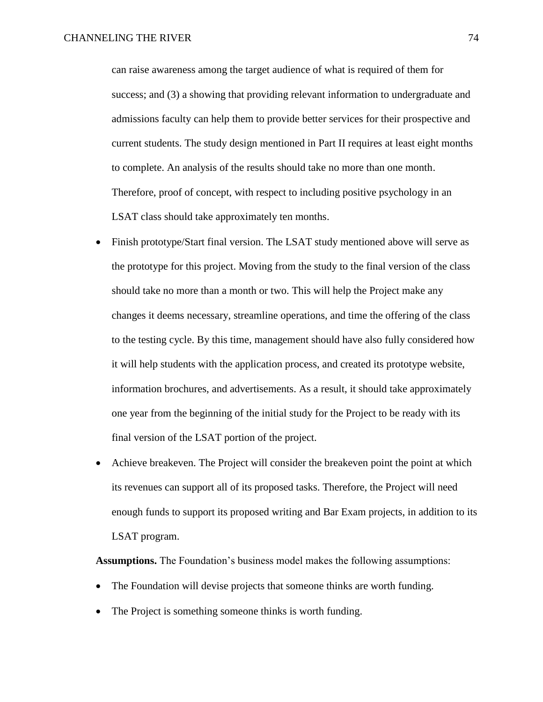can raise awareness among the target audience of what is required of them for success; and (3) a showing that providing relevant information to undergraduate and admissions faculty can help them to provide better services for their prospective and current students. The study design mentioned in Part II requires at least eight months to complete. An analysis of the results should take no more than one month. Therefore, proof of concept, with respect to including positive psychology in an LSAT class should take approximately ten months.

- Finish prototype/Start final version. The LSAT study mentioned above will serve as the prototype for this project. Moving from the study to the final version of the class should take no more than a month or two. This will help the Project make any changes it deems necessary, streamline operations, and time the offering of the class to the testing cycle. By this time, management should have also fully considered how it will help students with the application process, and created its prototype website, information brochures, and advertisements. As a result, it should take approximately one year from the beginning of the initial study for the Project to be ready with its final version of the LSAT portion of the project.
- Achieve breakeven. The Project will consider the breakeven point the point at which its revenues can support all of its proposed tasks. Therefore, the Project will need enough funds to support its proposed writing and Bar Exam projects, in addition to its LSAT program.

**Assumptions.** The Foundation's business model makes the following assumptions:

- The Foundation will devise projects that someone thinks are worth funding.
- The Project is something someone thinks is worth funding.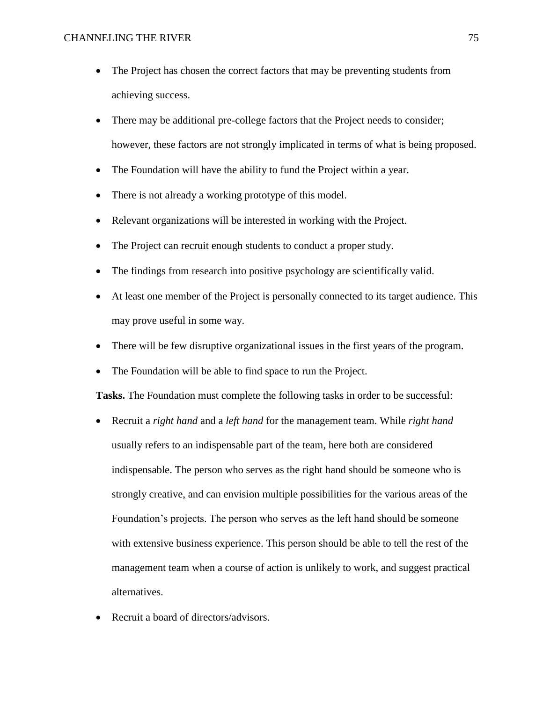- The Project has chosen the correct factors that may be preventing students from achieving success.
- There may be additional pre-college factors that the Project needs to consider; however, these factors are not strongly implicated in terms of what is being proposed.
- The Foundation will have the ability to fund the Project within a year.
- There is not already a working prototype of this model.
- Relevant organizations will be interested in working with the Project.
- The Project can recruit enough students to conduct a proper study.
- The findings from research into positive psychology are scientifically valid.
- At least one member of the Project is personally connected to its target audience. This may prove useful in some way.
- There will be few disruptive organizational issues in the first years of the program.
- The Foundation will be able to find space to run the Project.

**Tasks.** The Foundation must complete the following tasks in order to be successful:

- Recruit a *right hand* and a *left hand* for the management team. While *right hand* usually refers to an indispensable part of the team, here both are considered indispensable. The person who serves as the right hand should be someone who is strongly creative, and can envision multiple possibilities for the various areas of the Foundation's projects. The person who serves as the left hand should be someone with extensive business experience. This person should be able to tell the rest of the management team when a course of action is unlikely to work, and suggest practical alternatives.
- Recruit a board of directors/advisors.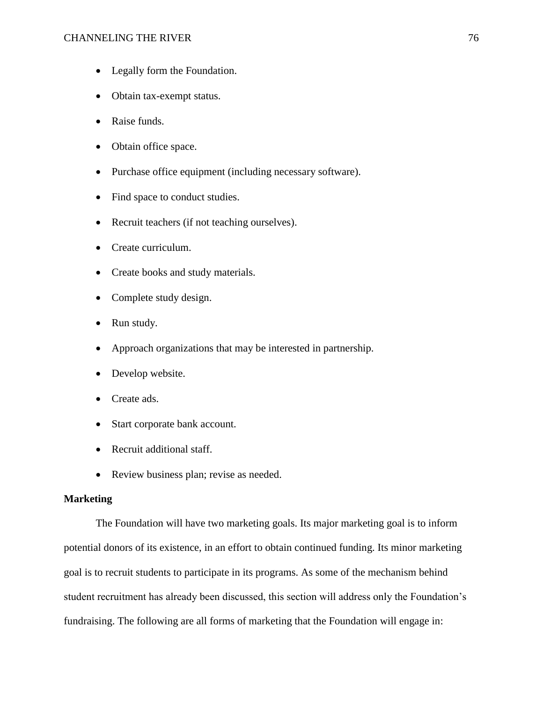### CHANNELING THE RIVER 76

- Legally form the Foundation.
- Obtain tax-exempt status.
- Raise funds.
- Obtain office space.
- Purchase office equipment (including necessary software).
- Find space to conduct studies.
- Recruit teachers (if not teaching ourselves).
- Create curriculum.
- Create books and study materials.
- Complete study design.
- Run study.
- Approach organizations that may be interested in partnership.
- Develop website.
- Create ads.
- Start corporate bank account.
- Recruit additional staff.
- Review business plan; revise as needed.

# **Marketing**

The Foundation will have two marketing goals. Its major marketing goal is to inform potential donors of its existence, in an effort to obtain continued funding. Its minor marketing goal is to recruit students to participate in its programs. As some of the mechanism behind student recruitment has already been discussed, this section will address only the Foundation's fundraising. The following are all forms of marketing that the Foundation will engage in: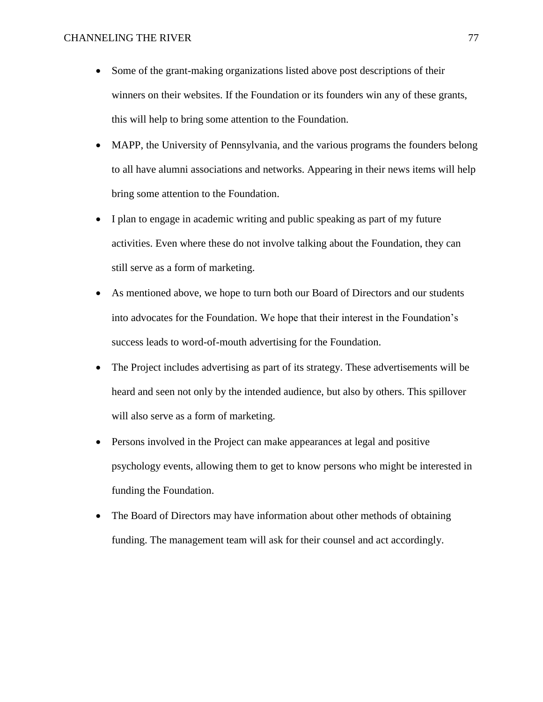- Some of the grant-making organizations listed above post descriptions of their winners on their websites. If the Foundation or its founders win any of these grants, this will help to bring some attention to the Foundation.
- MAPP, the University of Pennsylvania, and the various programs the founders belong to all have alumni associations and networks. Appearing in their news items will help bring some attention to the Foundation.
- I plan to engage in academic writing and public speaking as part of my future activities. Even where these do not involve talking about the Foundation, they can still serve as a form of marketing.
- As mentioned above, we hope to turn both our Board of Directors and our students into advocates for the Foundation. We hope that their interest in the Foundation's success leads to word-of-mouth advertising for the Foundation.
- The Project includes advertising as part of its strategy. These advertisements will be heard and seen not only by the intended audience, but also by others. This spillover will also serve as a form of marketing.
- Persons involved in the Project can make appearances at legal and positive psychology events, allowing them to get to know persons who might be interested in funding the Foundation.
- The Board of Directors may have information about other methods of obtaining funding. The management team will ask for their counsel and act accordingly.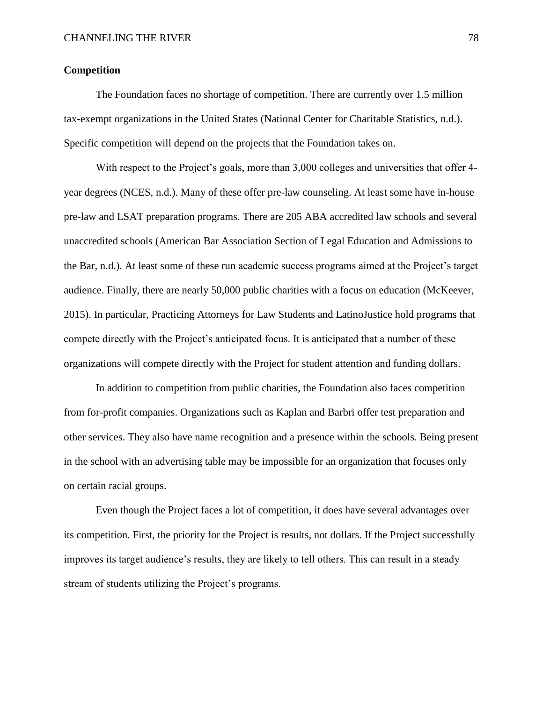## **Competition**

The Foundation faces no shortage of competition. There are currently over 1.5 million tax-exempt organizations in the United States (National Center for Charitable Statistics, n.d.). Specific competition will depend on the projects that the Foundation takes on.

With respect to the Project's goals, more than 3,000 colleges and universities that offer 4 year degrees (NCES, n.d.). Many of these offer pre-law counseling. At least some have in-house pre-law and LSAT preparation programs. There are 205 ABA accredited law schools and several unaccredited schools (American Bar Association Section of Legal Education and Admissions to the Bar, n.d.). At least some of these run academic success programs aimed at the Project's target audience. Finally, there are nearly 50,000 public charities with a focus on education (McKeever, 2015). In particular, Practicing Attorneys for Law Students and LatinoJustice hold programs that compete directly with the Project's anticipated focus. It is anticipated that a number of these organizations will compete directly with the Project for student attention and funding dollars.

In addition to competition from public charities, the Foundation also faces competition from for-profit companies. Organizations such as Kaplan and Barbri offer test preparation and other services. They also have name recognition and a presence within the schools. Being present in the school with an advertising table may be impossible for an organization that focuses only on certain racial groups.

Even though the Project faces a lot of competition, it does have several advantages over its competition. First, the priority for the Project is results, not dollars. If the Project successfully improves its target audience's results, they are likely to tell others. This can result in a steady stream of students utilizing the Project's programs.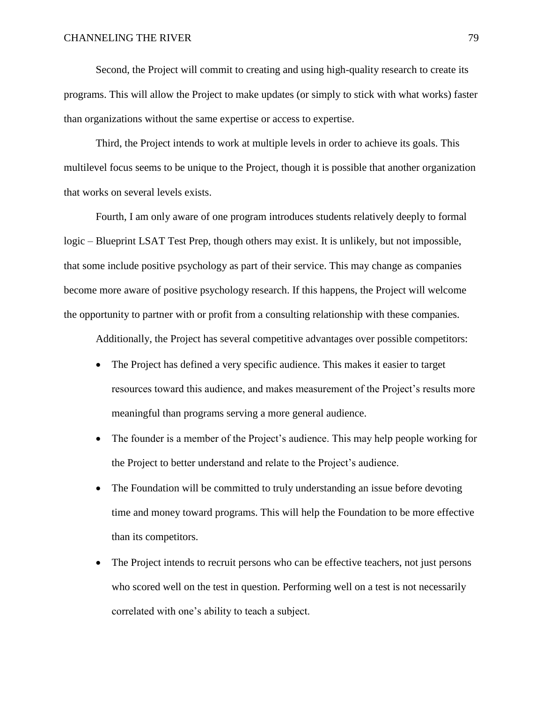Second, the Project will commit to creating and using high-quality research to create its programs. This will allow the Project to make updates (or simply to stick with what works) faster than organizations without the same expertise or access to expertise.

Third, the Project intends to work at multiple levels in order to achieve its goals. This multilevel focus seems to be unique to the Project, though it is possible that another organization that works on several levels exists.

Fourth, I am only aware of one program introduces students relatively deeply to formal logic – Blueprint LSAT Test Prep, though others may exist. It is unlikely, but not impossible, that some include positive psychology as part of their service. This may change as companies become more aware of positive psychology research. If this happens, the Project will welcome the opportunity to partner with or profit from a consulting relationship with these companies.

Additionally, the Project has several competitive advantages over possible competitors:

- The Project has defined a very specific audience. This makes it easier to target resources toward this audience, and makes measurement of the Project's results more meaningful than programs serving a more general audience.
- The founder is a member of the Project's audience. This may help people working for the Project to better understand and relate to the Project's audience.
- The Foundation will be committed to truly understanding an issue before devoting time and money toward programs. This will help the Foundation to be more effective than its competitors.
- The Project intends to recruit persons who can be effective teachers, not just persons who scored well on the test in question. Performing well on a test is not necessarily correlated with one's ability to teach a subject.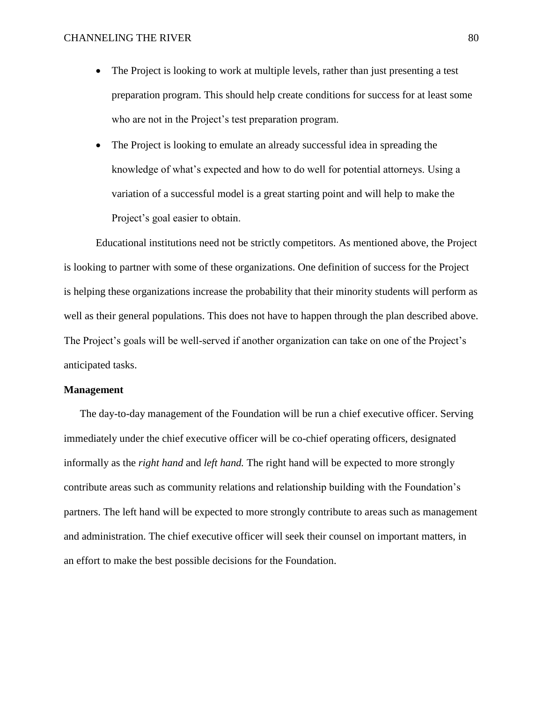- The Project is looking to work at multiple levels, rather than just presenting a test preparation program. This should help create conditions for success for at least some who are not in the Project's test preparation program.
- The Project is looking to emulate an already successful idea in spreading the knowledge of what's expected and how to do well for potential attorneys. Using a variation of a successful model is a great starting point and will help to make the Project's goal easier to obtain.

Educational institutions need not be strictly competitors. As mentioned above, the Project is looking to partner with some of these organizations. One definition of success for the Project is helping these organizations increase the probability that their minority students will perform as well as their general populations. This does not have to happen through the plan described above. The Project's goals will be well-served if another organization can take on one of the Project's anticipated tasks.

## **Management**

The day-to-day management of the Foundation will be run a chief executive officer. Serving immediately under the chief executive officer will be co-chief operating officers, designated informally as the *right hand* and *left hand.* The right hand will be expected to more strongly contribute areas such as community relations and relationship building with the Foundation's partners. The left hand will be expected to more strongly contribute to areas such as management and administration. The chief executive officer will seek their counsel on important matters, in an effort to make the best possible decisions for the Foundation.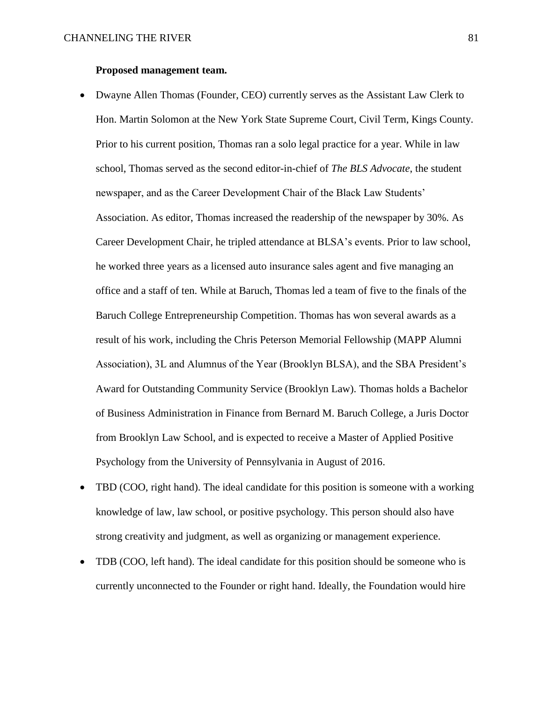## **Proposed management team.**

- Dwayne Allen Thomas (Founder, CEO) currently serves as the Assistant Law Clerk to Hon. Martin Solomon at the New York State Supreme Court, Civil Term, Kings County. Prior to his current position, Thomas ran a solo legal practice for a year. While in law school, Thomas served as the second editor-in-chief of *The BLS Advocate*, the student newspaper, and as the Career Development Chair of the Black Law Students' Association. As editor, Thomas increased the readership of the newspaper by 30%. As Career Development Chair, he tripled attendance at BLSA's events. Prior to law school, he worked three years as a licensed auto insurance sales agent and five managing an office and a staff of ten. While at Baruch, Thomas led a team of five to the finals of the Baruch College Entrepreneurship Competition. Thomas has won several awards as a result of his work, including the Chris Peterson Memorial Fellowship (MAPP Alumni Association), 3L and Alumnus of the Year (Brooklyn BLSA), and the SBA President's Award for Outstanding Community Service (Brooklyn Law). Thomas holds a Bachelor of Business Administration in Finance from Bernard M. Baruch College, a Juris Doctor from Brooklyn Law School, and is expected to receive a Master of Applied Positive Psychology from the University of Pennsylvania in August of 2016.
- TBD (COO, right hand). The ideal candidate for this position is someone with a working knowledge of law, law school, or positive psychology. This person should also have strong creativity and judgment, as well as organizing or management experience.
- TDB (COO, left hand). The ideal candidate for this position should be someone who is currently unconnected to the Founder or right hand. Ideally, the Foundation would hire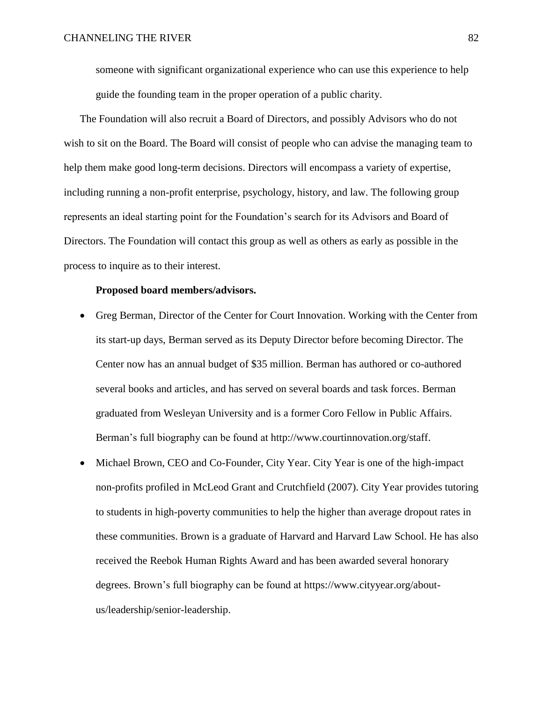someone with significant organizational experience who can use this experience to help guide the founding team in the proper operation of a public charity.

The Foundation will also recruit a Board of Directors, and possibly Advisors who do not wish to sit on the Board. The Board will consist of people who can advise the managing team to help them make good long-term decisions. Directors will encompass a variety of expertise, including running a non-profit enterprise, psychology, history, and law. The following group represents an ideal starting point for the Foundation's search for its Advisors and Board of Directors. The Foundation will contact this group as well as others as early as possible in the process to inquire as to their interest.

### **Proposed board members/advisors.**

- Greg Berman, Director of the Center for Court Innovation. Working with the Center from its start-up days, Berman served as its Deputy Director before becoming Director. The Center now has an annual budget of \$35 million. Berman has authored or co-authored several books and articles, and has served on several boards and task forces. Berman graduated from Wesleyan University and is a former Coro Fellow in Public Affairs. Berman's full biography can be found at http://www.courtinnovation.org/staff.
- Michael Brown, CEO and Co-Founder, City Year. City Year is one of the high-impact non-profits profiled in McLeod Grant and Crutchfield (2007). City Year provides tutoring to students in high-poverty communities to help the higher than average dropout rates in these communities. Brown is a graduate of Harvard and Harvard Law School. He has also received the Reebok Human Rights Award and has been awarded several honorary degrees. Brown's full biography can be found at https://www.cityyear.org/aboutus/leadership/senior-leadership.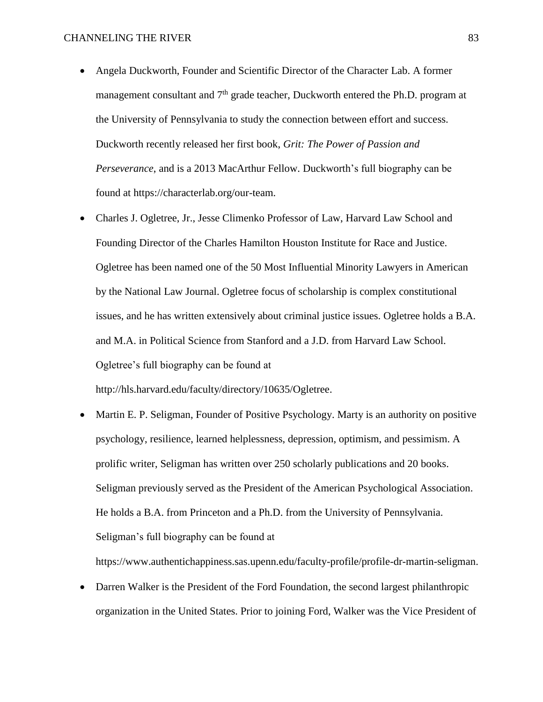- Angela Duckworth, Founder and Scientific Director of the Character Lab. A former management consultant and  $7<sup>th</sup>$  grade teacher, Duckworth entered the Ph.D. program at the University of Pennsylvania to study the connection between effort and success. Duckworth recently released her first book, *Grit: The Power of Passion and Perseverance*, and is a 2013 MacArthur Fellow. Duckworth's full biography can be found at https://characterlab.org/our-team.
- Charles J. Ogletree, Jr., Jesse Climenko Professor of Law, Harvard Law School and Founding Director of the Charles Hamilton Houston Institute for Race and Justice. Ogletree has been named one of the 50 Most Influential Minority Lawyers in American by the National Law Journal. Ogletree focus of scholarship is complex constitutional issues, and he has written extensively about criminal justice issues. Ogletree holds a B.A. and M.A. in Political Science from Stanford and a J.D. from Harvard Law School. Ogletree's full biography can be found at

http://hls.harvard.edu/faculty/directory/10635/Ogletree.

 Martin E. P. Seligman, Founder of Positive Psychology. Marty is an authority on positive psychology, resilience, learned helplessness, depression, optimism, and pessimism. A prolific writer, Seligman has written over 250 scholarly publications and 20 books. Seligman previously served as the President of the American Psychological Association. He holds a B.A. from Princeton and a Ph.D. from the University of Pennsylvania. Seligman's full biography can be found at

https://www.authentichappiness.sas.upenn.edu/faculty-profile/profile-dr-martin-seligman.

 Darren Walker is the President of the Ford Foundation, the second largest philanthropic organization in the United States. Prior to joining Ford, Walker was the Vice President of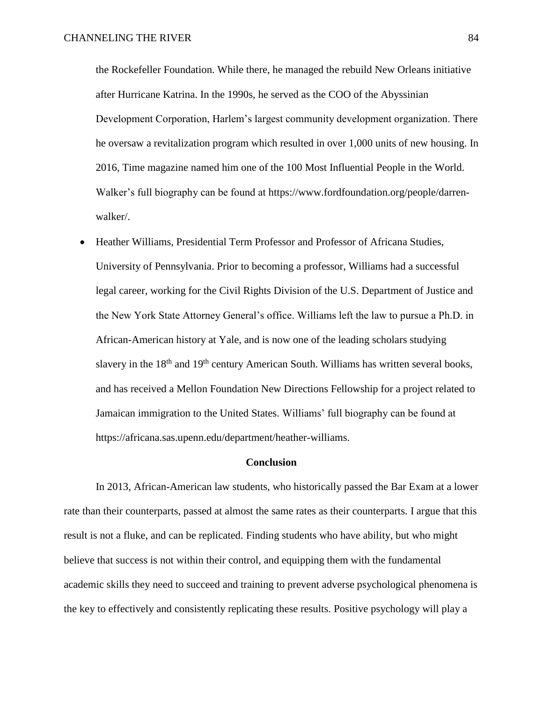the Rockefeller Foundation. While there, he managed the rebuild New Orleans initiative after Hurricane Katrina. In the 1990s, he served as the COO of the Abyssinian Development Corporation, Harlem's largest community development organization. There he oversaw a revitalization program which resulted in over 1,000 units of new housing. In 2016, Time magazine named him one of the 100 Most Influential People in the World. Walker's full biography can be found at https://www.fordfoundation.org/people/darrenwalker/.

 Heather Williams, Presidential Term Professor and Professor of Africana Studies, University of Pennsylvania. Prior to becoming a professor, Williams had a successful legal career, working for the Civil Rights Division of the U.S. Department of Justice and the New York State Attorney General's office. Williams left the law to pursue a Ph.D. in African-American history at Yale, and is now one of the leading scholars studying slavery in the  $18<sup>th</sup>$  and  $19<sup>th</sup>$  century American South. Williams has written several books, and has received a Mellon Foundation New Directions Fellowship for a project related to Jamaican immigration to the United States. Williams' full biography can be found at https://africana.sas.upenn.edu/department/heather-williams.

#### **Conclusion**

In 2013, African-American law students, who historically passed the Bar Exam at a lower rate than their counterparts, passed at almost the same rates as their counterparts. I argue that this result is not a fluke, and can be replicated. Finding students who have ability, but who might believe that success is not within their control, and equipping them with the fundamental academic skills they need to succeed and training to prevent adverse psychological phenomena is the key to effectively and consistently replicating these results. Positive psychology will play a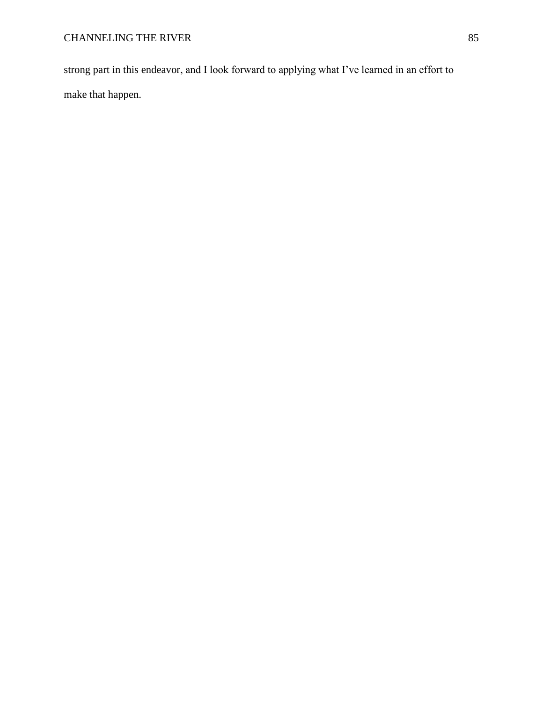strong part in this endeavor, and I look forward to applying what I've learned in an effort to make that happen.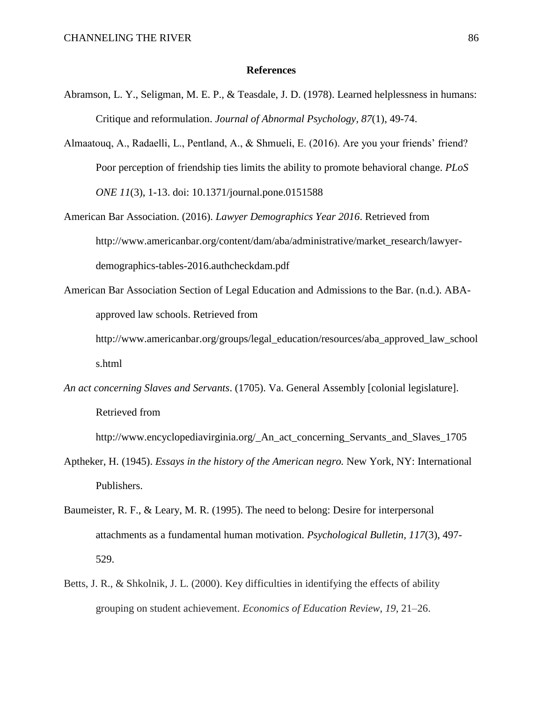#### **References**

- Abramson, L. Y., Seligman, M. E. P., & Teasdale, J. D. (1978). Learned helplessness in humans: Critique and reformulation. *Journal of Abnormal Psychology, 87*(1), 49-74.
- Almaatouq, A., Radaelli, L., Pentland, A., & Shmueli, E. (2016). Are you your friends' friend? Poor perception of friendship ties limits the ability to promote behavioral change. *PLoS ONE 11*(3), 1-13. doi: 10.1371/journal.pone.0151588
- American Bar Association. (2016). *Lawyer Demographics Year 2016*. Retrieved from http://www.americanbar.org/content/dam/aba/administrative/market\_research/lawyerdemographics-tables-2016.authcheckdam.pdf
- American Bar Association Section of Legal Education and Admissions to the Bar. (n.d.). ABAapproved law schools. Retrieved from

http://www.americanbar.org/groups/legal\_education/resources/aba\_approved\_law\_school s.html

*An act concerning Slaves and Servants*. (1705). Va. General Assembly [colonial legislature]. Retrieved from

http://www.encyclopediavirginia.org/ An act concerning Servants and Slaves 1705

- Aptheker, H. (1945). *Essays in the history of the American negro.* New York, NY: International Publishers.
- Baumeister, R. F., & Leary, M. R. (1995). The need to belong: Desire for interpersonal attachments as a fundamental human motivation. *Psychological Bulletin, 117*(3), 497- 529.
- Betts, J. R., & Shkolnik, J. L. (2000). Key difficulties in identifying the effects of ability grouping on student achievement. *Economics of Education Review*, *19*, 21–26.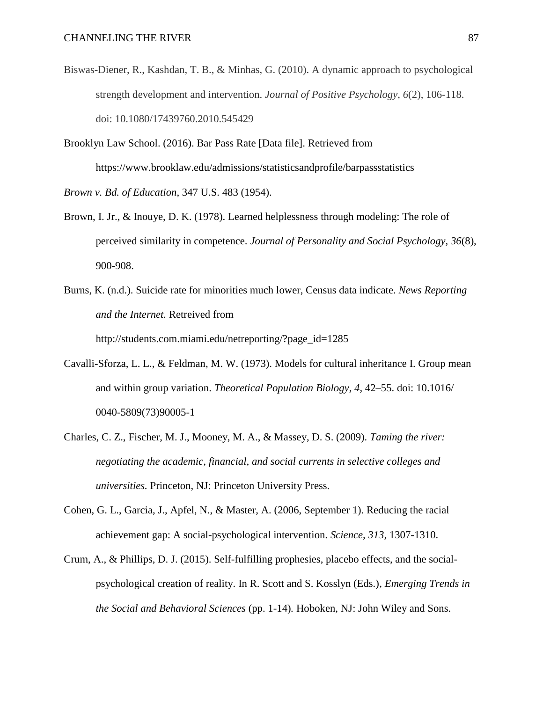- Biswas-Diener, R., Kashdan, T. B., & Minhas, G. (2010). A dynamic approach to psychological strength development and intervention. *Journal of Positive Psychology, 6*(2), 106-118. doi: 10.1080/17439760.2010.545429
- Brooklyn Law School. (2016). Bar Pass Rate [Data file]. Retrieved from https://www.brooklaw.edu/admissions/statisticsandprofile/barpassstatistics *Brown v. Bd. of Education*, 347 U.S. 483 (1954).
- Brown, I. Jr., & Inouye, D. K. (1978). Learned helplessness through modeling: The role of perceived similarity in competence. *Journal of Personality and Social Psychology, 36*(8), 900-908.
- Burns, K. (n.d.). Suicide rate for minorities much lower, Census data indicate. *News Reporting and the Internet.* Retreived from http://students.com.miami.edu/netreporting/?page\_id=1285
- Cavalli-Sforza, L. L., & Feldman, M. W. (1973). Models for cultural inheritance I. Group mean and within group variation. *Theoretical Population Biology, 4,* 42–55. doi: 10.1016/ 0040-5809(73)90005-1
- Charles, C. Z., Fischer, M. J., Mooney, M. A., & Massey, D. S. (2009). *Taming the river: negotiating the academic, financial, and social currents in selective colleges and universities.* Princeton, NJ: Princeton University Press.
- Cohen, G. L., Garcia, J., Apfel, N., & Master, A. (2006, September 1). Reducing the racial achievement gap: A social-psychological intervention. *Science, 313,* 1307-1310.
- Crum, A., & Phillips, D. J. (2015). Self-fulfilling prophesies, placebo effects, and the socialpsychological creation of reality. In R. Scott and S. Kosslyn (Eds.), *Emerging Trends in the Social and Behavioral Sciences* (pp. 1-14)*.* Hoboken, NJ: John Wiley and Sons.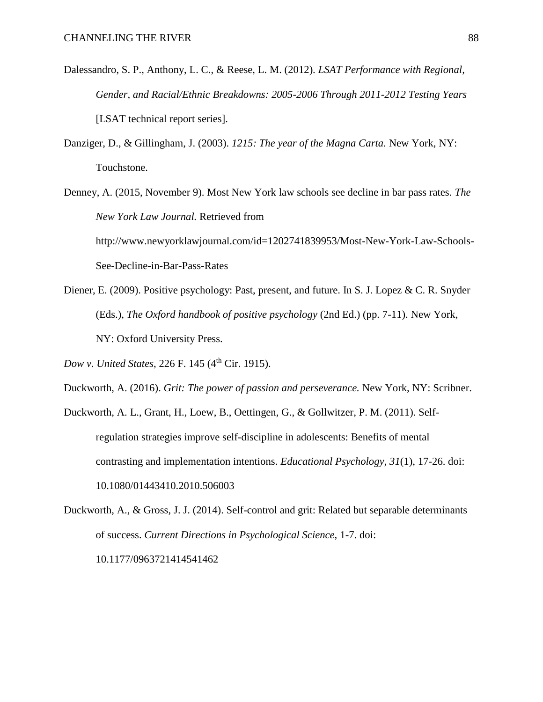- Dalessandro, S. P., Anthony, L. C., & Reese, L. M. (2012). *LSAT Performance with Regional, Gender, and Racial/Ethnic Breakdowns: 2005-2006 Through 2011-2012 Testing Years* [LSAT technical report series].
- Danziger, D., & Gillingham, J. (2003). *1215: The year of the Magna Carta.* New York, NY: Touchstone.
- Denney, A. (2015, November 9). Most New York law schools see decline in bar pass rates. *The New York Law Journal.* Retrieved from http://www.newyorklawjournal.com/id=1202741839953/Most-New-York-Law-Schools-See-Decline-in-Bar-Pass-Rates
- Diener, E. (2009). Positive psychology: Past, present, and future. In S. J. Lopez & C. R. Snyder (Eds.), *The Oxford handbook of positive psychology* (2nd Ed.) (pp. 7-11). New York, NY: Oxford University Press.

*Dow v. United States, 226 F. 145 (4<sup>th</sup> Cir. 1915).* 

- Duckworth, A. (2016). *Grit: The power of passion and perseverance.* New York, NY: Scribner.
- Duckworth, A. L., Grant, H., Loew, B., Oettingen, G., & Gollwitzer, P. M. (2011). Selfregulation strategies improve self-discipline in adolescents: Benefits of mental contrasting and implementation intentions. *Educational Psychology, 31*(1), 17-26. doi: 10.1080/01443410.2010.506003
- Duckworth, A., & Gross, J. J. (2014). Self-control and grit: Related but separable determinants of success. *Current Directions in Psychological Science,* 1-7. doi: 10.1177/0963721414541462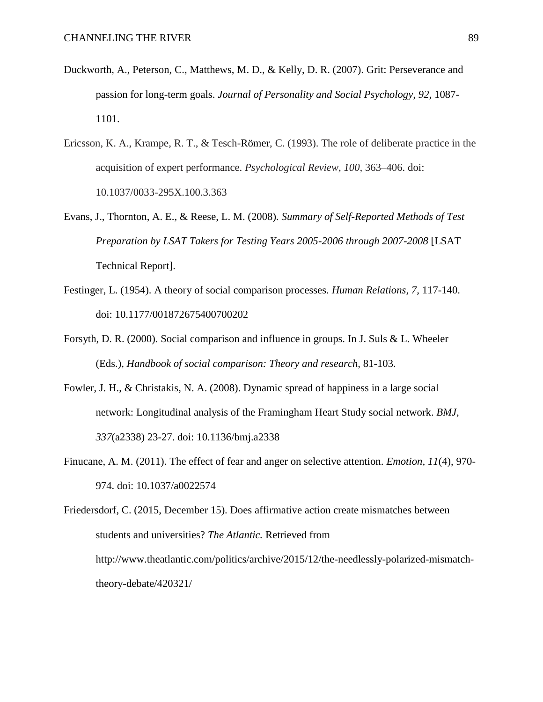- Duckworth, A., Peterson, C., Matthews, M. D., & Kelly, D. R. (2007). Grit: Perseverance and passion for long-term goals. *Journal of Personality and Social Psychology, 92,* 1087- 1101.
- Ericsson, K. A., Krampe, R. T., & Tesch-Römer, C. (1993). The role of deliberate practice in the acquisition of expert performance. *Psychological Review, 100,* 363–406. doi: 10.1037/0033-295X.100.3.363
- Evans, J., Thornton, A. E., & Reese, L. M. (2008). *Summary of Self-Reported Methods of Test Preparation by LSAT Takers for Testing Years 2005-2006 through 2007-2008* [LSAT Technical Report].
- Festinger, L. (1954). A theory of social comparison processes. *Human Relations, 7,* 117-140. doi: 10.1177/001872675400700202
- Forsyth, D. R. (2000). Social comparison and influence in groups. In J. Suls & L. Wheeler (Eds.), *Handbook of social comparison: Theory and research,* 81-103.
- Fowler, J. H., & Christakis, N. A. (2008). Dynamic spread of happiness in a large social network: Longitudinal analysis of the Framingham Heart Study social network. *BMJ, 337*(a2338) 23-27. doi: 10.1136/bmj.a2338
- Finucane, A. M. (2011). The effect of fear and anger on selective attention. *Emotion, 11*(4), 970- 974. doi: 10.1037/a0022574

Friedersdorf, C. (2015, December 15). Does affirmative action create mismatches between students and universities? *The Atlantic.* Retrieved from http://www.theatlantic.com/politics/archive/2015/12/the-needlessly-polarized-mismatchtheory-debate/420321/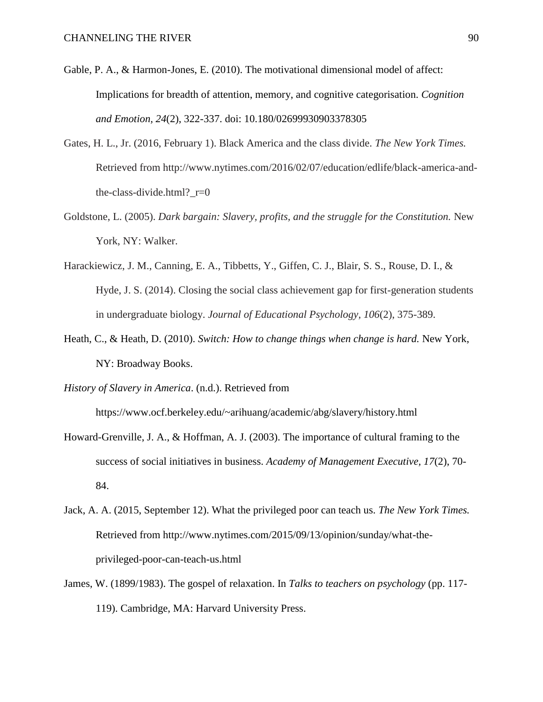- Gable, P. A., & Harmon-Jones, E. (2010). The motivational dimensional model of affect: Implications for breadth of attention, memory, and cognitive categorisation. *Cognition and Emotion, 24*(2), 322-337. doi: 10.180/02699930903378305
- Gates, H. L., Jr. (2016, February 1). Black America and the class divide. *The New York Times.*  Retrieved from http://www.nytimes.com/2016/02/07/education/edlife/black-america-andthe-class-divide.html? $r=0$
- Goldstone, L. (2005). *Dark bargain: Slavery, profits, and the struggle for the Constitution.* New York, NY: Walker.
- Harackiewicz, J. M., Canning, E. A., Tibbetts, Y., Giffen, C. J., Blair, S. S., Rouse, D. I., & Hyde, J. S. (2014). Closing the social class achievement gap for first-generation students in undergraduate biology. *Journal of Educational Psychology, 106*(2), 375-389.
- Heath, C., & Heath, D. (2010). *Switch: How to change things when change is hard.* New York, NY: Broadway Books.
- *History of Slavery in America*. (n.d.). Retrieved from

https://www.ocf.berkeley.edu/~arihuang/academic/abg/slavery/history.html

- Howard-Grenville, J. A., & Hoffman, A. J. (2003). The importance of cultural framing to the success of social initiatives in business. *Academy of Management Executive, 17*(2), 70- 84.
- Jack, A. A. (2015, September 12). What the privileged poor can teach us. *The New York Times.* Retrieved from http://www.nytimes.com/2015/09/13/opinion/sunday/what-theprivileged-poor-can-teach-us.html
- James, W. (1899/1983). The gospel of relaxation. In *Talks to teachers on psychology* (pp. 117- 119). Cambridge, MA: Harvard University Press.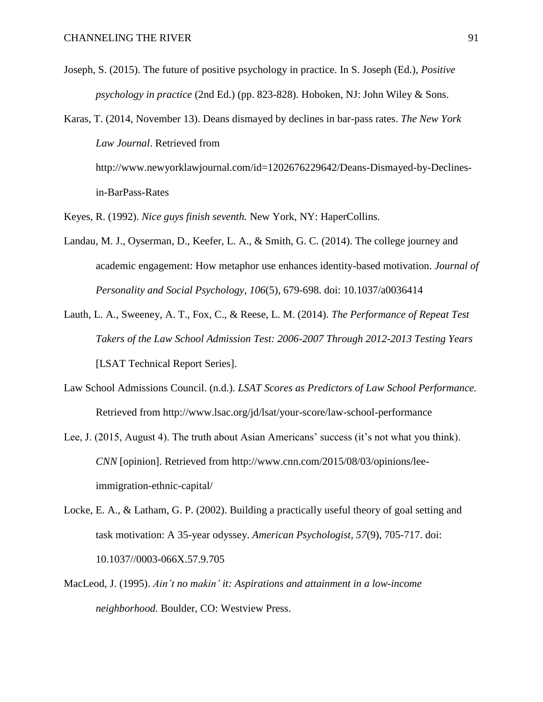- Joseph, S. (2015). The future of positive psychology in practice. In S. Joseph (Ed.), *Positive psychology in practice* (2nd Ed.) (pp. 823-828). Hoboken, NJ: John Wiley & Sons.
- Karas, T. (2014, November 13). Deans dismayed by declines in bar-pass rates. *The New York Law Journal*. Retrieved from http://www.newyorklawjournal.com/id=1202676229642/Deans-Dismayed-by-Declinesin-BarPass-Rates
- Keyes, R. (1992). *Nice guys finish seventh.* New York, NY: HaperCollins.
- Landau, M. J., Oyserman, D., Keefer, L. A., & Smith, G. C. (2014). The college journey and academic engagement: How metaphor use enhances identity-based motivation. *Journal of Personality and Social Psychology, 106*(5), 679-698. doi: 10.1037/a0036414
- Lauth, L. A., Sweeney, A. T., Fox, C., & Reese, L. M. (2014). *The Performance of Repeat Test Takers of the Law School Admission Test: 2006-2007 Through 2012-2013 Testing Years*  [LSAT Technical Report Series].
- Law School Admissions Council. (n.d.). *LSAT Scores as Predictors of Law School Performance.*  Retrieved from http://www.lsac.org/jd/lsat/your-score/law-school-performance
- Lee, J. (2015, August 4). The truth about Asian Americans' success (it's not what you think). *CNN* [opinion]. Retrieved from http://www.cnn.com/2015/08/03/opinions/leeimmigration-ethnic-capital/
- Locke, E. A., & Latham, G. P. (2002). Building a practically useful theory of goal setting and task motivation: A 35-year odyssey. *American Psychologist, 57*(9), 705-717. doi: 10.1037//0003-066X.57.9.705
- MacLeod, J. (1995). *Ain't no makin' it: Aspirations and attainment in a low-income neighborhood.* Boulder, CO: Westview Press.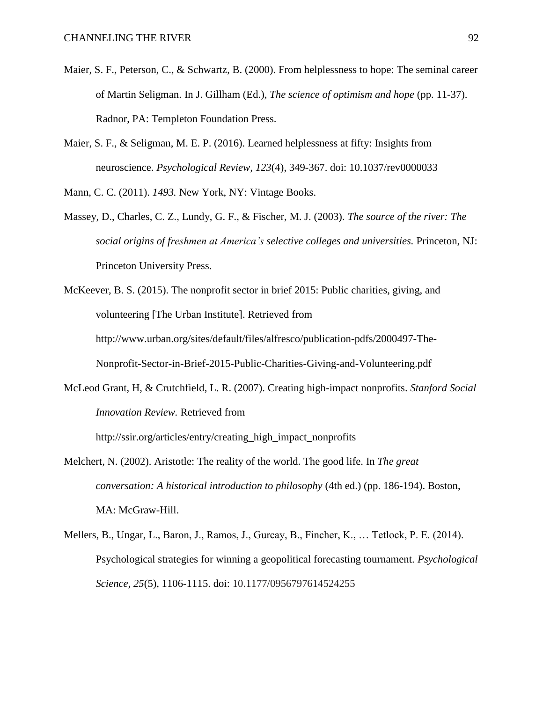- Maier, S. F., Peterson, C., & Schwartz, B. (2000). From helplessness to hope: The seminal career of Martin Seligman. In J. Gillham (Ed.), *The science of optimism and hope* (pp. 11-37). Radnor, PA: Templeton Foundation Press.
- Maier, S. F., & Seligman, M. E. P. (2016). Learned helplessness at fifty: Insights from neuroscience. *Psychological Review, 123*(4), 349-367. doi: 10.1037/rev0000033

Mann, C. C. (2011). *1493.* New York, NY: Vintage Books.

- Massey, D., Charles, C. Z., Lundy, G. F., & Fischer, M. J. (2003). *The source of the river: The social origins of freshmen at America's selective colleges and universities.* Princeton, NJ: Princeton University Press.
- McKeever, B. S. (2015). The nonprofit sector in brief 2015: Public charities, giving, and volunteering [The Urban Institute]. Retrieved from http://www.urban.org/sites/default/files/alfresco/publication-pdfs/2000497-The-Nonprofit-Sector-in-Brief-2015-Public-Charities-Giving-and-Volunteering.pdf
- McLeod Grant, H, & Crutchfield, L. R. (2007). Creating high-impact nonprofits. *Stanford Social Innovation Review.* Retrieved from

http://ssir.org/articles/entry/creating\_high\_impact\_nonprofits

- Melchert, N. (2002). Aristotle: The reality of the world. The good life. In *The great conversation: A historical introduction to philosophy* (4th ed.) (pp. 186-194). Boston, MA: McGraw-Hill.
- Mellers, B., Ungar, L., Baron, J., Ramos, J., Gurcay, B., Fincher, K., … Tetlock, P. E. (2014). Psychological strategies for winning a geopolitical forecasting tournament. *Psychological Science, 25*(5), 1106-1115. doi: 10.1177/0956797614524255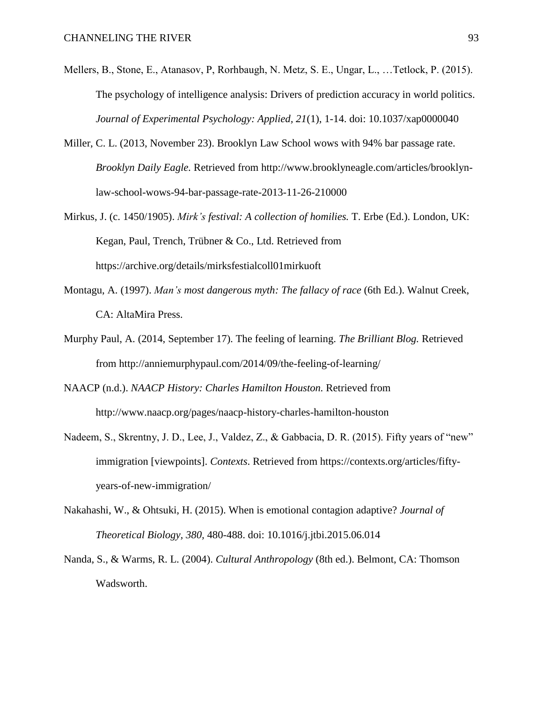- Mellers, B., Stone, E., Atanasov, P, Rorhbaugh, N. Metz, S. E., Ungar, L., …Tetlock, P. (2015). The psychology of intelligence analysis: Drivers of prediction accuracy in world politics. *Journal of Experimental Psychology: Applied, 21*(1), 1-14. doi: 10.1037/xap0000040
- Miller, C. L. (2013, November 23). Brooklyn Law School wows with 94% bar passage rate. *Brooklyn Daily Eagle.* Retrieved from http://www.brooklyneagle.com/articles/brooklynlaw-school-wows-94-bar-passage-rate-2013-11-26-210000
- Mirkus, J. (c. 1450/1905). *Mirk's festival: A collection of homilies.* T. Erbe (Ed.). London, UK: Kegan, Paul, Trench, Trübner & Co., Ltd. Retrieved from https://archive.org/details/mirksfestialcoll01mirkuoft
- Montagu, A. (1997). *Man's most dangerous myth: The fallacy of race* (6th Ed.). Walnut Creek, CA: AltaMira Press.
- Murphy Paul, A. (2014, September 17). The feeling of learning. *The Brilliant Blog.* Retrieved from http://anniemurphypaul.com/2014/09/the-feeling-of-learning/
- NAACP (n.d.). *NAACP History: Charles Hamilton Houston.* Retrieved from http://www.naacp.org/pages/naacp-history-charles-hamilton-houston
- Nadeem, S., Skrentny, J. D., Lee, J., Valdez, Z., & Gabbacia, D. R. (2015). Fifty years of "new" immigration [viewpoints]. *Contexts*. Retrieved from https://contexts.org/articles/fiftyyears-of-new-immigration/
- Nakahashi, W., & Ohtsuki, H. (2015). When is emotional contagion adaptive? *Journal of Theoretical Biology, 380,* 480-488. doi: 10.1016/j.jtbi.2015.06.014
- Nanda, S., & Warms, R. L. (2004). *Cultural Anthropology* (8th ed.). Belmont, CA: Thomson Wadsworth.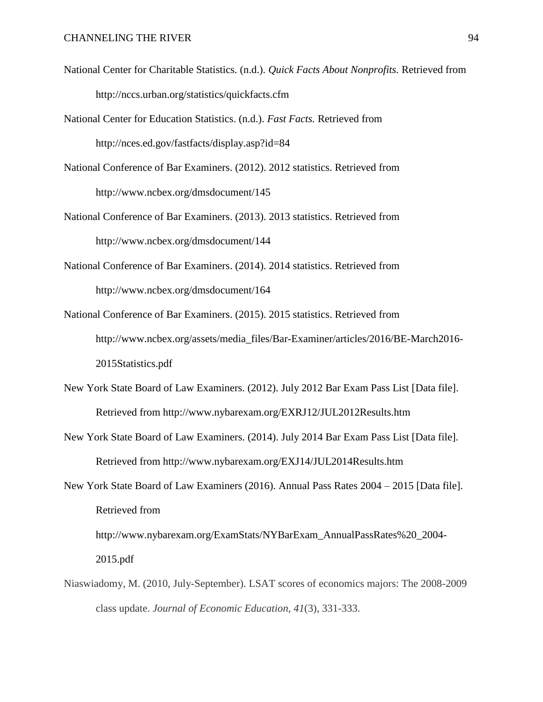- National Center for Charitable Statistics. (n.d.). *Quick Facts About Nonprofits.* Retrieved from http://nccs.urban.org/statistics/quickfacts.cfm
- National Center for Education Statistics. (n.d.). *Fast Facts.* Retrieved from http://nces.ed.gov/fastfacts/display.asp?id=84
- National Conference of Bar Examiners. (2012). 2012 statistics. Retrieved from http://www.ncbex.org/dmsdocument/145
- National Conference of Bar Examiners. (2013). 2013 statistics. Retrieved from http://www.ncbex.org/dmsdocument/144
- National Conference of Bar Examiners. (2014). 2014 statistics. Retrieved from http://www.ncbex.org/dmsdocument/164
- National Conference of Bar Examiners. (2015). 2015 statistics. Retrieved from http://www.ncbex.org/assets/media\_files/Bar-Examiner/articles/2016/BE-March2016- 2015Statistics.pdf
- New York State Board of Law Examiners. (2012). July 2012 Bar Exam Pass List [Data file]. Retrieved from http://www.nybarexam.org/EXRJ12/JUL2012Results.htm
- New York State Board of Law Examiners. (2014). July 2014 Bar Exam Pass List [Data file]. Retrieved from http://www.nybarexam.org/EXJ14/JUL2014Results.htm
- New York State Board of Law Examiners (2016). Annual Pass Rates 2004 2015 [Data file]. Retrieved from

http://www.nybarexam.org/ExamStats/NYBarExam\_AnnualPassRates%20\_2004- 2015.pdf

Niaswiadomy, M. (2010, July-September). LSAT scores of economics majors: The 2008-2009 class update. *Journal of Economic Education, 41*(3), 331-333.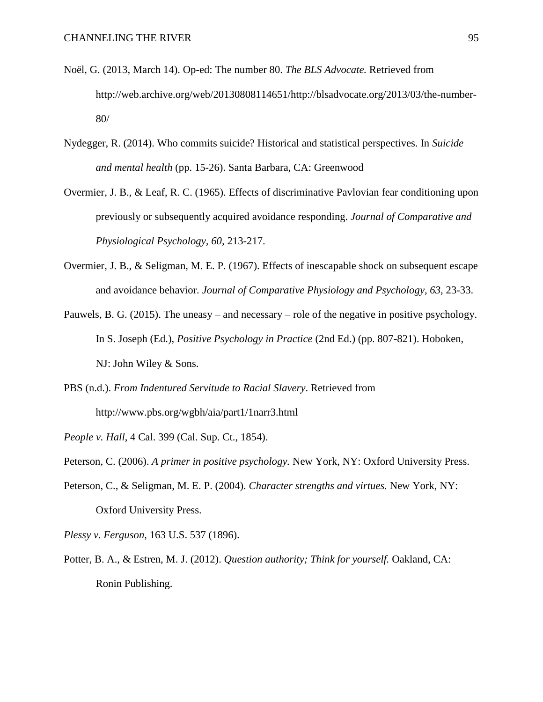- Noël, G. (2013, March 14). Op-ed: The number 80. *The BLS Advocate.* Retrieved from http://web.archive.org/web/20130808114651/http://blsadvocate.org/2013/03/the-number-80/
- Nydegger, R. (2014). Who commits suicide? Historical and statistical perspectives. In *Suicide and mental health* (pp. 15-26). Santa Barbara, CA: Greenwood
- Overmier, J. B., & Leaf, R. C. (1965). Effects of discriminative Pavlovian fear conditioning upon previously or subsequently acquired avoidance responding. *Journal of Comparative and Physiological Psychology, 60,* 213-217.
- Overmier, J. B., & Seligman, M. E. P. (1967). Effects of inescapable shock on subsequent escape and avoidance behavior. *Journal of Comparative Physiology and Psychology, 63,* 23-33.
- Pauwels, B. G. (2015). The uneasy and necessary role of the negative in positive psychology. In S. Joseph (Ed.), *Positive Psychology in Practice* (2nd Ed.) (pp. 807-821). Hoboken, NJ: John Wiley & Sons.
- PBS (n.d.). *From Indentured Servitude to Racial Slavery*. Retrieved from http://www.pbs.org/wgbh/aia/part1/1narr3.html

*People v. Hall*, 4 Cal. 399 (Cal. Sup. Ct., 1854).

Peterson, C. (2006). *A primer in positive psychology.* New York, NY: Oxford University Press.

- Peterson, C., & Seligman, M. E. P. (2004). *Character strengths and virtues.* New York, NY: Oxford University Press.
- *Plessy v. Ferguson*, 163 U.S. 537 (1896).
- Potter, B. A., & Estren, M. J. (2012). *Question authority; Think for yourself.* Oakland, CA: Ronin Publishing.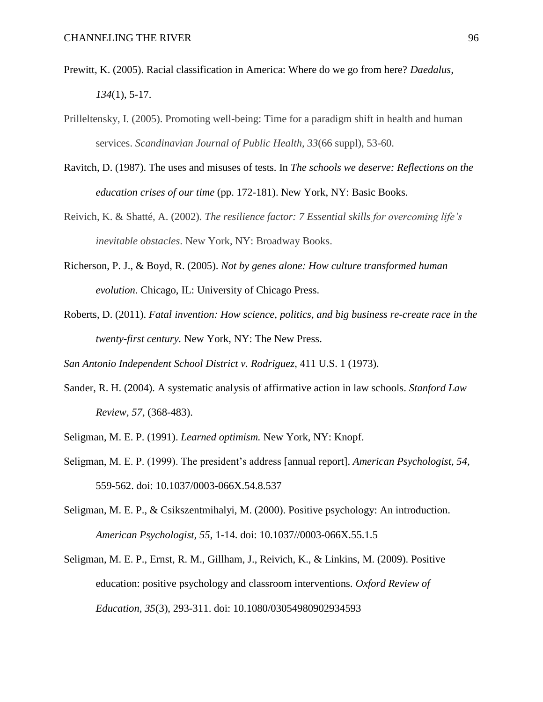- Prewitt, K. (2005). Racial classification in America: Where do we go from here? *Daedalus, 134*(1), 5-17.
- Prilleltensky, I. (2005). Promoting well-being: Time for a paradigm shift in health and human services. *Scandinavian Journal of Public Health, 33*(66 suppl), 53-60.
- Ravitch, D. (1987). The uses and misuses of tests. In *The schools we deserve: Reflections on the education crises of our time* (pp. 172-181). New York, NY: Basic Books.
- Reivich, K. & Shatté, A. (2002). *The resilience factor: 7 Essential skills for overcoming life's inevitable obstacles*. New York, NY: Broadway Books.
- Richerson, P. J., & Boyd, R. (2005). *Not by genes alone: How culture transformed human evolution.* Chicago, IL: University of Chicago Press.
- Roberts, D. (2011). *Fatal invention: How science, politics, and big business re-create race in the twenty-first century.* New York, NY: The New Press.

*San Antonio Independent School District v. Rodriguez*, 411 U.S. 1 (1973).

- Sander, R. H. (2004). A systematic analysis of affirmative action in law schools. *Stanford Law Review, 57,* (368-483).
- Seligman, M. E. P. (1991). *Learned optimism.* New York, NY: Knopf.
- Seligman, M. E. P. (1999). The president's address [annual report]. *American Psychologist, 54,*  559-562. doi: 10.1037/0003-066X.54.8.537
- Seligman, M. E. P., & Csikszentmihalyi, M. (2000). Positive psychology: An introduction. *American Psychologist, 55,* 1-14. doi: 10.1037//0003-066X.55.1.5
- Seligman, M. E. P., Ernst, R. M., Gillham, J., Reivich, K., & Linkins, M. (2009). Positive education: positive psychology and classroom interventions. *Oxford Review of Education, 35*(3), 293-311. doi: 10.1080/03054980902934593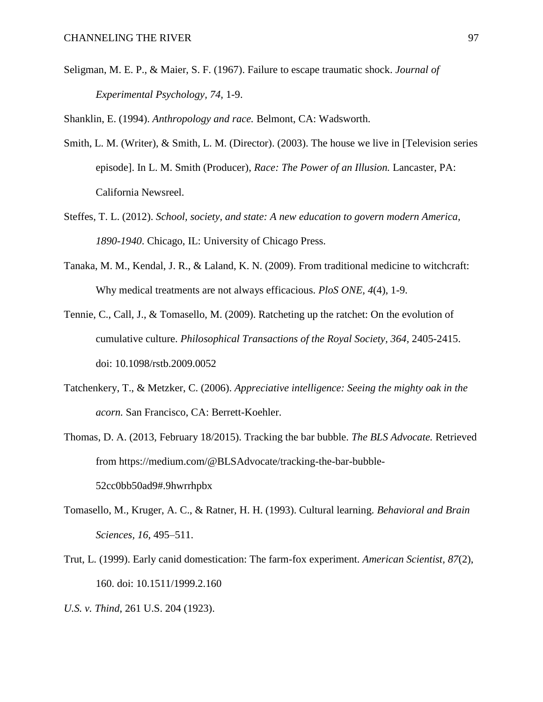Seligman, M. E. P., & Maier, S. F. (1967). Failure to escape traumatic shock. *Journal of Experimental Psychology, 74,* 1-9.

Shanklin, E. (1994). *Anthropology and race.* Belmont, CA: Wadsworth.

- Smith, L. M. (Writer), & Smith, L. M. (Director). (2003). The house we live in [Television series episode]. In L. M. Smith (Producer), *Race: The Power of an Illusion.* Lancaster, PA: California Newsreel.
- Steffes, T. L. (2012). *School, society, and state: A new education to govern modern America, 1890-1940*. Chicago, IL: University of Chicago Press.
- Tanaka, M. M., Kendal, J. R., & Laland, K. N. (2009). From traditional medicine to witchcraft: Why medical treatments are not always efficacious. *PloS ONE, 4*(4), 1-9.
- Tennie, C., Call, J., & Tomasello, M. (2009). Ratcheting up the ratchet: On the evolution of cumulative culture. *Philosophical Transactions of the Royal Society, 364,* 2405-2415. doi: 10.1098/rstb.2009.0052
- Tatchenkery, T., & Metzker, C. (2006). *Appreciative intelligence: Seeing the mighty oak in the acorn.* San Francisco, CA: Berrett-Koehler.
- Thomas, D. A. (2013, February 18/2015). Tracking the bar bubble. *The BLS Advocate.* Retrieved from https://medium.com/@BLSAdvocate/tracking-the-bar-bubble-52cc0bb50ad9#.9hwrrhpbx
- Tomasello, M., Kruger, A. C., & Ratner, H. H. (1993). Cultural learning. *Behavioral and Brain Sciences, 16,* 495–511.
- Trut, L. (1999). Early canid domestication: The farm-fox experiment. *American Scientist, 87*(2), 160. doi: 10.1511/1999.2.160
- *U.S. v. Thind*, 261 U.S. 204 (1923).